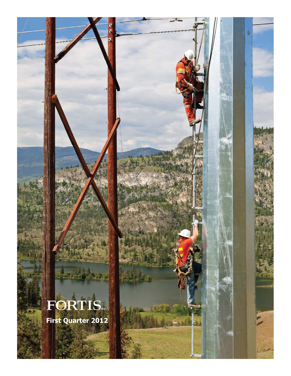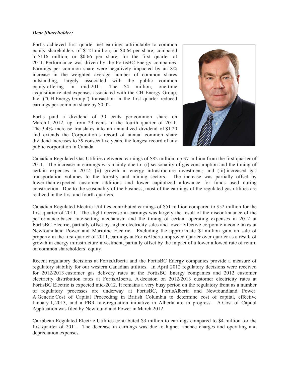#### *Dear Shareholder:*

Fortis achieved first quarter net earnings attributable to common equity shareholders of \$121 million, or \$0.64 per share, compared to \$116 million, or \$0.66 per share, for the first quarter of 2011. Performance was driven by the FortisBC Energy companies. Earnings per common share were negatively impacted by an 8% increase in the weighted average number of common shares outstanding, largely associated with the public common equity offering in mid-2011. The \$4 million, one-time acquisition-related expenses associated with the CH Energy Group, Inc. ("CH Energy Group") transaction in the first quarter reduced earnings per common share by \$0.02.

Fortis paid a dividend of 30 cents per common share on March 1, 2012, up from 29 cents in the fourth quarter of 2011. The 3.4% increase translates into an annualized dividend of \$1.20 and extends the Corporation's record of annual common share dividend increases to 39 consecutive years, the longest record of any public corporation in Canada.



Canadian Regulated Gas Utilities delivered earnings of \$82 million, up \$7 million from the first quarter of 2011. The increase in earnings was mainly due to: (i) seasonality of gas consumption and the timing of certain expenses in 2012; (ii) growth in energy infrastructure investment; and (iii) increased gas transportation volumes to the forestry and mining sectors. The increase was partially offset by lower-than-expected customer additions and lower capitalized allowance for funds used during construction. Due to the seasonality of the business, most of the earnings of the regulated gas utilities are realized in the first and fourth quarters.

Canadian Regulated Electric Utilities contributed earnings of \$51 million compared to \$52 million for the first quarter of 2011. The slight decrease in earnings was largely the result of the discontinuance of the performance-based rate-setting mechanism and the timing of certain operating expenses in 2012 at FortisBC Electric, partially offset by higher electricity sales and lower effective corporate income taxes at Newfoundland Power and Maritime Electric. Excluding the approximate \$1 million gain on sale of property in the first quarter of 2011, earnings at FortisAlberta improved quarter over quarter as a result of growth in energy infrastructure investment, partially offset by the impact of a lower allowed rate of return on common shareholders' equity.

Recent regulatory decisions at FortisAlberta and the FortisBC Energy companies provide a measure of regulatory stability for our western Canadian utilities. In April 2012 regulatory decisions were received for 2012/2013 customer gas delivery rates at the FortisBC Energy companies and 2012 customer electricity distribution rates at FortisAlberta. A decision on 2012/2013 customer electricity rates at FortisBC Electric is expected mid-2012. It remains a very busy period on the regulatory front as a number of regulatory processes are underway at FortisBC, FortisAlberta and Newfoundland Power. A Generic Cost of Capital Proceeding in British Columbia to determine cost of capital, effective January 1, 2013, and a PBR rate-regulation initiative in Alberta are in progress. A Cost of Capital Application was filed by Newfoundland Power in March 2012.

Caribbean Regulated Electric Utilities contributed \$3 million to earnings compared to \$4 million for the first quarter of 2011. The decrease in earnings was due to higher finance charges and operating and depreciation expenses.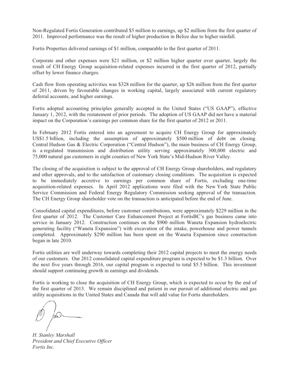Non-Regulated Fortis Generation contributed \$5 million to earnings, up \$2 million from the first quarter of 2011. Improved performance was the result of higher production in Belize due to higher rainfall.

Fortis Properties delivered earnings of \$1 million, comparable to the first quarter of 2011.

Corporate and other expenses were \$21 million, or \$2 million higher quarter over quarter, largely the result of CH Energy Group acquisition-related expenses incurred in the first quarter of 2012, partially offset by lo ower finance charges.

Cash flow from operating activities was \$328 million for the quarter, up \$26 million from the first quarter of 2011, driven by favourable changes in working capital, largely associated with current regulatory deferral accounts, and higher earnings.

Fortis adopted accounting principles generally accepted in the United States ("US GAAP"), effective January 1, 2012, with the restatement of prior periods. The adoption of US GAAP did not have a material impact on the Corporation's earnings per common share for the first quarter of 2012 or 2011.

In February 2012 Fortis entered into an agreement to acquire CH Energy Group for approximately US\$1.5 billion, including the assumption of approximately \$500 million of debt on closing. Central Hudson Gas & Electric Corporation ("Central Hudson"), the main business of CH Energy Group, is a regulated transmission and distribution utility serving approximately 300,000 electric and 75,000 natural gas customers in eight counties of New York State's Mid-Hudson River Valley.

The closing of the acquisition is subject to the approval of CH Energy Group shareholders, and regulatory and other approvals, and to the satisfaction of customary closing conditions. The acquisition is expected to be immediately accretive to earnings per common share of Fortis, excluding one-time acquisition-related expenses. In April 2012 applications were filed with the New York State Public Service Commission and Federal Energy Regulatory Commission seeking approval of the transaction. The CH Energy Group shareholder vote on the transaction is anticipated before the end of June.

Consolidated capital expenditures, before customer contributions, were approximately \$229 million in the first quarter of 2012. The Customer Care Enhancement Project at FortisBC's gas business came into service in January 2012. Construction continues on the \$900 million Waneta Expansion hydroelectric generating facility ("Waneta Expansion") with excavation of the intake, powerhouse and power tunnels completed. Approximately \$290 million has been spent on the Waneta Expansion since construction began in late 2010.

Fortis utilities are well underway towards completing their 2012 capital projects to meet the energy needs of our customers. Our 2012 consolidated capital expenditure program is expected to be \$1.3 billion. Over the next five years through 2016, our capital program is expected to total \$5.5 billion. This investment should support continuing growth in earnings and dividends.

Fortis is working to close the acquisition of CH Energy Group, which is expected to occur by the end of the first quarter of 2013. We remain disciplined and patient in our pursuit of additional electric and gas utility acquisitions in the United States and Canada that will add value for Fortis shareholders.

*H. Stanley Marshall President and Chief Executive Officer Fortis Inc.*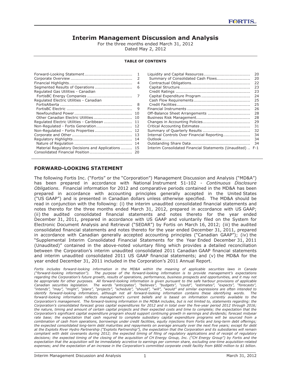## **Interim Management Discussion and Analysis**

For the three months ended March 31, 2012 Dated May 2, 2012

#### **TABLE OF CONTENTS**

| 1                                 | Liquidity       |
|-----------------------------------|-----------------|
| 2                                 | Summar          |
| 4                                 | Contract        |
| 6                                 | Capital S       |
|                                   | Credit Ra       |
| 7                                 | Capital E       |
|                                   | Cash Flo        |
| 8                                 | Credit Fa       |
| 9                                 | Financial       |
| 10                                | Off-Balan       |
| 10                                | <b>Business</b> |
| 11                                | Changes         |
| 12                                | Critical A      |
| 12                                | Summary         |
| 13                                | Internal C      |
| 14                                | Outlook         |
| 14                                | Outstandi       |
| 15                                | Interim C       |
| 20                                |                 |
| Non-Regulated - Fortis Generation |                 |

|                                                       | 20    |
|-------------------------------------------------------|-------|
| Summary of Consolidated Cash Flows                    | 20    |
|                                                       | 22    |
|                                                       | 23    |
|                                                       | 23    |
|                                                       | 24    |
|                                                       | 25    |
|                                                       | 25    |
|                                                       | 26    |
|                                                       | 28    |
|                                                       | 28    |
|                                                       | 29    |
|                                                       | 31    |
|                                                       | 32    |
| Internal Controls Over Financial Reporting            | 34    |
|                                                       | 34    |
|                                                       | 34    |
| Interim Consolidated Financial Statements (Unaudited) | $F-1$ |

### **FORWARD-LOOKING STATEMENT**

The following Fortis Inc. ("Fortis" or the "Corporation") Management Discussion and Analysis ("MD&A") has been prepared in accordance with National Instrument 51-102 - *Continuous Disclosure Obligations*. Financial information for 2012 and comparative periods contained in the MD&A has been prepared in accordance with accounting principles generally accepted in the United States ("US GAAP") and is presented in Canadian dollars unless otherwise specified. The MD&A should be read in conjunction with the following: (i) the interim unaudited consolidated financial statements and notes thereto for the three months ended March 31, 2012, prepared in accordance with US GAAP; (ii) the audited consolidated financial statements and notes thereto for the year ended December 31, 2011, prepared in accordance with US GAAP and voluntarily filed on the System for Electronic Document Analysis and Retrieval ("SEDAR") by Fortis on March 16, 2012; (iii) the audited consolidated financial statements and notes thereto for the year ended December 31, 2011, prepared in accordance with Canadian generally accepted accounting principles ("Canadian GAAP"); (iv) the "Supplemental Interim Consolidated Financial Statements for the Year Ended December 31, 2011 (Unaudited)" contained in the above-noted voluntary filing which provides a detailed reconciliation between the Corporation's interim unaudited consolidated 2011 Canadian GAAP financial statements and interim unaudited consolidated 2011 US GAAP financial statements; and (v) the MD&A for the year ended December 31, 2011 included in the Corporation's 2011 Annual Report.

*Fortis includes forward-looking information in the MD&A within the meaning of applicable securities laws in Canada ("forward-looking information"). The purpose of the forward-looking information is to provide management's expectations regarding the Corporation's future growth, results of operations, performance, business prospects and opportunities, and it may not be appropriate for other purposes. All forward-looking information is given pursuant to the safe harbour provisions of applicable Canadian securities legislation. The words "anticipates", "believes", "budgets", "could", "estimates", "expects", "forecasts", "intends", "may", "might", "plans", "projects", "schedule", "should", "will", "would" and similar expressions are often intended to identify forward-looking information, although not all forward-looking information contains these identifying words. The forward-looking information reflects management's current beliefs and is based on information currently available to the Corporation's management. The forward-looking information in the MD&A includes, but is not limited to, statements regarding: the Corporation's consolidated forecast gross capital expenditures for 2012 and in total over the five-year period 2012 through 2016; the nature, timing and amount of certain capital projects and their expected costs and time to complete; the expectation that the Corporation's significant capital expenditure program should support continuing growth in earnings and dividends; forecast midyear*  rate base; the expectation that cash required to complete subsidiary capital expenditure programs will be sourced from a *combination of cash from operations, borrowings under credit facilities, equity injections from Fortis and long-term debt offerings; the expected consolidated long-term debt maturities and repayments on average annually over the next five years; except for debt at the Exploits River Hydro Partnership ("Exploits Partnership"), the expectation that the Corporation and its subsidiaries will remain compliant with debt covenants during 2012; the expected timing of filing of regulatory applications and of receipt of regulatory decisions; the expected timing of the closing of the acquisition of CH Energy Group, Inc. ("CH Energy Group") by Fortis and the expectation that the acquisition will be immediately accretive to earnings per common share, excluding one-time acquisition-related expenses; and the expectation of an increase in the Corporation's committed corporate credit facility from \$800 million to \$1 billion.*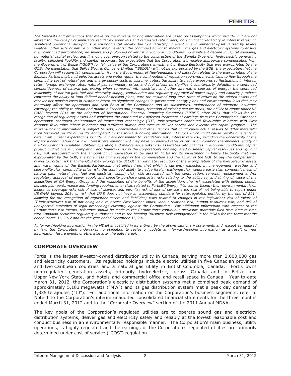*The forecasts and projections that make up the forward-looking information are based on assumptions which include, but are not limited to: the receipt of applicable regulatory approvals and requested rate orders; no significant variability in interest rates; no significant operational disruptions or environmental liability due to a catastrophic event or environmental upset caused by severe weather, other acts of nature or other major events; the continued ability to maintain the gas and electricity systems to ensure their continued performance; no severe and prolonged downturn in economic conditions; no significant decline in capital spending; no material capital project and financing cost overrun related to the construction of the Waneta Expansion hydroelectric generating*  facility; sufficient liquidity and capital resources; the expectation that the Corporation will receive appropriate compensation from *the Government of Belize ("GOB") for fair value of the Corporation's investment in Belize Electricity that was expropriated by the GOB; the expectation that Belize Electric Company Limited ("BECOL") will not be expropriated by the GOB; the expectation that the Corporation will receive fair compensation from the Government of Newfoundland and Labrador related to the expropriation of the Exploits Partnership's hydroelectric assets and water rights; the continuation of regulator-approved mechanisms to flow through the commodity cost of natural gas and energy supply costs in customer rates; the ability to hedge exposures to fluctuations in interest rates, foreign exchange rates, natural gas commodity prices and fuel prices; no significant counterparty defaults; the continued competitiveness of natural gas pricing when compared with electricity and other alternative sources of energy; the continued availability of natural gas, fuel and electricity supply; continuation and regulatory approval of power supply and capacity purchase contracts; the ability to fund defined benefit pension plans, earn the assumed long-term rates of return on the related assets and recover net pension costs in customer rates; no significant changes in government energy plans and environmental laws that may materially affect the operations and cash flows of the Corporation and its subsidiaries; maintenance of adequate insurance coverage; the ability to obtain and maintain licences and permits; retention of existing service areas; the ability to report under US*  GAAP beyond 2014 or the adoption of International Financial Reporting Standards ("IFRS") after 2014 that allows for the *recognition of regulatory assets and liabilities; the continued tax-deferred treatment of earnings from the Corporation's Caribbean operations; continued maintenance of information technology ("IT") infrastructure; continued favourable relations with First Nations; favourable labour relations; and sufficient human resources to deliver service and execute the capital program. The forward-looking information is subject to risks, uncertainties and other factors that could cause actual results to differ materially from historical results or results anticipated by the forward-looking information. Factors which could cause results or events to differ from current expectations include, but are not limited to: regulatory risk; interest rate risk, including the uncertainty of the impact a continuation of a low interest rate environment may have on allowed rates of return on common shareholders' equity of the Corporation's regulated utilities; operating and maintenance risks; risk associated with changes in economic conditions; capital project budget overrun, completion and financing risk in the Corporation's non-regulated business; capital resources and liquidity risk; risk associated with the amount of compensation to be paid to Fortis for its investment in Belize Electricity that was expropriated by the GOB; the timeliness of the receipt of the compensation and the ability of the GOB to pay the compensation owing to Fortis; risk that the GOB may expropriate BECOL; an ultimate resolution of the expropriation of the hydroelectric assets and water rights of the Exploits Partnership that differs from that which is currently expected by management; weather and seasonality risk; commodity price risk; the continued ability to hedge foreign exchange risk; counterparty risk; competitiveness of natural gas; natural gas, fuel and electricity supply risk; risk associated with the continuation, renewal, replacement and/or regulatory approval of power supply and capacity purchase contracts; risks relating to the ability to, and timing of, close of the acquisition of CH Energy Group and the realization of the benefits of the acquisition; the risk associated with defined benefit pension plan performance and funding requirements; risks related to FortisBC Energy (Vancouver Island) Inc.; environmental risks;* insurance coverage risk; risk of loss of licences and permits; risk of loss of service area; risk of not being able to report under *US GAAP beyond 2014 or risk that IFRS does not have an accounting standard for rate-regulated entities by the end of 2014 allowing for the recognition of regulatory assets and liabilities; risks related to changes in tax legislation; risk of failure of IT infrastructure; risk of not being able to access First Nations lands; labour relations risk; human resources risk; and risk of unexpected outcomes of legal proceedings currently against the Corporation. For additional information with respect to the Corporation's risk factors, reference should be made to the Corporation's continuous disclosure materials filed from time to time with Canadian securities regulatory authorities and to the heading "Business Risk Management" in the MD&A for the three months ended March 31, 2012 and for the year ended December 31, 2011.* 

*All forward-looking information in the MD&A is qualified in its entirety by the above cautionary statements and, except as required by law, the Corporation undertakes no obligation to revise or update any forward-looking information as a result of new information, future events or otherwise after the date hereof.* 

## **CORPORATE OVERVIEW**

Fortis is the largest investor-owned distribution utility in Canada, serving more than 2,000,000 gas and electricity customers. Its regulated holdings include electric utilities in five Canadian provinces and two Caribbean countries and a natural gas utility in British Columbia, Canada. Fortis owns non-regulated generation assets, primarily hydroelectric, across Canada and in Belize and Upper New York State, and hotels and commercial office and retail space in Canada. Year-to-date March 31, 2012, the Corporation's electricity distribution systems met a combined peak demand of approximately 5,183 megawatts ("MW") and its gas distribution system met a peak day demand of 1,335 terajoules ("TJ"). For additional information on the Corporation's business segments, refer to Note 1 to the Corporation's interim unaudited consolidated financial statements for the three months ended March 31, 2012 and to the "Corporate Overview" section of the 2011 Annual MD&A.

The key goals of the Corporation's regulated utilities are to operate sound gas and electricity distribution systems, deliver gas and electricity safely and reliably at the lowest reasonable cost and conduct business in an environmentally responsible manner. The Corporation's main business, utility operations, is highly regulated and the earnings of the Corporation's regulated utilities are primarily determined under cost of service ("COS") regulation.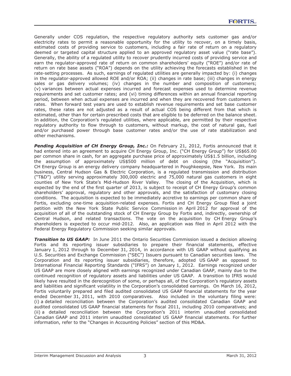Generally under COS regulation, the respective regulatory authority sets customer gas and/or electricity rates to permit a reasonable opportunity for the utility to recover, on a timely basis, estimated costs of providing service to customers, including a fair rate of return on a regulatory deemed or targeted capital structure applied to an approved regulatory asset value ("rate base"). Generally, the ability of a regulated utility to recover prudently incurred costs of providing service and earn the regulator-approved rate of return on common shareholders' equity ("ROE") and/or rate of return on rate base assets ("ROA") depends on the utility achieving the forecasts established in the rate-setting processes. As such, earnings of regulated utilities are generally impacted by: (i) changes in the regulator-approved allowed ROE and/or ROA; (ii) changes in rate base; (iii) changes in energy sales or gas delivery volumes; (iv) changes in the number and composition of customers; (v) variances between actual expenses incurred and forecast expenses used to determine revenue requirements and set customer rates; and (vi) timing differences within an annual financial reporting period, between when actual expenses are incurred and when they are recovered from customers in rates. When forward test years are used to establish revenue requirements and set base customer rates, these rates are not adjusted as a result of actual COS being different from that which is estimated, other than for certain prescribed costs that are eligible to be deferred on the balance sheet. In addition, the Corporation's regulated utilities, where applicable, are permitted by their respective regulatory authority to flow through to customers, without markup, the cost of natural gas, fuel and/or purchased power through base customer rates and/or the use of rate stabilization and other mechanisms.

**Pending Acquisition of CH Energy Group, Inc.:** On February 21, 2012, Fortis announced that it had entered into an agreement to acquire CH Energy Group, Inc. ("CH Energy Group") for US\$65.00 per common share in cash, for an aggregate purchase price of approximately US\$1.5 billion, including the assumption of approximately US\$500 million of debt on closing (the "Acquisition"). CH Energy Group is an energy delivery company headquartered in Poughkeepsie, New York. Its main business, Central Hudson Gas & Electric Corporation, is a regulated transmission and distribution ("T&D") utility serving approximately 300,000 electric and 75,000 natural gas customers in eight counties of New York State's Mid-Hudson River Valley. The closing of the Acquisition, which is expected by the end of the first quarter of 2013, is subject to receipt of CH Energy Group's common shareholders' approval, regulatory and other approvals, and the satisfaction of customary closing conditions. The acquisition is expected to be immediately accretive to earnings per common share of Fortis, excluding one-time acquisition-related expenses. Fortis and CH Energy Group filed a joint petition with the New York State Public Service Commission in April 2012 for approval of the acquisition of all of the outstanding stock of CH Energy Group by Fortis and, indirectly, ownership of Central Hudson, and related transactions. The vote on the acquisition by CH Energy Group's shareholders is expected to occur mid-2012. Also, an application was filed in April 2012 with the Federal Energy Regulatory Commission seeking similar approvals.

*Transition to US GAAP:* In June 2011 the Ontario Securities Commission issued a decision allowing Fortis and its reporting issuer subsidiaries to prepare their financial statements, effective January 1, 2012 through to December 31, 2014, in accordance with US GAAP without qualifying as U.S. Securities and Exchange Commission ("SEC") Issuers pursuant to Canadian securities laws. The Corporation and its reporting issuer subsidiaries, therefore, adopted US GAAP as opposed to International Financial Reporting Standards ("IFRS") on January 1, 2012. Earnings recognized under US GAAP are more closely aligned with earnings recognized under Canadian GAAP, mainly due to the continued recognition of regulatory assets and liabilities under US GAAP. A transition to IFRS would likely have resulted in the derecognition of some, or perhaps all, of the Corporation's regulatory assets and liabilities and significant volatility in the Corporation's consolidated earnings. On March 16, 2012, Fortis voluntarily prepared and filed audited consolidated US GAAP financial statements for the year ended December 31, 2011, with 2010 comparatives. Also included in the voluntary filing were: (i) a detailed reconciliation between the Corporation's audited consolidated Canadian GAAP and audited consolidated US GAAP financial statements for fiscal 2011, including 2010 comparatives; and (ii) a detailed reconciliation between the Corporation's 2011 interim unaudited consolidated Canadian GAAP and 2011 interim unaudited consolidated US GAAP financial statements. For further information, refer to the "Changes in Accounting Policies" section of this MD&A.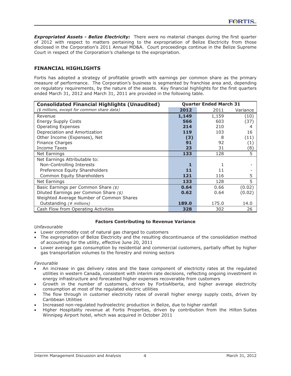*Expropriated Assets - Belize Electricity:* There were no material changes during the first quarter of 2012 with respect to matters pertaining to the expropriation of Belize Electricity from those disclosed in the Corporation's 2011 Annual MD&A. Court proceedings continue in the Belize Supreme Court in respect of the Corporation's challenge to the expropriation.

## **FINANCIAL HIGHLIGHTS**

Fortis has adopted a strategy of profitable growth with earnings per common share as the primary measure of performance. The Corporation's business is segmented by franchise area and, depending on regulatory requirements, by the nature of the assets. Key financial highlights for the first quarters ended March 31, 2012 and March 31, 2011 are provided in the following table.

| <b>Consolidated Financial Highlights (Unaudited)</b> | <b>Quarter Ended March 31</b> |       |                  |
|------------------------------------------------------|-------------------------------|-------|------------------|
| (\$ millions, except for common share data)          | 2012                          | 2011  | Variance         |
| Revenue                                              | 1,149                         | 1,159 | (10)             |
| <b>Energy Supply Costs</b>                           | 566                           | 603   | (37)             |
| <b>Operating Expenses</b>                            | 214                           | 210   | 4                |
| Depreciation and Amortization                        | 119                           | 103   | 16               |
| Other Income (Expenses), Net                         | (3)                           | 8     | (11)             |
| <b>Finance Charges</b>                               | 91                            | 92    | (1)              |
| Income Taxes                                         | 23                            | 31    | $\left(8\right)$ |
| Net Earnings                                         | 133                           | 128   | 5                |
| Net Earnings Attributable to:                        |                               |       |                  |
| Non-Controlling Interests                            |                               |       |                  |
| Preference Equity Shareholders                       | 11                            | 11    |                  |
| Common Equity Shareholders                           | 121                           | 116   | 5                |
| Net Earnings                                         | 133                           | 128   | 5                |
| Basic Earnings per Common Share (\$)                 | 0.64                          | 0.66  | (0.02)           |
| Diluted Earnings per Common Share (\$)               | 0.62                          | 0.64  | (0.02)           |
| Weighted Average Number of Common Shares             |                               |       |                  |
| Outstanding (# millions)                             | 189.0                         | 175.0 | 14.0             |
| Cash Flow from Operating Activities                  | 328                           | 302   | 26               |

#### *Unfavourable*

- Lower commodity cost of natural gas charged to customers
- - The expropriation of Belize Electricity and the resulting discontinuance of the consolidation method of accounting for the utility, effective June 20, 2011

**Factors Contributing to Revenue Variance** 

- Lower average gas consumption by residential and commercial customers, partially offset by higher gas transportation volumes to the forestry and mining sectors

#### *Favourable*

- - An increase in gas delivery rates and the base component of electricity rates at the regulated utilities in western Canada, consistent with interim rate decisions, reflecting ongoing investment in energy infrastructure and forecasted higher expenses recoverable from customers
- - Growth in the number of customers, driven by FortisAlberta, and higher average electricity consumption at most of the regulated electric utilities
- - The flow through in customer electricity rates of overall higher energy supply costs, driven by Caribbean Utilities
- -Increased non-regulated hydroelectric production in Belize, due to higher rainfall
- - Higher Hospitality revenue at Fortis Properties, driven by contribution from the Hilton Suites Winnipeg Airport hotel, which was acquired in October 2011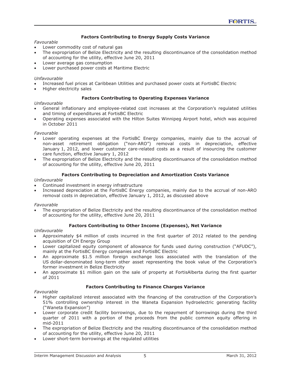## **Factors Contributing to Energy Supply Costs Variance**

#### *Favourable*

- -Lower commodity cost of natural gas
- - The expropriation of Belize Electricity and the resulting discontinuance of the consolidation method of accounting for the utility, effective June 20, 2011
- -Lower average gas consumption
- -Lower purchased power costs at Maritime Electric

#### *Unfavourable*

- -Increased fuel prices at Caribbean Utilities and purchased power costs at FortisBC Electric
- -Higher electricity sales

#### **Factors Contributing to Operating Expenses Variance**

#### *Unfavourable*

- - General inflationary and employee-related cost increases at the Corporation's regulated utilities and timing of expenditures at FortisBC Electric
- - Operating expenses associated with the Hilton Suites Winnipeg Airport hotel, which was acquired in October 2011

#### *Favourable*

- - Lower operating expenses at the FortisBC Energy companies, mainly due to the accrual of non-asset retirement obligation ("non-ARO") removal costs in depreciation, effective January 1, 2012, and lower customer care-related costs as a result of insourcing the customer care function, effective January 1, 2012
- - The expropriation of Belize Electricity and the resulting discontinuance of the consolidation method of accounting for the utility, effective June 20, 2011

#### **Factors Contributing to Depreciation and Amortization Costs Variance**

#### *Unfavourable*

- -Continued investment in energy infrastructure
- - Increased depreciation at the FortisBC Energy companies, mainly due to the accrual of non-ARO removal costs in depreciation, effective January 1, 2012, as discussed above

#### *Favourable*

- The expropriation of Belize Electricity and the resulting discontinuance of the consolidation method of accounting for the utility, effective June 20, 2011

#### **Factors Contributing to Other Income (Expenses), Net Variance**

#### *Unfavourable*

- - Approximately \$4 million of costs incurred in the first quarter of 2012 related to the pending acquisition of CH Energy Group
- - Lower capitalized equity component of allowance for funds used during construction ("AFUDC"), mainly at the FortisBC Energy companies and FortisBC Electric
- - An approximate \$1.5 million foreign exchange loss associated with the translation of the US dollar-denominated long-term other asset representing the book value of the Corporation's former investment in Belize Electricity
- - An approximate \$1 million gain on the sale of property at FortisAlberta during the first quarter of 2011

#### **Factors Contributing to Finance Charges Variance**

#### *Favourable*

- - Higher capitalized interest associated with the financing of the construction of the Corporation's 51% controlling ownership interest in the Waneta Expansion hydroelectric generating facility ("Waneta Expansion")
- Lower corporate credit facility borrowings, due to the repayment of borrowings during the third quarter of 2011 with a portion of the proceeds from the public common equity offering in mid-2011
- - The expropriation of Belize Electricity and the resulting discontinuance of the consolidation method of accounting for the utility, effective June 20, 2011
- -Lower short-term borrowings at the regulated utilities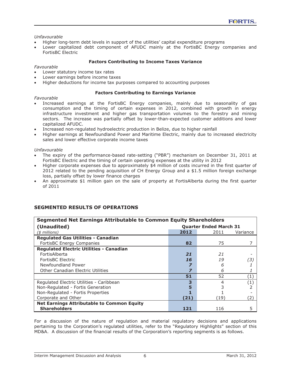#### *Unfavourable*

- -Higher long-term debt levels in support of the utilities' capital expenditure programs
- - Lower capitalized debt component of AFUDC mainly at the FortisBC Energy companies and FortisBC Electric

#### **Factors Contributing to Income Taxes Variance**

#### *Favourable*

- -Lower statutory income tax rates
- -Lower earnings before income taxes
- -Higher deductions for income tax purposes compared to accounting purposes

#### **Factors Contributing to Earnings Variance**

#### *Favourable*

- - Increased earnings at the FortisBC Energy companies, mainly due to seasonality of gas consumption and the timing of certain expenses in 2012, combined with growth in energy infrastructure investment and higher gas transportation volumes to the forestry and mining sectors. The increase was partially offset by lower-than-expected customer additions and lower capitalized AFUDC.
- -Increased non-regulated hydroelectric production in Belize, due to higher rainfall
- - Higher earnings at Newfoundland Power and Maritime Electric, mainly due to increased electricity sales and lower effective corporate income taxes

#### *Unfavourable*

- - The expiry of the performance-based rate-setting ("PBR") mechanism on December 31, 2011 at FortisBC Electric and the timing of certain operating expenses at the utility in 2012
- - Higher corporate expenses due to approximately \$4 million of costs incurred in the first quarter of 2012 related to the pending acquisition of CH Energy Group and a \$1.5 million foreign exchange loss, partially offset by lower finance charges
- - An approximate \$1 million gain on the sale of property at FortisAlberta during the first quarter of 2011

## **SEGMENTED RESULTS OF OPERATIONS**

| Segmented Net Earnings Attributable to Common Equity Shareholders |                               |      |                   |  |
|-------------------------------------------------------------------|-------------------------------|------|-------------------|--|
| (Unaudited)                                                       | <b>Quarter Ended March 31</b> |      |                   |  |
| $($$ millions)                                                    | 2012                          | 2011 | Variance          |  |
| <b>Regulated Gas Utilities - Canadian</b>                         |                               |      |                   |  |
| <b>FortisBC Energy Companies</b>                                  | 82                            | 75   |                   |  |
| <b>Regulated Electric Utilities - Canadian</b>                    |                               |      |                   |  |
| FortisAlberta                                                     | 21                            | 21   |                   |  |
| FortisBC Electric                                                 | 16                            | 19   | (3)               |  |
| Newfoundland Power                                                |                               | 6    |                   |  |
| Other Canadian Electric Utilities                                 |                               | 6    |                   |  |
|                                                                   | 51                            | 52   | $\left( 1\right)$ |  |
| Regulated Electric Utilities - Caribbean                          | 3                             |      | (1)               |  |
| Non-Regulated - Fortis Generation                                 | 5                             |      | 2                 |  |
| Non-Regulated - Fortis Properties                                 |                               |      |                   |  |
| Corporate and Other                                               | (21)                          | (19) | (2)               |  |
| <b>Net Earnings Attributable to Common Equity</b>                 |                               |      |                   |  |
| <b>Shareholders</b>                                               | 121                           | 116  | 5                 |  |

For a discussion of the nature of regulation and material regulatory decisions and applications pertaining to the Corporation's regulated utilities, refer to the "Regulatory Highlights" section of this MD&A. A discussion of the financial results of the Corporation's reporting segments is as follows.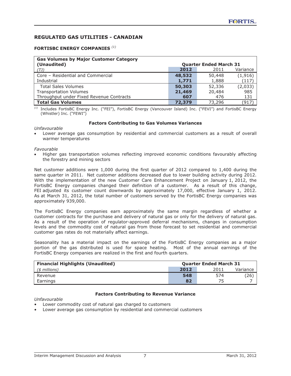## **REGULATED GAS UTILITIES - CANADIAN**

### **FORTISBC ENERGY COMPANIES** *(1)*

| <b>Gas Volumes by Major Customer Category</b><br>(Unaudited)<br><b>Quarter Ended March 31</b> |        |        |          |  |
|-----------------------------------------------------------------------------------------------|--------|--------|----------|--|
| (TJ)                                                                                          | 2012   | 2011   | Variance |  |
| Core - Residential and Commercial                                                             | 48,532 | 50,448 | (1, 916) |  |
| Industrial                                                                                    | 1,771  | 1,888  | (117)    |  |
| <b>Total Sales Volumes</b>                                                                    | 50,303 | 52,336 | (2,033)  |  |
| <b>Transportation Volumes</b>                                                                 | 21,469 | 20,484 | 985      |  |
| Throughput under Fixed Revenue Contracts                                                      | 607    | 476    | 131      |  |
| <b>Total Gas Volumes</b>                                                                      | 72,379 | 73,296 | (917)    |  |

*(1)* Includes FortisBC Energy Inc. ("FEI"), FortisBC Energy (Vancouver Island) Inc. ("FEVI") and FortisBC Energy (Whistler) Inc. ("FEWI")

#### **Factors Contributing to Gas Volumes Variances**

*Unfavourable*

- Lower average gas consumption by residential and commercial customers as a result of overall warmer temperatures

*Favourable* 

- Higher gas transportation volumes reflecting improved economic conditions favourably affecting the forestry and mining sectors

Net customer additions were 1,000 during the first quarter of 2012 compared to 1,400 during the same quarter in 2011. Net customer additions decreased due to lower building activity during 2012. With the implementation of the new Customer Care Enhancement Project on January 1, 2012, the FortisBC Energy companies changed their definition of a customer. As a result of this change, FEI adjusted its customer count downwards by approximately 17,000, effective January 1, 2012. As at March 31, 2012, the total number of customers served by the FortisBC Energy companies was approximately 939,000.

The FortisBC Energy companies earn approximately the same margin regardless of whether a customer contracts for the purchase and delivery of natural gas or only for the delivery of natural gas. As a result of the operation of regulator-approved deferral mechanisms, changes in consumption levels and the commodity cost of natural gas from those forecast to set residential and commercial customer gas rates do not materially affect earnings.

Seasonality has a material impact on the earnings of the FortisBC Energy companies as a major portion of the gas distributed is used for space heating. Most of the annual earnings of the FortisBC Energy companies are realized in the first and fourth quarters.

| <b>Financial Highlights (Unaudited)</b><br><b>Quarter Ended March 31</b> |      |      |          |
|--------------------------------------------------------------------------|------|------|----------|
| (\$ millions)                                                            | 2012 | 2011 | Variance |
| Revenue                                                                  | 548  | 574  | (26)     |
| Earnings                                                                 | 82   |      |          |

## **Factors Contributing to Revenue Variance**

*Unfavourable*

- Lower commodity cost of natural gas charged to customers
- Lower average gas consumption by residential and commercial customers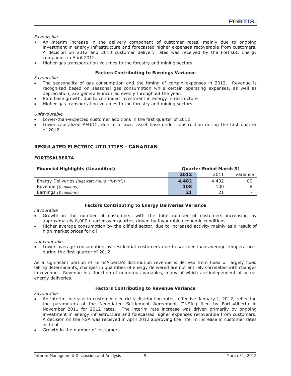#### *Favourable*

- An interim increase in the delivery component of customer rates, mainly due to ongoing investment in energy infrastructure and forecasted higher expenses recoverable from customers. A decision on 2012 and 2013 customer delivery rates was received by the FortisBC Energy companies in April 2012.
- Higher gas transportation volumes to the forestry and mining sectors

#### **Factors Contributing to Earnings Variance**

*Favourable* 

- - The seasonality of gas consumption and the timing of certain expenses in 2012. Revenue is recognized based on seasonal gas consumption while certain operating expenses, as well as depreciation, are generally incurred evenly throughout the year.
- -Rate base growth, due to continued investment in energy infrastructure
- -Higher gas transportation volumes to the forestry and mining sectors

#### *Unfavourable*

- -Lower-than-expected customer additions in the first quarter of 2012
- - Lower capitalized AFUDC, due to a lower asset base under construction during the first quarter of 2012

## **REGULATED ELECTRIC UTILITIES - CANADIAN**

#### **FORTISALBERTA**

| <b>Financial Highlights (Unaudited)</b>    | <b>Quarter Ended March 31</b> |       |          |
|--------------------------------------------|-------------------------------|-------|----------|
|                                            | 2012                          | 2011  | Variance |
| Energy Deliveries (gigawatt hours ("GWh")) | 4,482                         | 4,402 | 80       |
| Revenue (\$ millions)                      | 108                           | 100   |          |
| Earnings (\$ millions)                     | 21                            |       |          |

#### **Factors Contributing to Energy Deliveries Variance**

*Favourable* 

- - Growth in the number of customers, with the total number of customers increasing by approximately 8,000 quarter over quarter, driven by favourable economic conditions
- - Higher average consumption by the oilfield sector, due to increased activity mainly as a result of high market prices for oil

#### *Unfavourable*

- Lower average consumption by residential customers due to warmer-than-average temperatures during the first quarter of 2012

As a significant portion of FortisAlberta's distribution revenue is derived from fixed or largely fixed billing determinants, changes in quantities of energy delivered are not entirely correlated with changes in revenue. Revenue is a function of numerous variables, many of which are independent of actual energy deliveries.

#### *Favourable*

#### **Factors Contributing to Revenue Variance**

- - An interim increase in customer electricity distribution rates, effective January 1, 2012, reflecting the parameters of the Negotiated Settlement Agreement ("NSA") filed by FortisAlberta in November 2011 for 2012 rates. The interim rate increase was driven primarily by ongoing investment in energy infrastructure and forecasted higher expenses recoverable from customers. A decision on the NSA was received in April 2012 approving the interim increase in customer rates as final.
- -Growth in the number of customers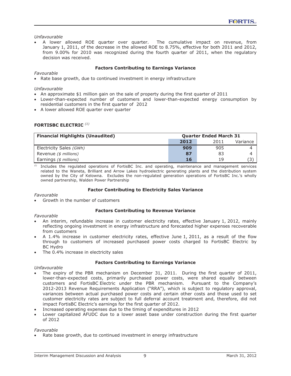#### *Unfavourable*

- A lower allowed ROE quarter over quarter. The cumulative impact on revenue, from January 1, 2011, of the decrease in the allowed ROE to 8.75%, effective for both 2011 and 2012, from 9.00% for 2010 was recognized during the fourth quarter of 2011, when the regulatory decision was received.

#### **Factors Contributing to Earnings Variance**

*Favourable* 

- Rate base growth, due to continued investment in energy infrastructure

#### *Unfavourable*

- An approximate \$1 million gain on the sale of property during the first quarter of 2011
- Lower-than-expected number of customers and lower-than-expected energy consumption by residential customers in the first quarter of 2012
- A lower allowed ROE quarter over quarter

## **FORTISBC ELECTRIC** *(1)*

| <b>Financial Highlights (Unaudited)</b> | <b>Quarter Ended March 31</b> |      |          |
|-----------------------------------------|-------------------------------|------|----------|
|                                         | 2012                          | 2011 | Variance |
| Electricity Sales (GWh)                 | 909                           | 905  |          |
| Revenue (\$ millions)                   | 87                            | 83   | Δ        |
| Earnings (\$ millions)                  | 16                            | 19   | ΄3       |

*(1)* Includes the regulated operations of FortisBC Inc. and operating, maintenance and management services related to the Waneta, Brilliant and Arrow Lakes hydroelectric generating plants and the distribution system owned by the City of Kelowna. Excludes the non-regulated generation operations of FortisBC Inc.'s wholly owned partnership, Walden Power Partnership

#### **Factor Contributing to Electricity Sales Variance**

*Favourable* 

-Growth in the number of customers

#### **Factors Contributing to Revenue Variance**

*Favourable* 

- - An interim, refundable increase in customer electricity rates, effective January 1, 2012, mainly reflecting ongoing investment in energy infrastructure and forecasted higher expenses recoverable from customers
- - A 1.4% increase in customer electricity rates, effective June 1, 2011, as a result of the flow through to customers of increased purchased power costs charged to FortisBC Electric by BC Hydro
- -The 0.4% increase in electricity sales

#### **Factors Contributing to Earnings Variance**

#### *Unfavourable*

- - The expiry of the PBR mechanism on December 31, 2011. During the first quarter of 2011, lower-than-expected costs, primarily purchased power costs, were shared equally between customers and FortisBC Electric under the PBR mechanism. Pursuant to the Company's 2012-2013 Revenue Requirements Application ("RRA"), which is subject to regulatory approval, variances between actual purchased power costs and certain other costs and those used to set customer electricity rates are subject to full deferral account treatment and, therefore, did not impact FortisBC Electric's earnings for the first quarter of 2012.
- -Increased operating expenses due to the timing of expenditures in 2012
- - Lower capitalized AFUDC due to a lower asset base under construction during the first quarter of 2012

*Favourable*

-Rate base growth, due to continued investment in energy infrastructure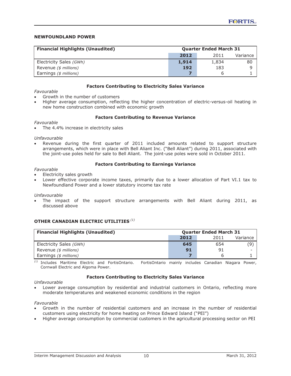### **NEWFOUNDLAND POWER**

| <b>Financial Highlights (Unaudited)</b> | <b>Quarter Ended March 31</b> |       |          |
|-----------------------------------------|-------------------------------|-------|----------|
|                                         | 2012                          | 2011  | Variance |
| Electricity Sales (GWh)                 | 1,914                         | 1,834 | 80       |
| Revenue (\$ millions)                   | 192                           | 183   | q        |
| Earnings (\$ millions)                  |                               |       |          |

#### **Factors Contributing to Electricity Sales Variance**

*Favourable* 

- -Growth in the number of customers
- - Higher average consumption, reflecting the higher concentration of electric-versus-oil heating in new home construction combined with economic growth

#### **Factors Contributing to Revenue Variance**

#### *Favourable*

• The 4.4% increase in electricity sales

#### *Unfavourable*

- Revenue during the first quarter of 2011 included amounts related to support structure arrangements, which were in place with Bell Aliant Inc. ("Bell Aliant") during 2011, associated with the joint-use poles held for sale to Bell Aliant. The joint-use poles were sold in October 2011.

## **Factors Contributing to Earnings Variance**

- *Favourable*  -Electricity sales growth
- - Lower effective corporate income taxes, primarily due to a lower allocation of Part VI.1 tax to Newfoundland Power and a lower statutory income tax rate

*Unfavourable*

- The impact of the support structure arrangements with Bell Aliant during 2011, as discussed above

## **OTHER CANADIAN ELECTRIC UTILITIES** *(1)*

| <b>Financial Highlights (Unaudited)</b> | <b>Quarter Ended March 31</b> |      |          |
|-----------------------------------------|-------------------------------|------|----------|
|                                         | 2012                          | 2011 | Variance |
| Electricity Sales (GWh)                 | 645                           | 654  | (9)      |
| Revenue (\$ millions)                   | 91                            | 91   |          |
| Earnings (\$ millions)                  |                               |      |          |

*(1)* Includes Maritime Electric and FortisOntario. FortisOntario mainly includes Canadian Niagara Power, Cornwall Electric and Algoma Power.

#### **Factors Contributing to Electricity Sales Variance**

*Unfavourable*

- Lower average consumption by residential and industrial customers in Ontario, reflecting more moderate temperatures and weakened economic conditions in the region

*Favourable* 

- - Growth in the number of residential customers and an increase in the number of residential customers using electricity for home heating on Prince Edward Island ("PEI")
- -Higher average consumption by commercial customers in the agricultural processing sector on PEI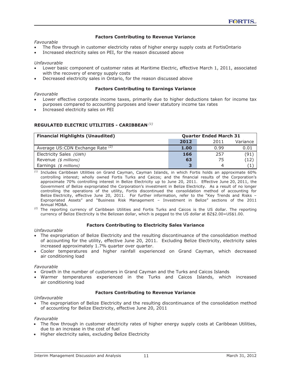#### **Factors Contributing to Revenue Variance**

#### *Favourable*

- -The flow through in customer electricity rates of higher energy supply costs at FortisOntario
- -Increased electricity sales on PEI, for the reason discussed above

#### *Unfavourable*

- - Lower basic component of customer rates at Maritime Electric, effective March 1, 2011, associated with the recovery of energy supply costs
- -Decreased electricity sales in Ontario, for the reason discussed above

#### **Factors Contributing to Earnings Variance**

*Favourable* 

- - Lower effective corporate income taxes, primarily due to higher deductions taken for income tax purposes compared to accounting purposes and lower statutory income tax rates
- -Increased electricity sales on PEI

#### **REGULATED ELECTRIC UTILITIES - CARIBBEAN** *(1)*

| <b>Financial Highlights (Unaudited)</b> | <b>Quarter Ended March 31</b> |      |              |
|-----------------------------------------|-------------------------------|------|--------------|
|                                         | 2012                          | 2011 | Variance     |
| Average US:CDN Exchange Rate (2)        | 1.00                          | 0.99 | 0.01         |
| Electricity Sales (GWh)                 | 166                           | 257  | (91)         |
| Revenue (\$ millions)                   | 63                            | 75   | (12)         |
| Earnings (\$ millions)                  | 3                             |      | $\mathbf{1}$ |

*(1)* Includes Caribbean Utilities on Grand Cayman, Cayman Islands, in which Fortis holds an approximate 60% controlling interest; wholly owned Fortis Turks and Caicos; and the financial results of the Corporation's approximate 70% controlling interest in Belize Electricity up to June 20, 2011. Effective June 20, 2011, the Government of Belize expropriated the Corporation's investment in Belize Electricity. As a result of no longer controlling the operations of the utility, Fortis discontinued the consolidation method of accounting for Belize Electricity, effective June 20, 2011. For further information, refer to the "Key Trends and Risks – Expropriated Assets" and "Business Risk Management – Investment in Belize" sections of the 2011 Annual MD&A.

*(2)* The reporting currency of Caribbean Utilities and Fortis Turks and Caicos is the US dollar. The reporting currency of Belize Electricity is the Belizean dollar, which is pegged to the US dollar at BZ\$2.00=US\$1.00.

#### **Factors Contributing to Electricity Sales Variance**

#### *Unfavourable*

- The expropriation of Belize Electricity and the resulting discontinuance of the consolidation method of accounting for the utility, effective June 20, 2011. Excluding Belize Electricity, electricity sales increased approximately 1.7% quarter over quarter.
- Cooler temperatures and higher rainfall experienced on Grand Cayman, which decreased air conditioning load

#### *Favourable*

- Growth in the number of customers in Grand Cayman and the Turks and Caicos Islands
- Warmer temperatures experienced in the Turks and Caicos Islands, which increased air conditioning load

#### **Factors Contributing to Revenue Variance**

#### *Unfavourable*

- The expropriation of Belize Electricity and the resulting discontinuance of the consolidation method of accounting for Belize Electricity, effective June 20, 2011

#### *Favourable*

- . The flow through in customer electricity rates of higher energy supply costs at Caribbean Utilities, due to an increase in the cost of fuel
- Higher electricity sales, excluding Belize Electricity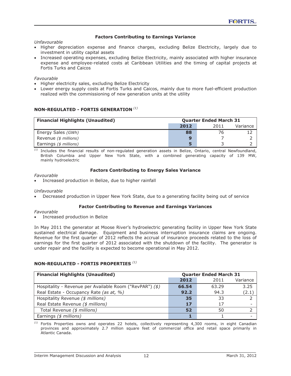#### **Factors Contributing to Earnings Variance**

*Unfavourable*

- Higher depreciation expense and finance charges, excluding Belize Electricity, largely due to investment in utility capital assets
- Increased operating expenses, excluding Belize Electricity, mainly associated with higher insurance expense and employee-related costs at Caribbean Utilities and the timing of capital projects at Fortis Turks and Caicos

*Favourable* 

- Higher electricity sales, excluding Belize Electricity
- Lower energy supply costs at Fortis Turks and Caicos, mainly due to more fuel-efficient production realized with the commissioning of new generation units at the utility

#### **NON-REGULATED - FORTIS GENERATION** *(1)*

| <b>Financial Highlights (Unaudited)</b> | <b>Quarter Ended March 31</b> |      |          |
|-----------------------------------------|-------------------------------|------|----------|
|                                         | 2012                          | 2011 | Variance |
| Energy Sales (GWh)                      | 88                            | 76   |          |
| Revenue (\$ millions)                   | g                             |      |          |
| Earnings (\$ millions)                  |                               |      |          |

*(1)* Includes the financial results of non-regulated generation assets in Belize, Ontario, central Newfoundland, British Columbia and Upper New York State, with a combined generating capacity of 139 MW, mainly hydroelectric

#### **Factors Contributing to Energy Sales Variance**

*Favourable* 

-Increased production in Belize, due to higher rainfall

*Unfavourable*

-Decreased production in Upper New York State, due to a generating facility being out of service

#### **Factor Contributing to Revenue and Earnings Variances**

*Favourable* 

-Increased production in Belize

In May 2011 the generator at Moose River's hydroelectric generating facility in Upper New York State sustained electrical damage. Equipment and business interruption insurance claims are ongoing. Revenue for the first quarter of 2012 reflects the accrual of insurance proceeds related to the loss of earnings for the first quarter of 2012 associated with the shutdown of the facility. The generator is under repair and the facility is expected to become operational in May 2012.

#### **NON-REGULATED - FORTIS PROPERTIES** *(1)*

| <b>Financial Highlights (Unaudited)</b>                  |       | <b>Quarter Ended March 31</b> |          |
|----------------------------------------------------------|-------|-------------------------------|----------|
|                                                          | 2012  | 2011                          | Variance |
| Hospitality - Revenue per Available Room ("RevPAR") (\$) | 66.54 | 63.29                         | 3.25     |
| Real Estate - Occupancy Rate (as at, %)                  | 92.2  | 94.3                          | (2.1)    |
| Hospitality Revenue (\$ millions)                        | 35    | 33                            |          |
| Real Estate Revenue (\$ millions)                        | 17    | 17                            |          |
| Total Revenue (\$ millions)                              | 52    | 50                            |          |
| Earnings (\$ millions)                                   |       |                               |          |

*(1)* Fortis Properties owns and operates 22 hotels, collectively representing 4,300 rooms, in eight Canadian provinces and approximately 2.7 million square feet of commercial office and retail space primarily in Atlantic Canada.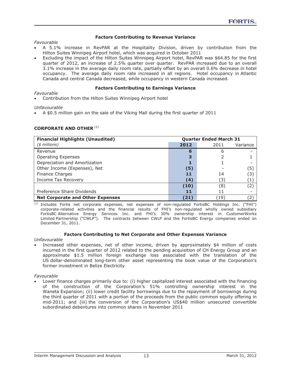#### **Factors Contributing to Revenue Variance**

#### *Favourable*

- - A 5.1% increase in RevPAR at the Hospitality Division, driven by contribution from the Hilton Suites Winnipeg Airport hotel, which was acquired in October 2011
- - Excluding the impact of the Hilton Suites Winnipeg Airport hotel, RevPAR was \$64.85 for the first quarter of 2012, an increase of 2.5% quarter over quarter. RevPAR increased due to an overall 3.1% increase in the average daily room rate, partially offset by an overall 0.6% decrease in hotel occupancy. The average daily room rate increased in all regions. Hotel occupancy in Atlantic Canada and central Canada decreased, while occupancy in western Canada increased.

#### **Factors Contributing to Earnings Variance**

#### *Favourable*

• Contribution from the Hilton Suites Winnipeg Airport hotel

#### *Unfavourable*

• A \$0.5 million gain on the sale of the Viking Mall during the first quarter of 2011

| <b>Financial Highlights (Unaudited)</b> |      | <b>Quarter Ended March 31</b> |          |  |  |
|-----------------------------------------|------|-------------------------------|----------|--|--|
| $($$ millions)                          | 2012 | 2011                          | Variance |  |  |
| Revenue                                 | 6    | 6                             |          |  |  |
| <b>Operating Expenses</b>               | 3    |                               |          |  |  |
| Depreciation and Amortization           |      |                               |          |  |  |
| Other Income (Expenses), Net            | (5)  |                               | (5)      |  |  |
| Finance Charges                         | 11   | 14                            | (3)      |  |  |
| Income Tax Recovery                     | (4)  | (3)                           | (1)      |  |  |
|                                         | (10) | (8)                           | (2)      |  |  |
| Preference Share Dividends              | 11   | 11                            |          |  |  |
| <b>Net Corporate and Other Expenses</b> | (21) | (19)                          | (2)      |  |  |

#### **CORPORATE AND OTHER** *(1)*

*(1)* Includes Fortis net corporate expenses, net expenses of non-regulated FortisBC Holdings Inc. ("FHI") corporate-related activities and the financial results of FHI's non-regulated wholly owned subsidiary FortisBC Alternative Energy Services Inc. and FHI's 30% ownership interest in CustomerWorks Limited Partnership ("CWLP"). The contracts between CWLP and the FortisBC Energy companies ended on December 31, 2011.

#### **Factors Contributing to Net Corporate and Other Expenses Variance**

#### *Unfavourable*

- Increased other expenses, net of other income, driven by approximately \$4 million of costs incurred in the first quarter of 2012 related to the pending acquisition of CH Energy Group and an approximate \$1.5 million foreign exchange loss associated with the translation of the US dollar-denominated long-term other asset representing the book value of the Corporation's former investment in Belize Electricity

#### *Favourable*

- Lower finance charges primarily due to: (i) higher capitalized interest associated with the financing of the construction of the Corporation's 51% controlling ownership interest in the Waneta Expansion; (ii) lower credit facility borrowings due to the repayment of borrowings during the third quarter of 2011 with a portion of the proceeds from the public common equity offering in mid-2011; and (iii) the conversion of the Corporation's US\$40 million unsecured convertible subordinated debentures into common shares in November 2011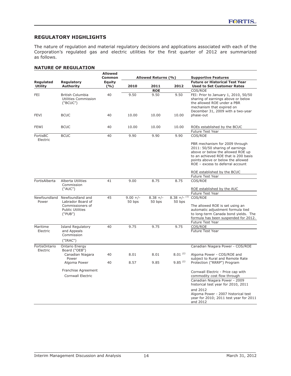## **REGULATORY HIGHLIGHTS**

**NATURE OF REGULATION**

The nature of regulation and material regulatory decisions and applications associated with each of the Corporation's regulated gas and electric utilities for the first quarter of 2012 are summarized as follows.

|                             | יוטגוניטונג שו ולבטטבאונטו                                                                      | <b>Allowed</b><br>Common |                      | Allowed Returns (%)  |                         | <b>Supportive Features</b>                                                                                                                                                                                                         |
|-----------------------------|-------------------------------------------------------------------------------------------------|--------------------------|----------------------|----------------------|-------------------------|------------------------------------------------------------------------------------------------------------------------------------------------------------------------------------------------------------------------------------|
| Regulated<br><b>Utility</b> | Regulatory<br><b>Authority</b>                                                                  | <b>Equity</b><br>(9/0)   | 2010                 | 2011                 | 2012                    | <b>Future or Historical Test Year</b><br><b>Used to Set Customer Rates</b>                                                                                                                                                         |
|                             |                                                                                                 |                          |                      | <b>ROE</b>           |                         | COS/ROE                                                                                                                                                                                                                            |
| FEI                         | <b>British Columbia</b><br><b>Utilities Commission</b><br>("BCUC")                              | 40                       | 9.50                 | 9.50                 | 9.50                    | FEI: Prior to January 1, 2010, 50/50<br>sharing of earnings above or below<br>the allowed ROE under a PBR<br>mechanism that expired on<br>December 31, 2009 with a two-year                                                        |
| <b>FEVI</b>                 | <b>BCUC</b>                                                                                     | 40                       | 10.00                | 10.00                | 10.00                   | phase-out                                                                                                                                                                                                                          |
| <b>FEWI</b>                 | <b>BCUC</b>                                                                                     | 40                       | 10.00                | 10.00                | 10.00                   | ROEs established by the BCUC                                                                                                                                                                                                       |
|                             |                                                                                                 |                          |                      |                      |                         | Future Test Year                                                                                                                                                                                                                   |
| FortisBC<br>Electric        | <b>BCUC</b>                                                                                     | 40                       | 9.90                 | 9.90                 | 9.90                    | COS/ROE<br>PBR mechanism for 2009 through<br>2011: 50/50 sharing of earnings<br>above or below the allowed ROE up<br>to an achieved ROE that is 200 basis<br>points above or below the allowed<br>ROE - excess to deferral account |
|                             |                                                                                                 |                          |                      |                      |                         | ROE established by the BCUC                                                                                                                                                                                                        |
|                             |                                                                                                 |                          |                      |                      |                         | Future Test Year                                                                                                                                                                                                                   |
| FortisAlberta               | Alberta Utilities                                                                               | 41                       | 9.00                 | 8.75                 | 8.75                    | COS/ROE                                                                                                                                                                                                                            |
|                             | Commission<br>("AUC")                                                                           |                          |                      |                      |                         | ROE established by the AUC<br>Future Test Year                                                                                                                                                                                     |
| Newfoundland<br>Power       | Newfoundland and<br>Labrador Board of<br>Commissioners of<br><b>Public Utilities</b><br>("PUB") | 45                       | $9.00 +/-$<br>50 bps | $8.38 +/-$<br>50 bps | $8.38 + (-1)$<br>50 bps | COS/ROE<br>The allowed ROE is set using an<br>automatic adjustment formula tied<br>to long-term Canada bond yields. The<br>formula has been suspended for 2012.<br>Future Test Year                                                |
| Maritime                    | <b>Island Regulatory</b>                                                                        | 40                       | 9.75                 | 9.75                 | 9.75                    | COS/ROE                                                                                                                                                                                                                            |
| Electric                    | and Appeals<br>Commission<br>(''IRAC")                                                          |                          |                      |                      |                         | <b>Future Test Year</b>                                                                                                                                                                                                            |
| FortisOntario               | Ontario Energy                                                                                  |                          |                      |                      |                         | Canadian Niagara Power - COS/ROE                                                                                                                                                                                                   |
| Electric                    | Board ("OEB")<br>Canadian Niagara<br>Power                                                      | 40                       | 8.01                 | 8.01                 | $8.01^{(2)}$            | Algoma Power - COS/ROE and<br>subject to Rural and Remote Rate                                                                                                                                                                     |
|                             | Algoma Power                                                                                    | 40                       | 8.57                 | 9.85                 | $9.85^{(2)}$            | Protection ("RRRP") Program                                                                                                                                                                                                        |
|                             | Franchise Agreement                                                                             |                          |                      |                      |                         |                                                                                                                                                                                                                                    |
|                             | Cornwall Electric                                                                               |                          |                      |                      |                         | Cornwall Electric - Price cap with<br>commodity cost flow through                                                                                                                                                                  |
|                             |                                                                                                 |                          |                      |                      |                         | Canadian Niagara Power - 2009<br>historical test year for 2010, 2011                                                                                                                                                               |
|                             |                                                                                                 |                          |                      |                      |                         | and 2012<br>Algoma Power - 2007 historical test<br>year for 2010; 2011 test year for 2011<br>and 2012                                                                                                                              |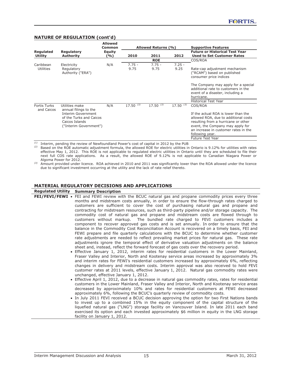#### **NATURE OF REGULATION (cont'd)**

|                                   |                                                                                           | <b>Allowed</b><br><b>Common</b> |               | Allowed Returns (%) |               | <b>Supportive Features</b>                                                                                                                                                                                        |
|-----------------------------------|-------------------------------------------------------------------------------------------|---------------------------------|---------------|---------------------|---------------|-------------------------------------------------------------------------------------------------------------------------------------------------------------------------------------------------------------------|
| Regulated<br>Utility              | Regulatory<br><b>Authority</b>                                                            | <b>Equity</b><br>(%)            | 2010          | 2011                | 2012          | <b>Future or Historical Test Year</b><br><b>Used to Set Customer Rates</b>                                                                                                                                        |
|                                   |                                                                                           |                                 |               | <b>ROE</b>          |               | COS/ROA                                                                                                                                                                                                           |
| Caribbean                         | Electricity                                                                               | N/A                             | $7.75 -$      | $7.75 -$            | $7.25 -$      |                                                                                                                                                                                                                   |
| <b>Utilities</b>                  | Regulatory<br>Authority ("ERA")                                                           |                                 | 9.75          | 9.75                | 9.25          | Rate-cap adjustment mechanism<br>("RCAM") based on published<br>consumer price indices                                                                                                                            |
|                                   |                                                                                           |                                 |               |                     |               | The Company may apply for a special<br>additional rate to customers in the<br>event of a disaster, including a<br>hurricane.                                                                                      |
|                                   |                                                                                           |                                 |               |                     |               | <b>Historical Test Year</b>                                                                                                                                                                                       |
| <b>Fortis Turks</b><br>and Caicos | Utilities make<br>annual filings to the                                                   | N/A                             | $17.50^{(3)}$ | $17.50^{(3)}$       | $17.50^{(3)}$ | COS/ROA                                                                                                                                                                                                           |
|                                   | Interim Government<br>of the Turks and Caicos<br>Caicos Islands<br>("Interim Government") |                                 |               |                     |               | If the actual ROA is lower than the<br>allowed ROA, due to additional costs<br>resulting from a hurricane or other<br>event, the Company may apply for<br>an increase in customer rates in the<br>following year. |
| $(11 - 2)$                        |                                                                                           |                                 |               |                     |               | <b>Future Test Year</b>                                                                                                                                                                                           |

*(1)* Interim, pending the review of Newfoundland Power's cost of capital in 2012 by the PUB

*(2)* Based on the ROE automatic adjustment formula, the allowed ROE for electric utilities in Ontario is 9.12% for utilities with rates effective May 1, 2012. This ROE is not applicable to regulated electric utilities in Ontario until they are scheduled to file their next full COS rate applications. As a result, the allowed ROE of 9.12% is not applicable to Canadian Niagara Power or Algoma Power for 2012.

*(3)* Amount provided under licence. ROA achieved in 2010 and 2011 was significantly lower than the ROA allowed under the licence due to significant investment occurring at the utility and the lack of rate relief thereto.

#### **MATERIAL REGULATORY DECISIONS AND APPLICATIONS**

**Regulated Utility Summary Description** 

- FEI/FEVI/FEWI FEI and FEWI review with the BCUC natural gas and propane commodity prices every three months and midstream costs annually, in order to ensure the flow-through rates charged to customers are sufficient to cover the cost of purchasing natural gas and propane and contracting for midstream resources, such as third-party pipeline and/or storage capacity. The commodity cost of natural gas and propane and midstream costs are flowed through to customers without markup. The bundled rate charged to FEVI customers includes a component to recover approved gas costs and is set annually. In order to ensure that the balance in the Commodity Cost Reconciliation Account is recovered on a timely basis, FEI and FEWI prepare and file quarterly calculations with the BCUC to determine whether customer rate adjustments are needed to reflect prevailing market prices for natural gas. These rate adjustments ignore the temporal effect of derivative valuation adjustments on the balance sheet and, instead, reflect the forward forecast of gas costs over the recovery period.
	- Effective January 1, 2012, interim rates for residential customers in the Lower Mainland, Fraser Valley and Interior, North and Kootenay service areas increased by approximately 3% and interim rates for FEWI's residential customers increased by approximately 6%, reflecting changes in delivery and midstream costs. Interim approval was also received to hold FEVI customer rates at 2011 levels, effective January 1, 2012. Natural gas commodity rates were unchanged, effective January 1, 2012.
	- Effective April 1, 2012, due to a decrease in natural gas commodity rates, rates for residential customers in the Lower Mainland, Fraser Valley and Interior, North and Kootenay service areas decreased by approximately 10% and rates for residential customers at FEWI decreased approximately 6%, following the BCUC's quarterly review of commodity costs.
	- In July 2011 FEVI received a BCUC decision approving the option for two First Nations bands to invest up to a combined 15% in the equity component of the capital structure of the liquefied natural gas ("LNG") storage facility on Vancouver Island. In late 2011 each band exercised its option and each invested approximately \$6 million in equity in the LNG storage facility on January 1, 2012.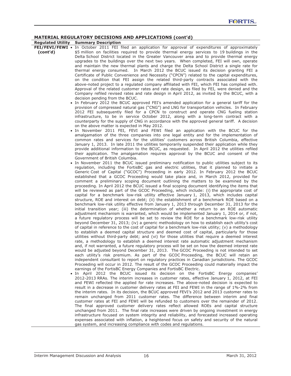**Regulated Utility Summary Description** 

- FEI/FEVI/FEWI In October 2011 FEI filed an application for approval of expenditures of approximately **(cont'd)**  \$5 million on facilities required to provide thermal energy services to 19 buildings in the Delta School District located in the Greater Vancouver area and to provide thermal energy upgrades to the buildings over the next two years. When completed, FEI will own, operate and maintain the new thermal plants and charge the Delta School District a single rate for thermal energy consumed. In March 2012 the BCUC issued its decision granting FEI a Certificate of Public Convenience and Necessity ("CPCN") related to the capital expenditures, on the condition that FEI assign the related third-party contracts associated with the above-noted project to a regulated company affiliated with FEI, which FEI has complied with. Approval of the related customer rates and rate design, as filed by FEI, were denied and the Company refiled revised rates and rate design in April 2012, as invited by the BCUC, with a decision pending from the BCUC.
	- In February 2012 the BCUC approved FEI's amended application for a general tariff for the provision of compressed natural gas ("CNG") and LNG for transportation vehicles. In February 2012 FEI subsequently filed for a CPCN to construct and operate CNG fueling station infrastructure, to be in service October 2012, along with a long-term contract with a counterparty for the supply of CNG in accordance with the approved general tariff. A decision on the above matter is expected in May 2012.
	- In November 2011 FEI, FEVI and FEWI filed an application with the BCUC for the amalgamation of the three companies into one legal entity and for the implementation of common rates and services for the utilities' customers across British Columbia, effective January 1, 2013. In late 2011 the utilities temporarily suspended their application while they provide additional information to the BCUC, as requested. In April 2012 the utilities refiled their application. The amalgamation requires approval by the BCUC and consent of the Government of British Columbia.
	- In November 2011 the BCUC issued preliminary notification to public utilities subject to its regulation, including the FortisBC gas and electric utilities, that it planned to initiate a Generic Cost of Capital ("GCOC") Proceeding in early 2012. In February 2012 the BCUC established that a GCOC Proceeding would take place and, in March 2012, provided for comment a preliminary scoping document outlining the matters to be examined by the proceeding. In April 2012 the BCUC issued a final scoping document identifying the items that will be reviewed as part of the GCOC Proceeding, which include: (i) the appropriate cost of capital for a benchmark low-risk utility effective January 1, 2013, which includes capital structure, ROE and interest on debt; (ii) the establishment of a benchmark ROE based on a benchmark low-risk utility effective from January 1, 2013 through December 31, 2013 for the initial transition year; (iii) the determination of whether a return to an ROE automatic adjustment mechanism is warranted, which would be implemented January 1, 2014 or, if not, a future regulatory process will be set to review the ROE for a benchmark low-risk utility beyond December 31, 2013; (iv) a generic methodology on how to establish each utility's cost of capital in reference to the cost of capital for a benchmark low-risk utility; (v) a methodology to establish a deemed capital structure and deemed cost of capital, particularly for those utilities without third-party debt; and (vi) for those utilities that require a deemed interest rate, a methodology to establish a deemed interest rate automatic adjustment mechanism and, if not warranted, a future regulatory process will be set on how the deemed interest rate would be adjusted beyond December 31, 2013. The GCOC Proceeding is not intended to set each utility's risk premium. As part of the GCOC Proceeding, the BCUC will retain an independent consultant to report on regulatory practices in Canadian jurisdictions. The GCOC Proceeding will occur in 2012. The result of the GCOC Proceeding could materially impact the earnings of the FortisBC Energy Companies and FortisBC Electric.
	- In April 2012 the BCUC issued its decision on the FortisBC Energy companies' 2012-2013 RRAs. The interim increases in customer rates, effective January 1, 2012, at FEI and FEWI reflected the applied for rate increases. The above-noted decision is expected to result in a decrease in customer delivery rates at FEI and FEWI in the range of 1%-2% from the interim rates. In its decision, the BCUC approved FEVI's 2012 and 2013 customer rates to remain unchanged from 2011 customer rates. The difference between interim and final customer rates at FEI and FEWI will be refunded to customers over the remainder of 2012. The final approved customer delivery rates reflect allowed ROEs and capital structure unchanged from 2011. The final rate increases were driven by ongoing investment in energy infrastructure focused on system integrity and reliability, and forecasted increased operating expenses associated with inflation, a heightened focus on safety and security of the natural gas system, and increasing compliance with codes and regulations.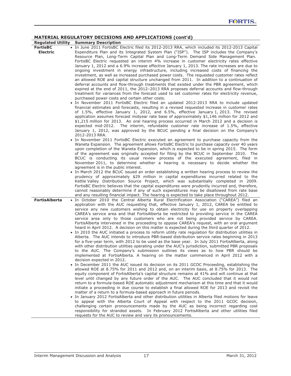|                                    | <b>Regulated Utility Summary Description</b>                                                                                                                                                                                                                                                                                                                                                                                                                                                                                                                                                                                                                                                                                                                                                                                                                                                                                                                                                                                                                                                                                                                                                                                                                                                   |
|------------------------------------|------------------------------------------------------------------------------------------------------------------------------------------------------------------------------------------------------------------------------------------------------------------------------------------------------------------------------------------------------------------------------------------------------------------------------------------------------------------------------------------------------------------------------------------------------------------------------------------------------------------------------------------------------------------------------------------------------------------------------------------------------------------------------------------------------------------------------------------------------------------------------------------------------------------------------------------------------------------------------------------------------------------------------------------------------------------------------------------------------------------------------------------------------------------------------------------------------------------------------------------------------------------------------------------------|
| <b>FortisBC</b><br><b>Electric</b> | • In June 2011 FortisBC Electric filed its 2012-2013 RRA, which included its 2012-2013 Capital<br>Expenditure Plan and its Integrated System Plan ("ISP"). The ISP includes the Company's<br>Resource Plan, Long-Term Capital Plan and Long-Term Demand Side Management Plan.<br>FortisBC Electric requested an interim 4% increase in customer electricity rates effective<br>January 1, 2012 and a 6.9% increase effective January 1, 2013. The rate increases are due to<br>ongoing investment in energy infrastructure, including increased costs of financing the<br>investment, as well as increased purchased power costs. The requested customer rates reflect<br>an allowed ROE and capital structure unchanged from 2011. In addition to a continuation of<br>deferral accounts and flow-through treatments that existed under the PBR agreement, which<br>expired at the end of 2011, the 2012-2013 RRA proposes deferral accounts and flow-through<br>treatment for variances from the forecast used to set customer rates for electricity revenue,<br>purchased power costs and certain other costs.                                                                                                                                                                              |
|                                    | • In November 2011 FortisBC Electric filed an updated 2012-2013 RRA to include updated<br>financial estimates and forecasts, resulting in a revised requested increase in customer rates<br>of 1.5%, effective January 1, 2012, and 6.5%, effective January 1, 2013. The revised<br>application assumes forecast midyear rate base of approximately \$1,146 million for 2012 and<br>\$1,215 million for 2013. An oral hearing process occurred in March 2012 and a decision is<br>expected mid-2012. The interim, refundable customer rate increase of 1.5%, effective<br>January 1, 2012, was approved by the BCUC pending a final decision on the Company's<br>2012-2013 RRA.                                                                                                                                                                                                                                                                                                                                                                                                                                                                                                                                                                                                                |
|                                    | • In November 2011 FortisBC Electric executed an agreement to purchase capacity from the<br>Waneta Expansion. The agreement allows FortisBC Electric to purchase capacity over 40 years<br>upon completion of the Waneta Expansion, which is expected to be in spring 2015. The form<br>of the agreement was originally accepted for filing by the BCUC in September 2010. The<br>BCUC is conducting its usual review process of the executed agreement, filed in<br>November 2011, to determine whether a hearing is necessary to decide whether the<br>agreement is in the public interest.                                                                                                                                                                                                                                                                                                                                                                                                                                                                                                                                                                                                                                                                                                  |
|                                    | • In March 2012 the BCUC issued an order establishing a written hearing process to review the<br>prudency of approximately \$29 million in capital expenditures incurred related to the<br>Kettle Valley Distribution Source Project, which was substantially completed in 2009.<br>FortisBC Electric believes that the capital expenditures were prudently incurred and, therefore,<br>cannot reasonably determine if any of such expenditures may be disallowed from rate base<br>and any resulting financial impact. The hearing is expected to take place throughout 2012.                                                                                                                                                                                                                                                                                                                                                                                                                                                                                                                                                                                                                                                                                                                 |
| <b>FortisAlberta</b>               | • In October 2010 the Central Alberta Rural Electrification Association ("CAREA") filed an<br>application with the AUC requesting that, effective January 1, 2012, CAREA be entitled to<br>service any new customers wishing to obtain electricity for use on property overlapping<br>CAREA's service area and that FortisAlberta be restricted to providing service in the CAREA<br>service area only to those customers who are not being provided service by CAREA.<br>FortisAlberta intervened in the proceeding to oppose CAREA's request, with an oral argument<br>heard in April 2012. A decision on this matter is expected during the third quarter of 2012.<br>• In 2010 the AUC initiated a process to reform utility rate regulation for distribution utilities in<br>Alberta. The AUC intends to introduce PBR-based distribution service rates beginning in 2013<br>for a five-year term, with 2012 to be used as the base year. In July 2011 FortisAlberta, along<br>with other distribution utilities operating under the AUC's jurisdiction, submitted PBR proposals<br>to the AUC. The Company's submission outlines its views as to how PBR should be<br>implemented at FortisAlberta. A hearing on the matter commenced in April 2012 with a<br>decision expected in 2012. |
|                                    | • In December 2011 the AUC issued its decision on its 2011 GCOC Proceeding, establishing the<br>allowed ROE at 8.75% for 2011 and 2012 and, on an interim basis, at 8.75% for 2013. The<br>equity component of FortisAlberta's capital structure remains at 41% and will continue at that<br>level until changed by any future order of the AUC. The AUC concluded that it would not<br>return to a formula-based ROE automatic adjustment mechanism at this time and that it would<br>initiate a proceeding in due course to establish a final allowed ROE for 2013 and revisit the<br>matter of a return to a formula-based approach in future periods.<br>• In January 2012 FortisAlberta and other distribution utilities in Alberta filed motions for leave<br>to appeal with the Alberta Court of Appeal with respect to the 2011 GCOC decision,<br>challenging certain pronouncements made by the AUC as being incorrect regarding cost<br>responsibility for stranded assets. In February 2012 FortisAlberta and other utilities filed<br>requests for the AUC to review and vary its pronouncements.                                                                                                                                                                                  |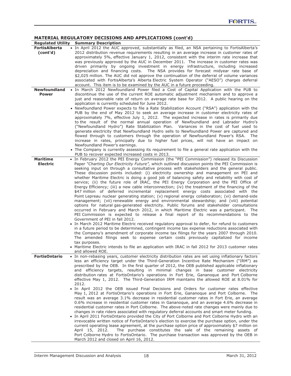|                      | <b>Regulated Utility Summary Description</b>                                                                       |
|----------------------|--------------------------------------------------------------------------------------------------------------------|
| <b>FortisAlberta</b> | . In April 2012 the AUC approved, substantially as filed, an NSA pertaining to FortisAlberta's                     |
| (cont'd)             | 2012 distribution revenue requirements resulting in an average increase in customer rates of                       |
|                      | approximately 5%, effective January 1, 2012, consistent with the interim rate increase that                        |
|                      | was previously approved by the AUC in December 2011. The increase in customer rates was                            |
|                      | driven primarily by ongoing investment in energy infrastructure, including increased                               |
|                      | depreciation and financing costs. The NSA provides for forecast midyear rate base of                               |
|                      | \$2,025 million. The AUC did not approve the continuation of the deferral of volume variances                      |
|                      | associated with FortisAlberta's Alberta Electric System Operator ("AESO") charges deferral                         |
|                      | account. This item is to be examined by the AUC in a future proceeding.                                            |
| <b>Newfoundland</b>  | . In March 2012 Newfoundland Power filed a Cost of Capital Application with the PUB to                             |
| <b>Power</b>         | discontinue the use of the current ROE automatic adjustment mechanism and to approve a                             |
|                      | just and reasonable rate of return on average rate base for 2012. A public hearing on the                          |
|                      | application is currently scheduled for June 2012.                                                                  |
|                      |                                                                                                                    |
|                      | • Newfoundland Power expects to file a Rate Stabilization Account ("RSA") application with the                     |
|                      | PUB by the end of May 2012 to seek an average increase in customer electricity rates of                            |
|                      | approximately 7%, effective July 1, 2012. The expected increase in rates is primarily due                          |
|                      | to the result of the normal annual operation of Newfoundland and Labrador Hydro's                                  |
|                      | ("Newfoundland Hydro") Rate Stabilization Plan. Variances in the cost of fuel used to                              |
|                      | generate electricity that Newfoundland Hydro sells to Newfoundland Power are captured and                          |
|                      | flowed through to customers through the operation of Newfoundland Power's RSA. The                                 |
|                      | increase in rates, principally due to higher fuel prices, will not have an impact on                               |
|                      | Newfoundland Power's earnings.                                                                                     |
|                      | • The Company is currently assessing its requirement to file a general rate application with the                   |
|                      | PUB to recover expected increased costs in 2013.                                                                   |
| <b>Maritime</b>      | • In February 2012 the PEI Energy Commission (the "PEI Commission") released its Discussion                        |
| <b>Electric</b>      | Paper "Charting Our Electricity Future", which outlined discussion points the PEI Commission is                    |
|                      | seeking input on through a consultative process with stakeholders and the general public.                          |
|                      | These discussion points included: (i) electricity ownership and management on PEI and                              |
|                      | whether Maritime Electric is doing a good job of balancing safety and reliability with cost of                     |
|                      | service; (ii) the future role of IRAC, the PEI Energy Corporation and the PEI Office of                            |
|                      | Energy Efficiency; (iii) a new cable interconnection; (iv) the treatment of the financing of the                   |
|                      | \$47 million of deferred incremental replacement energy costs associated with the                                  |
|                      | Point Lepreau nuclear generating station; (v) regional energy collaboration; (vi) demand-side                      |
|                      | management; (vii) renewable energy and environmental stewardship; and (viii) potential                             |
|                      | options for natural gas-generated electricity. Public forums and stakeholder consultations                         |
|                      | occurred in February and March 2012, in which Maritime Electric was a participant. The                             |
|                      | PEI Commission is expected to release a final report of its recommendations to the                                 |
|                      | Government of PEI in fall 2012.                                                                                    |
|                      | • In March 2012 Maritime Electric received regulatory approval to defer, for refund to customers                   |
|                      | in a future period to be determined, contingent income tax expense reductions associated with                      |
|                      | the Company's amendment of corporate income tax filings for the years 2007 through 2010.                           |
|                      | The amended filings seek to expense certain costs previously capitalized for income                                |
|                      |                                                                                                                    |
|                      | tax purposes.<br>• Maritime Electric intends to file an application with IRAC in fall 2012 for 2013 customer rates |
|                      | and allowed ROE.                                                                                                   |
| <b>FortisOntario</b> | • In non-rebasing years, customer electricity distribution rates are set using inflationary factors                |
|                      | less an efficiency target under the Third-Generation Incentive Rate Mechanism ("IRM") as                           |
|                      | prescribed by the OEB. In the first quarter of 2012, the OEB published applicable inflationary                     |
|                      |                                                                                                                    |
|                      | and efficiency targets, resulting in minimal changes in base customer electricity                                  |
|                      | distribution rates at FortisOntario's operations in Fort Erie, Gananoque and Port Colborne                         |
|                      | effective May 1, 2012. The Third-Generation IRM maintains the allowed ROE at 8.01% for                             |
|                      | 2012.                                                                                                              |
|                      | • In April 2012 the OEB issued Final Decisions and Orders for customer rates effective                             |
|                      | May 1, 2012 at FortisOntario's operations in Fort Erie, Gananoque and Port Colborne. The                           |
|                      | result was an average 3.1% decrease in residential customer rates in Fort Erie, an average                         |
|                      | 0.6% increase in residential customer rates in Gananoque, and an average 4.6% decrease in                          |
|                      | residential customer rates in Port Colborne. The above-noted rate changes were mainly due to                       |
|                      | changes in rate riders associated with regulatory deferral accounts and smart meter funding.                       |
|                      | • In April 2011 FortisOntario provided the City of Port Colborne and Port Colborne Hydro with an                   |
|                      | irrevocable written notice of FortisOntario's election to exercise the purchase option, under the                  |
|                      | current operating lease agreement, at the purchase option price of approximately \$7 million on                    |
|                      | April 15, 2012.<br>The purchase constitutes the sale of the remaining assets of                                    |
|                      | Port Colborne Hydro to FortisOntario. The purchase transaction was approved by the OEB in                          |
|                      | March 2012 and closed on April 16, 2012.                                                                           |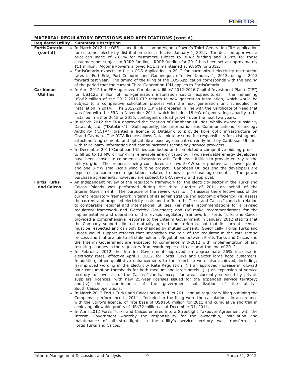| <b>Regulated Utility</b>                             | <b>Summary Description</b>                                                                                                                                                                                                                                                                                                                                                                                                                                                                                                                                                                                                                                                                                                                                                                                                                                                                                                                                                                                                                                                                                                                                                                                                                                                                                                                                                                                                                                                                                                                                                                                                                                                                                                                                                                                                                                                                                                                                                                                                                                                                                                                                                                                                                                                                                                                                                                                                                                                                                                                                                                                                                                                                                                                                                                                                                                                                                                                                    |
|------------------------------------------------------|---------------------------------------------------------------------------------------------------------------------------------------------------------------------------------------------------------------------------------------------------------------------------------------------------------------------------------------------------------------------------------------------------------------------------------------------------------------------------------------------------------------------------------------------------------------------------------------------------------------------------------------------------------------------------------------------------------------------------------------------------------------------------------------------------------------------------------------------------------------------------------------------------------------------------------------------------------------------------------------------------------------------------------------------------------------------------------------------------------------------------------------------------------------------------------------------------------------------------------------------------------------------------------------------------------------------------------------------------------------------------------------------------------------------------------------------------------------------------------------------------------------------------------------------------------------------------------------------------------------------------------------------------------------------------------------------------------------------------------------------------------------------------------------------------------------------------------------------------------------------------------------------------------------------------------------------------------------------------------------------------------------------------------------------------------------------------------------------------------------------------------------------------------------------------------------------------------------------------------------------------------------------------------------------------------------------------------------------------------------------------------------------------------------------------------------------------------------------------------------------------------------------------------------------------------------------------------------------------------------------------------------------------------------------------------------------------------------------------------------------------------------------------------------------------------------------------------------------------------------------------------------------------------------------------------------------------------------|
| <b>FortisOntario</b><br>(cont'd)<br><b>Caribbean</b> | • In March 2012 the OEB issued its decision on Algoma Power's Third-Generation IRM application<br>for customer electricity distribution rates, effective January 1, 2012. The decision approved a<br>price-cap index of 2.81% for customers subject to RRRP funding and 0.38% for those<br>customers not subject to RRRP funding. RRRP funding for 2012 has been set at approximately<br>\$11 million. Algoma Power's allowed ROE is maintained at 9.85% for 2012.<br>• FortisOntario expects to file a COS Application in 2012 for harmonized electricity distribution<br>rates in Fort Erie, Port Colborne and Gananoque, effective January 1, 2013, using a 2013<br>forward test year. The timing of the filing of the COS Application corresponds with the ending<br>of the period that the current Third-Generation IRM applies to FortisOntario.                                                                                                                                                                                                                                                                                                                                                                                                                                                                                                                                                                                                                                                                                                                                                                                                                                                                                                                                                                                                                                                                                                                                                                                                                                                                                                                                                                                                                                                                                                                                                                                                                                                                                                                                                                                                                                                                                                                                                                                                                                                                                                        |
| <b>Utilities</b>                                     | • In April 2012 the ERA approved Caribbean Utilities' 2012-2016 Capital Investment Plan ("CIP")<br>for US\$122 million of non-generation installation capital expenditures.<br>The remaining<br>US\$62 million of the 2012-2016 CIP relates to new generation installation, which would be<br>subject to a competitive solicitation process with the next generation unit scheduled for<br>installation in 2014. The 2012-2016 CIP was prepared in line with the Certificate of Need that<br>was filed with the ERA in November 2011, which included 18 MW of generating capacity to be<br>installed in either 2015 or 2016, contingent on load growth over the next two years.<br>• In March 2012 the ERA approved the creation of Caribbean Utilities' wholly owned subsidiary<br>DataLink, Ltd. ("DataLink"). Subsequently, the Information and Communications Technology<br>Authority ("ICTA") granted a licence to DataLink to provide fibre optic infrastructure on<br>Grand Cayman. The ICTA licence allows DataLink to assume full responsibility for existing pole<br>attachment agreements and optical fibre lease agreement currently held by Caribbean Utilities<br>with third-party information and communications technology service providers.<br>• In December 2011 Caribbean Utilities conducted and completed a competitive bidding process<br>to fill up to 13 MW of non-firm renewable energy capacity. Two renewable energy developers<br>have been chosen to commence discussions with Caribbean Utilities to provide energy to the<br>utility's grid. The proposals being considered are two 5-MW solar photovoltaic power plants<br>and one 3-MW small-scale wind turbine project. Caribbean Utilities and the developers are<br>expected to commence negotiations related to power purchase agreements. The power<br>purchase agreements, however, are subject to ERA review and approval.                                                                                                                                                                                                                                                                                                                                                                                                                                                                                                                                                                                                                                                                                                                                                                                                                                                                                                                                                                                                                                           |
| <b>Fortis Turks</b><br>and Caicos                    | • An independent review of the regulatory framework for the electricity sector in the Turks and<br>Caicos Islands was performed during the third quarter of 2011 on behalf of the<br>Interim Government. The purpose of the review was to: (i) assess the effectiveness of the<br>current regulatory framework in terms of its administrative and economic efficiency; (ii) assess<br>the current and proposed electricity costs and tariffs in the Turks and Caicos Islands in relation<br>to comparable regional and international utilities; (iii) make recommendations for a revised<br>regulatory framework and Electricity Ordinance; and (iv) make recommendations for the<br>implementation and operation of the revised regulatory framework. Fortis Turks and Caicos<br>provided a comprehensive response to the Interim Government in January 2012 stating that<br>the Company supports limited mutually agreed upon reforms, but that its current licences<br>must be respected and can only be changed by mutual consent. Specifically, Fortis Turks and<br>Caicos would support reforms that strengthen the role of the regulator in the rate-setting<br>process and that are fair to all stakeholders. Negotiations between Fortis Turks and Caicos and<br>the Interim Government are expected to commence mid-2012 with implementation of any<br>resulting changes in the regulatory framework expected to occur at the end of 2012.<br>· In February 2012 the Interim Government approved an approximate 26% increase in<br>electricity rates, effective April 1, 2012, for Fortis Turks and Caicos' large hotel customers.<br>In addition, other qualitative enhancements to the franchise were also achieved, including:<br>(i) improved wording in the Electricity Rate Regulation; (ii) an approved increase in kilowatt<br>hour consumption thresholds for both medium and large hotels; (iii) an expansion of service<br>territory to cover all of the Caicos Islands, except for areas currently serviced by private<br>suppliers' licences, with new 25-year licenses issued for the expanded service territory;<br>discontinuance of the government<br>and $(iv)$ the<br>subsidization of the<br>utility's<br>South Caicos operations.<br>• In March 2012 Fortis Turks and Caicos submitted its 2011 annual regulatory filing outlining the<br>Company's performance in 2011. Included in the filing were the calculations, in accordance<br>with the utility's licence, of rate base of US\$166 million for 2011 and cumulative shortfall in<br>achieving allowable profits of US\$72 million as at December 31, 2011.<br>• In April 2012 Fortis Turks and Caicos entered into a Streetlight Takeover Agreement with the<br>Interim Government whereby the responsibility for the ownership, installation and<br>maintenance of all streetlights in the utility's service territory was transferred to<br>Fortis Turks and Caicos. |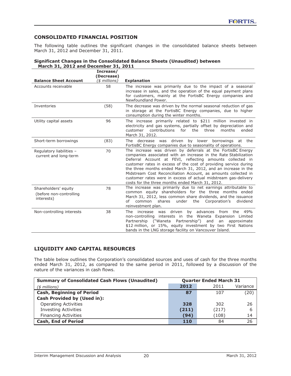## **CONSOLIDATED FINANCIAL POSITION**

The following table outlines the significant changes in the consolidated balance sheets between March 31, 2012 and December 31, 2011.

|                                                               | Increase/<br>(Decrease) |                                                                                                                                                                                                                                                                                                                                                                                                                                                                                                                          |
|---------------------------------------------------------------|-------------------------|--------------------------------------------------------------------------------------------------------------------------------------------------------------------------------------------------------------------------------------------------------------------------------------------------------------------------------------------------------------------------------------------------------------------------------------------------------------------------------------------------------------------------|
| <b>Balance Sheet Account</b>                                  | (\$ millions)           | <b>Explanation</b>                                                                                                                                                                                                                                                                                                                                                                                                                                                                                                       |
| Accounts receivable                                           | 58                      | The increase was primarily due to the impact of a seasonal<br>increase in sales, and the operation of the equal payment plans<br>for customers, mainly at the FortisBC Energy companies and<br>Newfoundland Power.                                                                                                                                                                                                                                                                                                       |
| Inventories                                                   | (58)                    | The decrease was driven by the normal seasonal reduction of gas<br>in storage at the FortisBC Energy companies, due to higher<br>consumption during the winter months.                                                                                                                                                                                                                                                                                                                                                   |
| Utility capital assets                                        | 96                      | The increase primarily related to \$211 million invested in<br>electricity and gas systems, partially offset by depreciation and<br>contributions<br>for<br>the<br>customer<br>three<br>months<br>ended<br>March 31, 2012.                                                                                                                                                                                                                                                                                               |
| Short-term borrowings                                         | (83)                    | The decrease was driven by lower borrowings at the<br>FortisBC Energy companies due to seasonality of operations.                                                                                                                                                                                                                                                                                                                                                                                                        |
| Regulatory liabilities -<br>current and long-term             | 70                      | The increase was driven by deferrals at the FortisBC Energy<br>companies associated with an increase in the Rate Stabilization<br>Deferral Account at FEVI, reflecting amounts collected in<br>customer rates in excess of the cost of providing service during<br>the three months ended March 31, 2012, and an increase in the<br>Midstream Cost Reconciliation Account, as amounts collected in<br>customer rates were in excess of actual midstream gas-delivery<br>costs for the three months ended March 31, 2012. |
| Shareholders' equity<br>(before non-controlling<br>interests) | 78                      | The increase was primarily due to net earnings attributable to<br>common equity shareholders for the three months ended<br>March 31, 2012, less common share dividends, and the issuance<br>common<br>shares<br>Corporation's<br>Ωf<br>under<br>the<br>dividend<br>reinvestment plan.                                                                                                                                                                                                                                    |
| Non-controlling interests                                     | 38                      | by advances from the 49%<br>The increase was driven<br>interests in the Waneta Expansion Limited<br>non-controlling<br>("Waneta<br>Partnership")<br>Partnership<br>and<br>an<br>approximate<br>\$12 million, or 15%, equity investment by two First Nations<br>bands in the LNG storage facility on Vancouver Island.                                                                                                                                                                                                    |

#### **Significant Changes in the Consolidated Balance Sheets (Unaudited) between March 31, 2012 and December 31, 2011**

## **LIQUIDITY AND CAPITAL RESOURCES**

The table below outlines the Corporation's consolidated sources and uses of cash for the three months ended March 31, 2012, as compared to the same period in 2011, followed by a discussion of the nature of the variances in cash flows.

| <b>Summary of Consolidated Cash Flows (Unaudited)</b> | <b>Quarter Ended March 31</b> |       |          |
|-------------------------------------------------------|-------------------------------|-------|----------|
| $($$ millions)                                        | 2012                          | 2011  | Variance |
| <b>Cash, Beginning of Period</b>                      | 87                            | 107   | (20)     |
| Cash Provided by (Used in):                           |                               |       |          |
| <b>Operating Activities</b>                           | 328                           | 302   | 26       |
| <b>Investing Activities</b>                           | (211)                         | (217) | 6        |
| <b>Financing Activities</b>                           | (94)                          | (108) | 14       |
| <b>Cash, End of Period</b>                            | 110                           | 84    | 26       |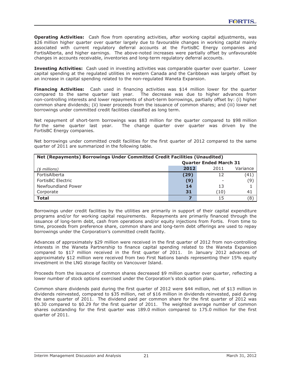**Operating Activities:** Cash flow from operating activities, after working capital adjustments, was \$26 million higher quarter over quarter largely due to favourable changes in working capital mainly associated with current regulatory deferral accounts at the FortisBC Energy companies and FortisAlberta, and higher earnings. The above-noted increases were partially offset by unfavourable changes in accounts receivable, inventories and long-term regulatory deferral accounts.

**Investing Activities:** Cash used in investing activities was comparable quarter over quarter. Lower capital spending at the regulated utilities in western Canada and the Caribbean was largely offset by an increase in capital spending related to the non-regulated Waneta Expansion.

**Financing Activities:** Cash used in financing activities was \$14 million lower for the quarter compared to the same quarter last year. The decrease was due to higher advances from non-controlling interests and lower repayments of short-term borrowings, partially offset by: (i) higher common share dividends; (ii) lower proceeds from the issuance of common shares; and (iii) lower net borrowings under committed credit facilities classified as long term.

Net repayment of short-term borrowings was \$83 million for the quarter compared to \$98 million for the same quarter last year. The change quarter over quarter was driven by the FortisBC Energy companies.

Net borrowings under committed credit facilities for the first quarter of 2012 compared to the same quarter of 2011 are summarized in the following table.

| Net (Repayments) Borrowings Under Committed Credit Facilities (Unaudited) |                               |      |          |  |
|---------------------------------------------------------------------------|-------------------------------|------|----------|--|
|                                                                           | <b>Quarter Ended March 31</b> |      |          |  |
| $($$ millions)                                                            | 2012                          | 2011 | Variance |  |
| FortisAlberta                                                             | (29)                          | 12   | (41)     |  |
| FortisBC Electric                                                         | (9)                           |      | (9)      |  |
| Newfoundland Power                                                        | 14                            | 13   |          |  |
| Corporate                                                                 | 31                            | (10) | 41       |  |
| <b>Total</b>                                                              |                               | 15   | (8)      |  |

Borrowings under credit facilities by the utilities are primarily in support of their capital expenditure programs and/or for working capital requirements. Repayments are primarily financed through the issuance of long-term debt, cash from operations and/or equity injections from Fortis. From time to time, proceeds from preference share, common share and long-term debt offerings are used to repay borrowings under the Corporation's committed credit facility.

Advances of approximately \$29 million were received in the first quarter of 2012 from non-controlling interests in the Waneta Partnership to finance capital spending related to the Waneta Expansion compared to \$17 million received in the first quarter of 2011. In January 2012 advances of approximately \$12 million were received from two First Nations bands representing their 15% equity investment in the LNG storage facility on Vancouver Island.

Proceeds from the issuance of common shares decreased \$9 million quarter over quarter, reflecting a lower number of stock options exercised under the Corporation's stock option plans.

Common share dividends paid during the first quarter of 2012 were \$44 million, net of \$13 million in dividends reinvested, compared to \$35 million, net of \$16 million in dividends reinvested, paid during the same quarter of 2011. The dividend paid per common share for the first quarter of 2012 was \$0.30 compared to \$0.29 for the first quarter of 2011. The weighted average number of common shares outstanding for the first quarter was 189.0 million compared to 175.0 million for the first quarter of 2011.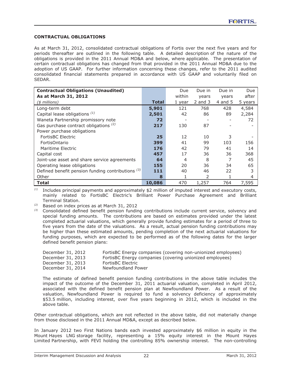#### **CONTRACTUAL OBLIGATIONS**

As at March 31, 2012, consolidated contractual obligations of Fortis over the next five years and for periods thereafter are outlined in the following table. A detailed description of the nature of the obligations is provided in the 2011 Annual MD&A and below, where applicable. The presentation of certain contractual obligations has changed from that provided in the 2011 Annual MD&A due to the adoption of US GAAP. For further information concerning these changes, refer to the 2011 audited consolidated financial statements prepared in accordance with US GAAP and voluntarily filed on SEDAR.

| <b>Contractual Obligations (Unaudited)</b>          |        | Due    | Due in      | Due in      | Due     |
|-----------------------------------------------------|--------|--------|-------------|-------------|---------|
| As at March 31, 2012                                |        | within | years       | years       | after   |
| $($$ millions)                                      | Total  | 1 year | $2$ and $3$ | $4$ and $5$ | 5 years |
| Long-term debt                                      | 5,901  | 121    | 768         | 428         | 4,584   |
| Capital lease obligations $(1)$                     | 2,501  | 42     | 86          | 89          | 2,284   |
| Waneta Partnership promissory note                  | 72     |        |             |             | 72      |
| Gas purchase contract obligations (2)               | 217    | 130    | 87          |             |         |
| Power purchase obligations                          |        |        |             |             |         |
| FortisBC Electric                                   | 25     | 12     | 10          | 3           |         |
| FortisOntario                                       | 399    | 41     | 99          | 103         | 156     |
| Maritime Electric                                   | 176    | 42     | 79          | 41          | 14      |
| Capital cost                                        | 457    | 17     | 36          | 36          | 368     |
| Joint-use asset and share service agreements        | 64     | 4      | 8           |             | 45      |
| Operating lease obligations                         | 155    | 20     | 36          | 34          | 65      |
| Defined benefit pension funding contributions $(3)$ | 111    | 40     | 46          | 22          | 3       |
| Other                                               | 8      |        | 2           |             | 4       |
| <b>Total</b>                                        | 10,086 | 470    | 1,257       | 764         | 7,595   |

*(1)* Includes principal payments and approximately \$2 million of imputed interest and executory costs, mainly related to FortisBC Electric's Brilliant Power Purchase Agreement and Brilliant Terminal Station.

*(2)* Based on index prices as at March 31, 2012

*(3)* Consolidated defined benefit pension funding contributions include current service, solvency and special funding amounts. The contributions are based on estimates provided under the latest completed actuarial valuations, which generally provide funding estimates for a period of three to five years from the date of the valuations. As a result, actual pension funding contributions may be higher than these estimated amounts, pending completion of the next actuarial valuations for funding purposes, which are expected to be performed as of the following dates for the larger defined benefit pension plans:

| FortisBC Energy companies (covering non-unionized employees) |
|--------------------------------------------------------------|
| FortisBC Energy companies (covering unionized employees)     |
| FortisBC Electric                                            |
| Newfoundland Power                                           |
|                                                              |

The estimate of defined benefit pension funding contributions in the above table includes the impact of the outcome of the December 31, 2011 actuarial valuation, completed in April 2012, associated with the defined benefit pension plan at Newfoundland Power. As a result of the valuation, Newfoundland Power is required to fund a solvency deficiency of approximately \$53.5 million, including interest, over five years beginning in 2012, which is included in the above table.

Other contractual obligations, which are not reflected in the above table, did not materially change from those disclosed in the 2011 Annual MD&A, except as described below.

In January 2012 two First Nations bands each invested approximately \$6 million in equity in the Mount Hayes LNG storage facility, representing a 15% equity interest in the Mount Hayes Limited Partnership, with FEVI holding the controlling 85% ownership interest. The non-controlling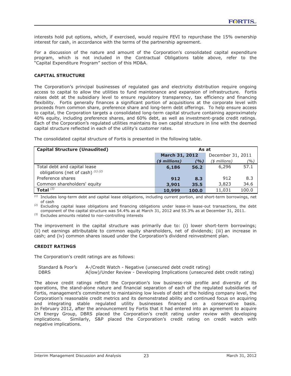interests hold put options, which, if exercised, would require FEVI to repurchase the 15% ownership interest for cash, in accordance with the terms of the partnership agreement.

For a discussion of the nature and amount of the Corporation's consolidated capital expenditure program, which is not included in the Contractual Obligations table above, refer to the "Capital Expenditure Program" section of this MD&A.

## **CAPITAL STRUCTURE**

The Corporation's principal businesses of regulated gas and electricity distribution require ongoing access to capital to allow the utilities to fund maintenance and expansion of infrastructure. Fortis raises debt at the subsidiary level to ensure regulatory transparency, tax efficiency and financing flexibility. Fortis generally finances a significant portion of acquisitions at the corporate level with proceeds from common share, preference share and long-term debt offerings. To help ensure access to capital, the Corporation targets a consolidated long-term capital structure containing approximately 40% equity, including preference shares, and 60% debt, as well as investment-grade credit ratings. Each of the Corporation's regulated utilities maintains its own capital structure in line with the deemed capital structure reflected in each of the utility's customer rates.

**Capital Structure (Unaudited) As at March 31, 2012** December 31, 2011 *(\$ millions) (%) (\$ millions) (%)* Total debt and capital lease **6,186 56.2** 6,296 57.1 obligations (net of cash) *(1) (2)* Preference shares **912 8.3** 912 8.3 Common shareholders' equity **3,901 35.5** 3,823 34.6 **Total** *(3)* **10,999 100.0** 11,031 100.0

The consolidated capital structure of Fortis is presented in the following table.

*(1)* Includes long-term debt and capital lease obligations, including current portion, and short-term borrowings, net of cash

*(2)* Excluding capital lease obligations and financing obligations under lease-in lease-out transactions, the debt component of the capital structure was 54.4% as at March 31, 2012 and 55.3% as at December 31, 2011.

*(3)* Excludes amounts related to non-controlling interests

The improvement in the capital structure was primarily due to: (i) lower short-term borrowings; (ii) net earnings attributable to common equity shareholders, net of dividends; (iii) an increase in cash; and (iv) common shares issued under the Corporation's dividend reinvestment plan.

#### **CREDIT RATINGS**

The Corporation's credit ratings are as follows:

| Standard & Poor's | A-/Credit Watch - Negative (unsecured debt credit rating)                    |
|-------------------|------------------------------------------------------------------------------|
| <b>DBRS</b>       | A(low)/Under Review - Developing Implications (unsecured debt credit rating) |

The above credit ratings reflect the Corporation's low business-risk profile and diversity of its operations, the stand-alone nature and financial separation of each of the regulated subsidiaries of Fortis, management's commitment to maintaining low levels of debt at the holding company level, the Corporation's reasonable credit metrics and its demonstrated ability and continued focus on acquiring and integrating stable regulated utility businesses financed on a conservative basis. In February 2012, after the announcement by Fortis that it had entered into an agreement to acquire CH Energy Group, DBRS placed the Corporation's credit rating under review with developing implications. Similarly, S&P placed the Corporation's credit rating on credit watch with negative implications.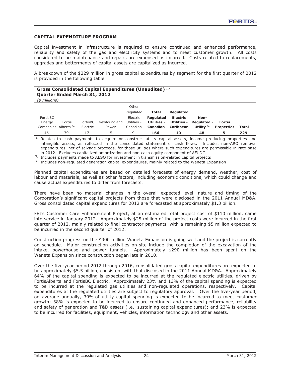#### **CAPITAL EXPENDITURE PROGRAM**

Capital investment in infrastructure is required to ensure continued and enhanced performance, reliability and safety of the gas and electricity systems and to meet customer growth. All costs considered to be maintenance and repairs are expensed as incurred. Costs related to replacements, upgrades and betterments of capital assets are capitalized as incurred.

A breakdown of the \$229 million in gross capital expenditures by segment for the first quarter of 2012 is provided in the following table.

#### **Gross Consolidated Capital Expenditures (Unaudited)** *(1)* **Quarter Ended March 31, 2012**

*(\$ millions)*

|                                  |        |          |              | Other       |                    |           |                         |                   |              |
|----------------------------------|--------|----------|--------------|-------------|--------------------|-----------|-------------------------|-------------------|--------------|
|                                  |        |          |              | Regulated   | <b>Total</b>       | Regulated |                         |                   |              |
| FortisBC                         |        |          |              | Electric    | Regulated          | Electric  | Non-                    |                   |              |
| Energy                           | Fortis | FortisBC | Newfoundland | Utilities - | <b>Utilities -</b> |           | Utilities - Regulated - | <b>Fortis</b>     |              |
| Companies Alberta <sup>(2)</sup> |        | Electric | Power        | Canadian    | Canadian           | Caribbean | Utility $(3)$           | <b>Properties</b> | <b>Total</b> |
| 46                               | 79     |          | 15           | q           | 166                | 10        | 48                      |                   | 229          |

*(1)* Relates to cash payments to acquire or construct utility capital assets, income producing properties and intangible assets, as reflected in the consolidated statement of cash flows. Includes non-ARO removal expenditures, net of salvage proceeds, for those utilities where such expenditures are permissible in rate base in 2012. Excludes capitalized amortization and non-cash equity component of AFUDC.

*(2)* Includes payments made to AESO for investment in transmission-related capital projects

*(3)* Includes non-regulated generation capital expenditures, mainly related to the Waneta Expansion

Planned capital expenditures are based on detailed forecasts of energy demand, weather, cost of labour and materials, as well as other factors, including economic conditions, which could change and cause actual expenditures to differ from forecasts.

There have been no material changes in the overall expected level, nature and timing of the Corporation's significant capital projects from those that were disclosed in the 2011 Annual MD&A. Gross consolidated capital expenditures for 2012 are forecasted at approximately \$1.3 billion.

FEI's Customer Care Enhancement Project, at an estimated total project cost of \$110 million, came into service in January 2012. Approximately \$25 million of the project costs were incurred in the first quarter of 2012, mainly related to final contractor payments, with a remaining \$5 million expected to be incurred in the second quarter of 2012.

Construction progress on the \$900 million Waneta Expansion is going well and the project is currently on schedule. Major construction activities on-site include the completion of the excavation of the intake, powerhouse and power tunnels. Approximately \$290 million has been spent on the Waneta Expansion since construction began late in 2010.

Over the five-year period 2012 through 2016, consolidated gross capital expenditures are expected to be approximately \$5.5 billion, consistent with that disclosed in the 2011 Annual MD&A. Approximately 64% of the capital spending is expected to be incurred at the regulated electric utilities, driven by FortisAlberta and FortisBC Electric. Approximately 23% and 13% of the capital spending is expected to be incurred at the regulated gas utilities and non-regulated operations, respectively. Capital expenditures at the regulated utilities are subject to regulatory approval. Over the five-year period, on average annually, 39% of utility capital spending is expected to be incurred to meet customer growth; 38% is expected to be incurred to ensure continued and enhanced performance, reliability and safety of generation and T&D assets (i.e., sustaining capital expenditures); and 23% is expected to be incurred for facilities, equipment, vehicles, information technology and other assets.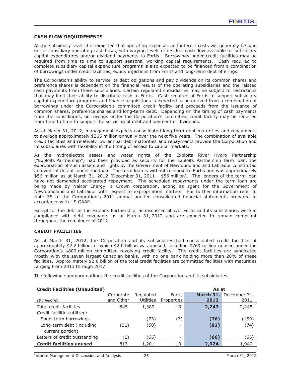#### **CASH FLOW REQUIREMENTS**

At the subsidiary level, it is expected that operating expenses and interest costs will generally be paid out of subsidiary operating cash flows, with varying levels of residual cash flow available for subsidiary capital expenditures and/or dividend payments to Fortis. Borrowings under credit facilities may be required from time to time to support seasonal working capital requirements. Cash required to complete subsidiary capital expenditure programs is also expected to be financed from a combination of borrowings under credit facilities, equity injections from Fortis and long-term debt offerings.

The Corporation's ability to service its debt obligations and pay dividends on its common shares and preference shares is dependent on the financial results of the operating subsidiaries and the related cash payments from these subsidiaries. Certain regulated subsidiaries may be subject to restrictions that may limit their ability to distribute cash to Fortis. Cash required of Fortis to support subsidiary capital expenditure programs and finance acquisitions is expected to be derived from a combination of borrowings under the Corporation's committed credit facility and proceeds from the issuance of common shares, preference shares and long-term debt. Depending on the timing of cash payments from the subsidiaries, borrowings under the Corporation's committed credit facility may be required from time to time to support the servicing of debt and payment of dividends.

As at March 31, 2012, management expects consolidated long-term debt maturities and repayments to average approximately \$265 million annually over the next five years. The combination of available credit facilities and relatively low annual debt maturities and repayments provide the Corporation and its subsidiaries with flexibility in the timing of access to capital markets.

As the hydroelectric assets and water rights of the Exploits River Hydro Partnership ("Exploits Partnership") had been provided as security for the Exploits Partnership term loan, the expropriation of such assets and rights by the Government of Newfoundland and Labrador constituted an event of default under the loan. The term loan is without recourse to Fortis and was approximately \$56 million as at March 31, 2012 (December 31, 2011 - \$56 million). The lenders of the term loan have not demanded accelerated repayment. The scheduled repayments under the term loan are being made by Nalcor Energy, a Crown corporation, acting as agent for the Government of Newfoundland and Labrador with respect to expropriation matters. For further information refer to Note 35 to the Corporation's 2011 annual audited consolidated financial statements prepared in accordance with US GAAP.

Except for the debt at the Exploits Partnership, as discussed above, Fortis and its subsidiaries were in compliance with debt covenants as at March 31, 2012 and are expected to remain compliant throughout the remainder of 2012.

#### **CREDIT FACILITIES**

As at March 31, 2012, the Corporation and its subsidiaries had consolidated credit facilities of approximately \$2.2 billion, of which \$2.0 billion was unused, including \$769 million unused under the Corporation's \$800 million committed revolving credit facility. The credit facilities are syndicated mostly with the seven largest Canadian banks, with no one bank holding more than 20% of these facilities. Approximately \$2.0 billion of the total credit facilities are committed facilities with maturities ranging from 2013 through 2017.

The following summary outlines the credit facilities of the Corporation and its subsidiaries.

| <b>Credit Facilities (Unaudited)</b> |           |                  |            | As at     |              |
|--------------------------------------|-----------|------------------|------------|-----------|--------------|
|                                      | Corporate | Regulated        | Fortis     | March 31, | December 31, |
| $($$ millions)                       | and Other | <b>Utilities</b> | Properties | 2012      | 2011         |
| Total credit facilities              | 845       | 1,389            | 13         | 2,247     | 2,248        |
| Credit facilities utilized:          |           |                  |            |           |              |
| Short-term borrowings                |           | (73)             | (3)        | (76)      | (159)        |
| Long-term debt (including            | (31)      | (50)             |            | (81)      | (74)         |
| current portion)                     |           |                  |            |           |              |
| Letters of credit outstanding        | (1)       | (65)             |            | (66)      | 66'          |
| <b>Credit facilities unused</b>      | 813       | 1,201            | 10         | 2,024     | 1,949        |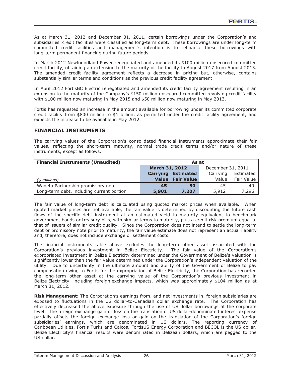As at March 31, 2012 and December 31, 2011, certain borrowings under the Corporation's and subsidiaries' credit facilities were classified as long-term debt. These borrowings are under long-term committed credit facilities and management's intention is to refinance these borrowings with long-term permanent financing during future periods.

In March 2012 Newfoundland Power renegotiated and amended its \$100 million unsecured committed credit facility, obtaining an extension to the maturity of the facility to August 2017 from August 2015. The amended credit facility agreement reflects a decrease in pricing but, otherwise, contains substantially similar terms and conditions as the previous credit facility agreement.

In April 2012 FortisBC Electric renegotiated and amended its credit facility agreement resulting in an extension to the maturity of the Company's \$150 million unsecured committed revolving credit facility with \$100 million now maturing in May 2015 and \$50 million now maturing in May 2013.

Fortis has requested an increase in the amount available for borrowing under its committed corporate credit facility from \$800 million to \$1 billion, as permitted under the credit facility agreement, and expects the increase to be available in May 2012.

## **FINANCIAL INSTRUMENTS**

The carrying values of the Corporation's consolidated financial instruments approximate their fair values, reflecting the short-term maturity, normal trade credit terms and/or nature of these instruments, except as follows.

| <b>Financial Instruments (Unaudited)</b>  |                       | As at             |                   |            |
|-------------------------------------------|-----------------------|-------------------|-------------------|------------|
|                                           | <b>March 31, 2012</b> |                   | December 31, 2011 |            |
|                                           | <b>Carrying</b>       | <b>Estimated</b>  | Carrying          | Estimated  |
| (\$ millions)                             | <b>Value</b>          | <b>Fair Value</b> | Value             | Fair Value |
| Waneta Partnership promissory note        | 45                    | 50                | 45                | 49         |
| Long-term debt, including current portion | 5,901                 | 7,207             | 5,912             | 7,296      |

The fair value of long-term debt is calculated using quoted market prices when available. When quoted market prices are not available, the fair value is determined by discounting the future cash flows of the specific debt instrument at an estimated yield to maturity equivalent to benchmark government bonds or treasury bills, with similar terms to maturity, plus a credit risk premium equal to that of issuers of similar credit quality. Since the Corporation does not intend to settle the long-term debt or promissory note prior to maturity, the fair value estimate does not represent an actual liability and, therefore, does not include exchange or settlement costs.

The financial instruments table above excludes the long-term other asset associated with the Corporation's previous investment in Belize Electricity. The fair value of the Corporation's expropriated investment in Belize Electricity determined under the Government of Belize's valuation is significantly lower than the fair value determined under the Corporation's independent valuation of the utility. Due to uncertainty in the ultimate amount and ability of the Government of Belize to pay compensation owing to Fortis for the expropriation of Belize Electricity, the Corporation has recorded the long-term other asset at the carrying value of the Corporation's previous investment in Belize Electricity, including foreign exchange impacts, which was approximately \$104 million as at March 31, 2012.

**Risk Management:** The Corporation's earnings from, and net investments in, foreign subsidiaries are exposed to fluctuations in the US dollar-to-Canadian dollar exchange rate. The Corporation has effectively decreased the above exposure through the use of US dollar borrowings at the corporate level. The foreign exchange gain or loss on the translation of US dollar-denominated interest expense partially offsets the foreign exchange loss or gain on the translation of the Corporation's foreign subsidiaries' earnings, which are denominated in US dollars. The reporting currency of Caribbean Utilities, Fortis Turks and Caicos, FortisUS Energy Corporation and BECOL is the US dollar. Belize Electricity's financial results were denominated in Belizean dollars, which are pegged to the US dollar.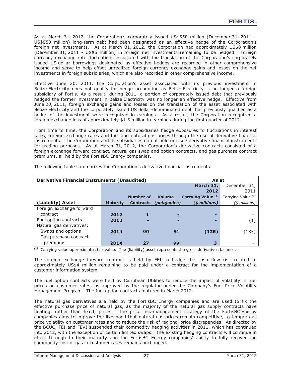As at March 31, 2012, the Corporation's corporately issued US\$550 million (December 31, 2011 -US\$550 million) long-term debt had been designated as an effective hedge of the Corporation's foreign net investments. As at March 31, 2012, the Corporation had approximately US\$8 million (December 31, 2011 - US\$6 million) in foreign net investments remaining to be hedged. Foreign currency exchange rate fluctuations associated with the translation of the Corporation's corporately issued US dollar borrowings designated as effective hedges are recorded in other comprehensive income and serve to help offset unrealized foreign currency exchange gains and losses on the net investments in foreign subsidiaries, which are also recorded in other comprehensive income.

Effective June 20, 2011, the Corporation's asset associated with its previous investment in Belize Electricity does not qualify for hedge accounting as Belize Electricity is no longer a foreign subsidiary of Fortis. As a result, during 2011, a portion of corporately issued debt that previously hedged the former investment in Belize Electricity was no longer an effective hedge. Effective from June 20, 2011, foreign exchange gains and losses on the translation of the asset associated with Belize Electricity and the corporately issued US dollar-denominated debt that previously qualified as a hedge of the investment were recognized in earnings. As a result, the Corporation recognized a foreign exchange loss of approximately \$1.5 million in earnings during the first quarter of 2012.

From time to time, the Corporation and its subsidiaries hedge exposures to fluctuations in interest rates, foreign exchange rates and fuel and natural gas prices through the use of derivative financial instruments. The Corporation and its subsidiaries do not hold or issue derivative financial instruments for trading purposes. As at March 31, 2012, the Corporation's derivative contracts consisted of a foreign exchange forward contract, natural gas swap and option contracts, and gas purchase contract premiums, all held by the FortisBC Energy companies.

| <b>Derivative Financial Instruments (Unaudited)</b> |                 |                  |                     | As at                |                               |
|-----------------------------------------------------|-----------------|------------------|---------------------|----------------------|-------------------------------|
|                                                     |                 |                  |                     | March 31,            | December 31,                  |
|                                                     |                 |                  |                     | 2012                 | 2011                          |
|                                                     |                 | <b>Number of</b> | <b>Volume</b>       | Carrying Value $(1)$ | Carrying Value <sup>(1)</sup> |
| (Liability) Asset                                   | <b>Maturity</b> | <b>Contracts</b> | <i>(petajoules)</i> | (\$ millions)        | $($$ millions)                |
| Foreign exchange forward                            |                 |                  |                     |                      |                               |
| contract                                            | 2012            |                  |                     | -                    |                               |
| Fuel option contracts                               | 2012            |                  |                     | -                    | (1)                           |
| Natural gas derivatives:                            |                 |                  |                     |                      |                               |
| Swaps and options                                   | 2014            | 90               | 51                  | (135)                | (135)                         |
| Gas purchase contract                               |                 |                  |                     |                      |                               |
| premiums                                            | 2014            | 27               | 99                  | 3                    |                               |

The following table summarizes the Corporation's derivative financial instruments.

*(1)* Carrying value approximates fair value. The (liability) asset represents the gross derivatives balance.

The foreign exchange forward contract is held by FEI to hedge the cash flow risk related to approximately US\$4 million remaining to be paid under a contract for the implementation of a customer information system.

The fuel option contracts were held by Caribbean Utilities to reduce the impact of volatility in fuel prices on customer rates, as approved by the regulator under the Company's Fuel Price Volatility Management Program. The fuel option contracts matured in March 2012.

The natural gas derivatives are held by the FortisBC Energy companies and are used to fix the effective purchase price of natural gas, as the majority of the natural gas supply contracts have floating, rather than fixed, prices. The price risk-management strategy of the FortisBC Energy companies aims to improve the likelihood that natural gas prices remain competitive, to temper gas price volatility on customer rates and to reduce the risk of regional price discrepancies. As directed by the BCUC, FEI and FEVI suspended their commodity hedging activities in 2011, which has continued into 2012, with the exception of certain limited swaps. The existing hedging contracts will continue in effect through to their maturity and the FortisBC Energy companies' ability to fully recover the commodity cost of gas in customer rates remains unchanged.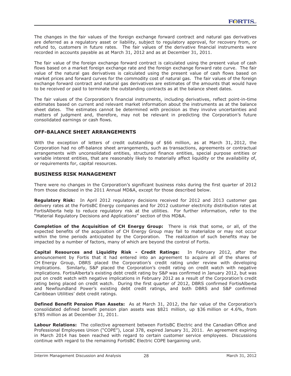The changes in the fair values of the foreign exchange forward contract and natural gas derivatives are deferred as a regulatory asset or liability, subject to regulatory approval, for recovery from, or refund to, customers in future rates. The fair values of the derivative financial instruments were recorded in accounts payable as at March 31, 2012 and as at December 31, 2011.

The fair value of the foreign exchange forward contract is calculated using the present value of cash flows based on a market foreign exchange rate and the foreign exchange forward rate curve. The fair value of the natural gas derivatives is calculated using the present value of cash flows based on market prices and forward curves for the commodity cost of natural gas. The fair values of the foreign exchange forward contract and natural gas derivatives are estimates of the amounts that would have to be received or paid to terminate the outstanding contracts as at the balance sheet dates.

The fair values of the Corporation's financial instruments, including derivatives, reflect point-in-time estimates based on current and relevant market information about the instruments as at the balance sheet dates. The estimates cannot be determined with precision as they involve uncertainties and matters of judgment and, therefore, may not be relevant in predicting the Corporation's future consolidated earnings or cash flows.

## **OFF-BALANCE SHEET ARRANGEMENTS**

With the exception of letters of credit outstanding of \$66 million, as at March 31, 2012, the Corporation had no off-balance sheet arrangements, such as transactions, agreements or contractual arrangements with unconsolidated entities, structured finance entities, special purpose entities or variable interest entities, that are reasonably likely to materially affect liquidity or the availability of, or requirements for, capital resources.

## **BUSINESS RISK MANAGEMENT**

There were no changes in the Corporation's significant business risks during the first quarter of 2012 from those disclosed in the 2011 Annual MD&A, except for those described below.

**Regulatory Risk:** In April 2012 regulatory decisions received for 2012 and 2013 customer gas delivery rates at the FortisBC Energy companies and for 2012 customer electricity distribution rates at FortisAlberta help to reduce regulatory risk at the utilities. For further information, refer to the "Material Regulatory Decisions and Applications" section of this MD&A.

**Completion of the Acquisition of CH Energy Group:** There is risk that some, or all, of the expected benefits of the acquisition of CH Energy Group may fail to materialize or may not occur within the time periods anticipated by the Corporation. The realization of such benefits may be impacted by a number of factors, many of which are beyond the control of Fortis.

**Capital Resources and Liquidity Risk - Credit Ratings:** In February 2012, after the announcement by Fortis that it had entered into an agreement to acquire all of the shares of CH Energy Group, DBRS placed the Corporation's credit rating under review with developing implications. Similarly, S&P placed the Corporation's credit rating on credit watch with negative implications. FortisAlberta's existing debt credit rating by S&P was confirmed in January 2012, but was put on credit watch with negative implications in February 2012 as a result of the Corporation's credit rating being placed on credit watch. During the first quarter of 2012, DBRS confirmed FortisAlberta and Newfoundland Power's existing debt credit ratings, and both DBRS and S&P confirmed Caribbean Utilities' debt credit ratings.

**Defined Benefit Pension Plan Assets:** As at March 31, 2012, the fair value of the Corporation's consolidated defined benefit pension plan assets was \$821 million, up \$36 million or 4.6%, from \$785 million as at December 31, 2011.

**Labour Relations:** The collective agreement between FortisBC Electric and the Canadian Office and Professional Employees Union ("COPE"), Local 378, expired January 31, 2011. An agreement expiring in March 2014 has been reached with regard to certain customer service employees. Discussions continue with regard to the remaining FortisBC Electric COPE bargaining unit.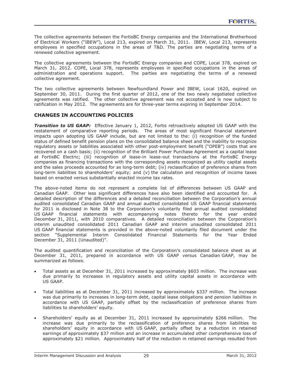The collective agreements between the FortisBC Energy companies and the International Brotherhood of Electrical Workers ("IBEW"), Local 213, expired on March 31, 2011. IBEW, Local 213, represents employees in specified occupations in the areas of T&D. The parties are negotiating terms of a renewed collective agreement.

The collective agreements between the FortisBC Energy companies and COPE, Local 378, expired on March 31, 2012. COPE, Local 378, represents employees in specified occupations in the areas of administration and operations support. The parties are negotiating the terms of a renewed collective agreement.

The two collective agreements between Newfoundland Power and IBEW, Local 1620, expired on September 30, 2011. During the first quarter of 2012, one of the two newly negotiated collective agreements was ratified. The other collective agreement was not accepted and is now subject to ratification in May 2012. The agreements are for three-year terms expiring in September 2014.

## **CHANGES IN ACCOUNTING POLICIES**

*Transition to US GAAP:* Effective January 1, 2012, Fortis retroactively adopted US GAAP with the restatement of comparative reporting periods. The areas of most significant financial statement impacts upon adopting US GAAP include, but are not limited to the: (i) recognition of the funded status of defined benefit pension plans on the consolidated balance sheet and the inability to recognize regulatory assets or liabilities associated with other post-employment benefit ("OPEB") costs that are recovered on a cash basis; (ii) recognition of the Brilliant Power Purchase Agreement as a capital lease at FortisBC Electric; (iii) recognition of lease-in lease-out transactions at the FortisBC Energy companies as financing transactions with the corresponding assets recognized as utility capital assets and the sales proceeds accounted for as long-term debt; (iv) reclassification of preference shares from long-term liabilities to shareholders' equity; and (v) the calculation and recognition of income taxes based on enacted versus substantially enacted income tax rates.

The above-noted items do not represent a complete list of differences between US GAAP and Canadian GAAP. Other less significant differences have also been identified and accounted for. A detailed description of the differences and a detailed reconciliation between the Corporation's annual audited consolidated Canadian GAAP and annual audited consolidated US GAAP financial statements for 2011 is disclosed in Note 38 to the Corporation's voluntarily filed annual audited consolidated US GAAP financial statements with accompanying notes thereto for the year ended December 31, 2011, with 2010 comparatives. A detailed reconciliation between the Corporation's interim unaudited consolidated 2011 Canadian GAAP and interim unaudited consolidated 2011 US GAAP financial statements is provided in the above-noted voluntarily filed document under the section "Supplemental Interim Consolidated Financial Statements for the Year Ended December 31, 2011 (Unaudited)".

The audited quantification and reconciliation of the Corporation's consolidated balance sheet as at December 31, 2011, prepared in accordance with US GAAP versus Canadian GAAP, may be summarized as follows.

- - Total assets as at December 31, 2011 increased by approximately \$603 million. The increase was due primarily to increases in regulatory assets and utility capital assets in accordance with US GAAP.
- - Total liabilities as at December 31, 2011 increased by approximately \$337 million. The increase was due primarily to increases in long-term debt, capital lease obligations and pension liabilities in accordance with US GAAP, partially offset by the reclassification of preference shares from liabilities to shareholders' equity.
- - Shareholders' equity as at December 31, 2011 increased by approximately \$266 million. The increase was due primarily to the reclassification of preference shares from liabilities to shareholders' equity in accordance with US GAAP, partially offset by a reduction in retained earnings of approximately \$37 million and an increase in accumulated other comprehensive loss of approximately \$21 million. Approximately half of the reduction in retained earnings resulted from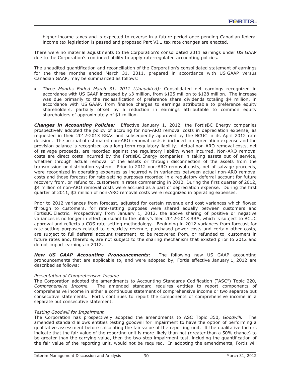higher income taxes and is expected to reverse in a future period once pending Canadian federal income tax legislation is passed and proposed Part VI.1 tax rate changes are enacted.

There were no material adjustments to the Corporation's consolidated 2011 earnings under US GAAP due to the Corporation's continued ability to apply rate-regulated accounting policies.

The unaudited quantification and reconciliation of the Corporation's consolidated statement of earnings for the three months ended March 31, 2011, prepared in accordance with US GAAP versus Canadian GAAP, may be summarized as follows:

- *Three Months Ended March 31, 2011 (Unaudited):* Consolidated net earnings recognized in accordance with US GAAP increased by \$3 million, from \$125 million to \$128 million. The increase was due primarily to the reclassification of preference share dividends totaling \$4 million, in accordance with US GAAP, from finance charges to earnings attributable to preference equity shareholders, partially offset by a reduction in earnings attributable to common equity shareholders of approximately of \$1 million.

*Changes in Accounting Policies:* Effective January 1, 2012, the FortisBC Energy companies prospectively adopted the policy of accruing for non-ARO removal costs in depreciation expense, as requested in their 2012-2013 RRAs and subsequently approved by the BCUC in its April 2012 rate decision. The accrual of estimated non-ARO removal costs is included in depreciation expense and the provision balance is recognized as a long-term regulatory liability. Actual non-ARO removal costs, net of salvage proceeds, are recorded against the regulatory liability when incurred. Non-ARO removal costs are direct costs incurred by the FortisBC Energy companies in taking assets out of service, whether through actual removal of the assets or through disconnection of the assets from the transmission or distribution system. Prior to 2012 non-ARO removal costs, net of salvage proceeds, were recognized in operating expenses as incurred with variances between actual non-ARO removal costs and those forecast for rate-setting purposes recorded in a regulatory deferral account for future recovery from, or refund to, customers in rates commencing in 2012. During the first quarter of 2012, \$4 million of non-ARO removal costs were accrued as a part of depreciation expense. During the first quarter of 2011, \$3 million of non-ARO removal costs were recognized in operating expenses.

Prior to 2012 variances from forecast, adjusted for certain revenue and cost variances which flowed through to customers, for rate-setting purposes were shared equally between customers and FortisBC Electric. Prospectively from January 1, 2012, the above sharing of positive or negative variances is no longer in effect pursuant to the utility's filed 2012-2013 RRA, which is subject to BCUC approval and reflects a COS rate-setting methodology. Beginning in 2012 variances from forecast for rate-setting purposes related to electricity revenue, purchased power costs and certain other costs, are subject to full deferral account treatment, to be recovered from, or refunded to, customers in future rates and, therefore, are not subject to the sharing mechanism that existed prior to 2012 and do not impact earnings in 2012.

*New US GAAP Accounting Pronouncements*: The following new US GAAP accounting pronouncements that are applicable to, and were adopted by, Fortis effective January 1, 2012 are described as follows:

#### *Presentation of Comprehensive Income*

The Corporation adopted the amendments to Accounting Standards Codification ("ASC") Topic 220, *Comprehensive Income.* The amended standard requires entities to report components of comprehensive income in either a continuous statement of comprehensive income or two separate but consecutive statements. Fortis continues to report the components of comprehensive income in a separate but consecutive statement.

#### *Testing Goodwill for Impairment*

The Corporation has prospectively adopted the amendments to ASC Topic 350, *Goodwill.* The amended standard allows entities testing goodwill for impairment to have the option of performing a qualitative assessment before calculating the fair value of the reporting unit. If the qualitative factors indicate that the fair value of the reporting unit is more likely than not (greater than a 50% chance) to be greater than the carrying value, then the two-step impairment test, including the quantification of the fair value of the reporting unit, would not be required. In adopting the amendments, Fortis will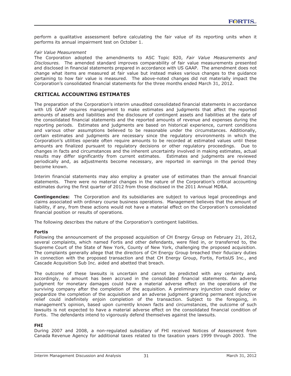perform a qualitative assessment before calculating the fair value of its reporting units when it performs its annual impairment test on October 1.

#### *Fair Value Measurement*

The Corporation adopted the amendments to ASC Topic 820, *Fair Value Measurements and Disclosures.* The amended standard improves comparability of fair value measurements presented and disclosed in financial statements prepared in accordance with US GAAP. The amendment does not change what items are measured at fair value but instead makes various changes to the guidance pertaining to how fair value is measured. The above-noted changes did not materially impact the Corporation's consolidated financial statements for the three months ended March 31, 2012.

## **CRITICAL ACCOUNTING ESTIMATES**

The preparation of the Corporation's interim unaudited consolidated financial statements in accordance with US GAAP requires management to make estimates and judgments that affect the reported amounts of assets and liabilities and the disclosure of contingent assets and liabilities at the date of the consolidated financial statements and the reported amounts of revenue and expenses during the reporting periods. Estimates and judgments are based on historical experience, current conditions and various other assumptions believed to be reasonable under the circumstances. Additionally, certain estimates and judgments are necessary since the regulatory environments in which the Corporation's utilities operate often require amounts to be recorded at estimated values until these amounts are finalized pursuant to regulatory decisions or other regulatory proceedings. Due to changes in facts and circumstances and the inherent uncertainty involved in making estimates, actual results may differ significantly from current estimates. Estimates and judgments are reviewed periodically and, as adjustments become necessary, are reported in earnings in the period they become known.

Interim financial statements may also employ a greater use of estimates than the annual financial statements. There were no material changes in the nature of the Corporation's critical accounting estimates during the first quarter of 2012 from those disclosed in the 2011 Annual MD&A.

**Contingencies:** The Corporation and its subsidiaries are subject to various legal proceedings and claims associated with ordinary course business operations. Management believes that the amount of liability, if any, from these actions would not have a material effect on the Corporation's consolidated financial position or results of operations.

The following describes the nature of the Corporation's contingent liabilities.

#### **Fortis**

Following the announcement of the proposed acquisition of CH Energy Group on February 21, 2012, several complaints, which named Fortis and other defendants, were filed in, or transferred to, the Supreme Court of the State of New York, County of New York, challenging the proposed acquisition. The complaints generally allege that the directors of CH Energy Group breached their fiduciary duties in connection with the proposed transaction and that CH Energy Group, Fortis, FortisUS Inc., and Cascade Acquisition Sub Inc. aided and abetted that breach.

The outcome of these lawsuits is uncertain and cannot be predicted with any certainty and, accordingly, no amount has been accrued in the consolidated financial statements. An adverse judgment for monetary damages could have a material adverse effect on the operations of the surviving company after the completion of the acquisition. A preliminary injunction could delay or jeopardize the completion of the acquisition and an adverse judgment granting permanent injunctive relief could indefinitely enjoin completion of the transaction. Subject to the foregoing, in management's opinion, based upon currently known facts and circumstances, the outcome of such lawsuits is not expected to have a material adverse effect on the consolidated financial condition of Fortis. The defendants intend to vigorously defend themselves against the lawsuits.

#### **FHI**

During 2007 and 2008, a non-regulated subsidiary of FHI received Notices of Assessment from Canada Revenue Agency for additional taxes related to the taxation years 1999 through 2003. The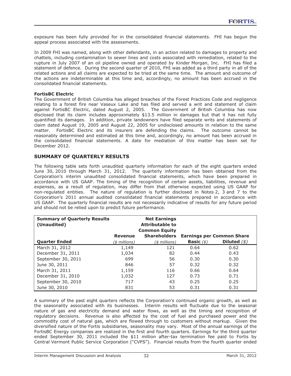exposure has been fully provided for in the consolidated financial statements. FHI has begun the appeal process associated with the assessments.

In 2009 FHI was named, along with other defendants, in an action related to damages to property and chattels, including contamination to sewer lines and costs associated with remediation, related to the rupture in July 2007 of an oil pipeline owned and operated by Kinder Morgan, Inc. FHI has filed a statement of defence. During the second quarter of 2010, FHI was added as a third party in all of the related actions and all claims are expected to be tried at the same time. The amount and outcome of the actions are indeterminable at this time and, accordingly, no amount has been accrued in the consolidated financial statements.

#### **FortisBC Electric**

The Government of British Columbia has alleged breaches of the Forest Practices Code and negligence relating to a forest fire near Vaseux Lake and has filed and served a writ and statement of claim against FortisBC Electric, dated August 2, 2005. The Government of British Columbia has now disclosed that its claim includes approximately \$13.5 million in damages but that it has not fully quantified its damages. In addition, private landowners have filed separate writs and statements of claim dated August 19, 2005 and August 22, 2005 for undisclosed amounts in relation to the same matter. FortisBC Electric and its insurers are defending the claims. The outcome cannot be reasonably determined and estimated at this time and, accordingly, no amount has been accrued in the consolidated financial statements. A date for mediation of this matter has been set for December 2012.

## **SUMMARY OF QUARTERLY RESULTS**

The following table sets forth unaudited quarterly information for each of the eight quarters ended June 30, 2010 through March 31, 2012. The quarterly information has been obtained from the Corporation's interim unaudited consolidated financial statements, which have been prepared in accordance with US GAAP. The timing of the recognition of certain assets, liabilities, revenue and expenses, as a result of regulation, may differ from that otherwise expected using US GAAP for non-regulated entities. The nature of regulation is further disclosed in Notes 2, 3 and 7 to the Corporation's 2011 annual audited consolidated financial statements prepared in accordance with US GAAP. The quarterly financial results are not necessarily indicative of results for any future period and should not be relied upon to predict future performance.

| <b>Summary of Quarterly Results</b><br>(Unaudited) | <b>Revenue</b> | <b>Net Earnings</b><br><b>Attributable to</b><br><b>Common Equity</b><br><b>Shareholders</b> |                    | <b>Earnings per Common Share</b> |
|----------------------------------------------------|----------------|----------------------------------------------------------------------------------------------|--------------------|----------------------------------|
| <b>Quarter Ended</b>                               | (\$ millions)  | $($$ millions)                                                                               | <b>Basic</b> $(s)$ | Diluted $($ \$)                  |
| March 31, 2012                                     | 1,149          | 121                                                                                          | 0.64               | 0.62                             |
| December 31, 2011                                  | 1,034          | 82                                                                                           | 0.44               | 0.43                             |
| September 30, 2011                                 | 699            | 56                                                                                           | 0.30               | 0.30                             |
| June 30, 2011                                      | 846            | 57                                                                                           | 0.32               | 0.32                             |
| March 31, 2011                                     | 1,159          | 116                                                                                          | 0.66               | 0.64                             |
| December 31, 2010                                  | 1,032          | 127                                                                                          | 0.73               | 0.71                             |
| September 30, 2010                                 | 717            | 43                                                                                           | 0.25               | 0.25                             |
| June 30, 2010                                      | 831            | 53                                                                                           | 0.31               | 0.31                             |

A summary of the past eight quarters reflects the Corporation's continued organic growth, as well as the seasonality associated with its businesses. Interim results will fluctuate due to the seasonal nature of gas and electricity demand and water flows, as well as the timing and recognition of regulatory decisions. Revenue is also affected by the cost of fuel and purchased power and the commodity cost of natural gas, which are flowed through to customers without markup. Given the diversified nature of the Fortis subsidiaries, seasonality may vary. Most of the annual earnings of the FortisBC Energy companies are realized in the first and fourth quarters. Earnings for the third quarter ended September 30, 2011 included the \$11 million after-tax termination fee paid to Fortis by Central Vermont Public Service Corporation ("CVPS"). Financial results from the fourth quarter ended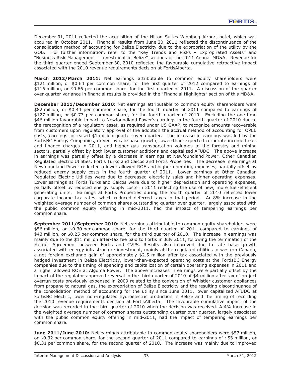December 31, 2011 reflected the acquisition of the Hilton Suites Winnipeg Airport hotel, which was acquired in October 2011. Financial results from June 20, 2011 reflected the discontinuance of the consolidation method of accounting for Belize Electricity due to the expropriation of the utility by the GOB. For further information, refer to the "Key Trends and Risks – Expropriated Assets" and "Business Risk Management – Investment in Belize" sections of the 2011 Annual MD&A. Revenue for the third quarter ended September 30, 2010 reflected the favourable cumulative retroactive impact associated with the 2010 revenue requirements decision at FortisAlberta.

**March 2012/March 2011:** Net earnings attributable to common equity shareholders were \$121 million, or \$0.64 per common share, for the first quarter of 2012 compared to earnings of \$116 million, or \$0.66 per common share, for the first quarter of 2011. A discussion of the quarter over quarter variance in financial results is provided in the "Financial Highlights" section of this MD&A.

**December 2011/December 2010:** Net earnings attributable to common equity shareholders were \$82 million, or \$0.44 per common share, for the fourth quarter of 2011 compared to earnings of \$127 million, or \$0.73 per common share, for the fourth quarter of 2010. Excluding the one-time \$46 million favourable impact to Newfoundland Power's earnings in the fourth quarter of 2010 due to the rerecognition of a regulatory asset, as required under US GAAP, to recognize amounts recoverable from customers upon regulatory approval of the adoption the accrual method of accounting for OPEB costs, earnings increased \$1 million quarter over quarter. The increase in earnings was led by the FortisBC Energy Companies, driven by rate base growth, lower-than-expected corporate income taxes and finance charges in 2011, and higher gas transportation volumes to the forestry and mining sectors, partially offset by both lower customer additions and capitalized AFUDC. The above increase in earnings was partially offset by a decrease in earnings at Newfoundland Power, Other Canadian Regulated Electric Utilities, Fortis Turks and Caicos and Fortis Properties. The decrease in earnings at Newfoundland Power reflected a lower allowed ROE and higher operating expenses, partially offset by reduced energy supply costs in the fourth quarter of 2011. Lower earnings at Other Canadian Regulated Electric Utilities were due to decreased electricity sales and higher operating expenses. Lower earnings at Fortis Turks and Caicos were due to higher depreciation and operating expenses, partially offset by reduced energy supply costs in 2011 reflecting the use of new, more fuel-efficient generating units. Earnings at Fortis Properties during the fourth quarter of 2010 reflected lower corporate income tax rates, which reduced deferred taxes in that period. An 8% increase in the weighted average number of common shares outstanding quarter over quarter, largely associated with the public common equity offering in mid-2011, had the impact of tempering earnings per common share.

**September 2011/September 2010:** Net earnings attributable to common equity shareholders were \$56 million, or \$0.30 per common share, for the third quarter of 2011 compared to earnings of \$43 million, or \$0.25 per common share, for the third quarter of 2010. The increase in earnings was mainly due to the \$11 million after-tax fee paid to Fortis in July 2011, following the termination of the Merger Agreement between Fortis and CVPS. Results also improved due to rate base growth associated with energy infrastructure investment, mainly at the regulated utilities in western Canada, a net foreign exchange gain of approximately \$2.5 million after tax associated with the previously hedged investment in Belize Electricity, lower-than-expected operating costs at the FortisBC Energy companies due to the timing of spending and capitalization of certain operating expenses in 2011 and a higher allowed ROE at Algoma Power. The above increases in earnings were partially offset by the impact of the regulator-approved reversal in the third quarter of 2010 of \$4 million after tax of project overrun costs previously expensed in 2009 related to the conversion of Whistler customer appliances from propane to natural gas, the expropriation of Belize Electricity and the resulting discontinuance of the consolidation method of accounting for the utility since June 2011, lower capitalized AFUDC at FortisBC Electric, lower non-regulated hydroelectric production in Belize and the timing of recording the 2010 revenue requirements decision at FortisAlberta. The favourable cumulative impact of the decision was recorded in the third quarter of 2010 when the decision was received. A 4% increase in the weighted average number of common shares outstanding quarter over quarter, largely associated with the public common equity offering in mid-2011, had the impact of tempering earnings per common share.

**June 2011/June 2010:** Net earnings attributable to common equity shareholders were \$57 million, or \$0.32 per common share, for the second quarter of 2011 compared to earnings of \$53 million, or \$0.31 per common share, for the second quarter of 2010. The increase was mainly due to improved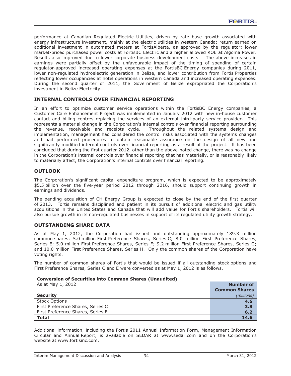performance at Canadian Regulated Electric Utilities, driven by rate base growth associated with energy infrastructure investment, mainly at the electric utilities in western Canada; return earned on additional investment in automated meters at FortisAlberta, as approved by the regulator; lower market-priced purchased power costs at FortisBC Electric and a higher allowed ROE at Algoma Power. Results also improved due to lower corporate business development costs. The above increases in earnings were partially offset by the unfavourable impact of the timing of spending of certain regulator-approved increased operating expenses at the FortisBC Energy companies during 2011, lower non-regulated hydroelectric generation in Belize, and lower contribution from Fortis Properties reflecting lower occupancies at hotel operations in western Canada and increased operating expenses. During the second quarter of 2011, the Government of Belize expropriated the Corporation's investment in Belize Electricity.

## **INTERNAL CONTROLS OVER FINANCIAL REPORTING**

In an effort to optimize customer service operations within the FortisBC Energy companies, a Customer Care Enhancement Project was implemented in January 2012 with new in-house customer contact and billing centres replacing the services of an external third-party service provider. This represents a material change in the Corporation's internal controls over financial reporting surrounding the revenue, receivable and receipts cycle. Throughout the related systems design and implementation, management had considered the control risks associated with the systems changes and had performed procedures to obtain reasonable assurance on the design of all new and significantly modified internal controls over financial reporting as a result of the project. It has been concluded that during the first quarter 2012, other than the above-noted change, there was no change in the Corporation's internal controls over financial reporting that has materially, or is reasonably likely to materially affect, the Corporation's internal controls over financial reporting.

## **OUTLOOK**

The Corporation's significant capital expenditure program, which is expected to be approximately \$5.5 billion over the five-year period 2012 through 2016, should support continuing growth in earnings and dividends.

The pending acquisition of CH Energy Group is expected to close by the end of the first quarter of 2013. Fortis remains disciplined and patient in its pursuit of additional electric and gas utility acquisitions in the United States and Canada that will add value for Fortis shareholders. Fortis will also pursue growth in its non-regulated businesses in support of its regulated utility growth strategy.

## **OUTSTANDING SHARE DATA**

As at May 1, 2012, the Corporation had issued and outstanding approximately 189.3 million common shares; 5.0 million First Preference Shares, Series C; 8.0 million First Preference Shares, Series E; 5.0 million First Preference Shares, Series F; 9.2 million First Preference Shares, Series G; and 10.0 million First Preference Shares, Series H. Only the common shares of the Corporation have voting rights.

The number of common shares of Fortis that would be issued if all outstanding stock options and First Preference Shares, Series C and E were converted as at May 1, 2012 is as follows.

| <b>Conversion of Securities into Common Shares (Unaudited)</b> |                      |
|----------------------------------------------------------------|----------------------|
| As at May 1, 2012                                              | <b>Number of</b>     |
|                                                                | <b>Common Shares</b> |
| <b>Security</b>                                                | (millions)           |
| <b>Stock Options</b>                                           | 4.6                  |
| First Preference Shares, Series C                              | 3.8                  |
| First Preference Shares, Series E                              | 6.2                  |
| <b>Total</b>                                                   | 14.6                 |

Additional information, including the Fortis 2011 Annual Information Form, Management Information Circular and Annual Report, is available on SEDAR at [www.sedar.com a](http://www.sedar.com)nd on the Corporation's website at [www.fortisinc.com.](http://www.fortisinc.com)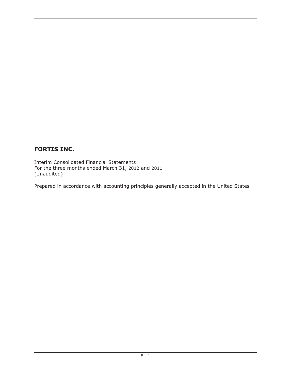# **FORTIS INC.**

Interim Consolidated Financial Statements For the three months ended March 31, 2012 and 2011 (Unaudited)

Prepared in accordance with accounting principles generally accepted in the United States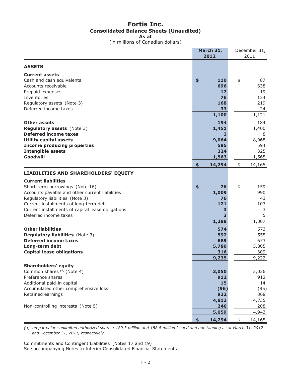## **Fortis Inc. Consolidated Balance Sheets (Unaudited) As at**

(in millions of Canadian dollars)

|                                                   | March 31,<br>2012 | December 31,<br>2011 |        |
|---------------------------------------------------|-------------------|----------------------|--------|
| <b>ASSETS</b>                                     |                   |                      |        |
| <b>Current assets</b>                             |                   |                      |        |
| Cash and cash equivalents                         | \$<br>110         | \$                   | 87     |
| Accounts receivable                               | 696               |                      | 638    |
| Prepaid expenses                                  | 17                |                      | 19     |
| Inventories                                       | 76                |                      | 134    |
| Regulatory assets (Note 3)                        | 168               |                      | 219    |
| Deferred income taxes                             | 33                |                      | 24     |
|                                                   | 1,100             |                      | 1,121  |
| <b>Other assets</b>                               | 194               |                      | 184    |
| <b>Regulatory assets (Note 3)</b>                 | 1,451             |                      | 1,400  |
| <b>Deferred income taxes</b>                      | З                 |                      | 8      |
| <b>Utility capital assets</b>                     | 9,064             |                      | 8,968  |
| <b>Income producing properties</b>                | 595               |                      | 594    |
| <b>Intangible assets</b>                          | 324               |                      | 325    |
| Goodwill                                          | 1,563             |                      | 1,565  |
|                                                   | 14,294<br>\$      | \$                   | 14,165 |
| <b>LIABILITIES AND SHAREHOLDERS' EQUITY</b>       |                   |                      |        |
| <b>Current liabilities</b>                        |                   |                      |        |
| Short-term borrowings (Note 16)                   | \$<br>76          | \$                   | 159    |
| Accounts payable and other current liabilities    | 1,009             |                      | 990    |
| Regulatory liabilities (Note 3)                   | 76                |                      | 43     |
| Current installments of long-term debt            | 121               |                      | 107    |
| Current installments of capital lease obligations | З                 |                      | 3      |
| Deferred income taxes                             | 3                 |                      | 5      |
|                                                   | 1,288             |                      | 1,307  |
| <b>Other liabilities</b>                          | 574               |                      | 573    |
| <b>Regulatory liabilities (Note 3)</b>            | 592               |                      | 555    |
| <b>Deferred income taxes</b>                      | 685               |                      | 673    |
| Long-term debt                                    | 5,780             |                      | 5,805  |
| <b>Capital lease obligations</b>                  | 316               |                      | 309    |
|                                                   | 9,235             |                      | 9,222  |
| <b>Shareholders' equity</b>                       |                   |                      |        |
| Common shares <sup>(a)</sup> (Note 4)             | 3,050             |                      | 3,036  |
| Preference shares                                 | 912               |                      | 912    |
| Additional paid-in capital                        | 15                |                      | 14     |
| Accumulated other comprehensive loss              | (96)              |                      | (95)   |
| Retained earnings                                 | 932               |                      | 868    |
|                                                   | 4,813             |                      | 4,735  |
| Non-controlling interests (Note 5)                | 246               |                      | 208    |
|                                                   | 5,059             |                      | 4,943  |
|                                                   | 14,294<br>\$      | \$                   | 14,165 |

*(a) no par value: unlimited authorized shares; 189.3 million and 188.8 million issued and outstanding as at March 31, 2012 and December 31, 2011, respectively* 

Commitments and Contingent Liabilities (Notes 17 and 19) See accompanying Notes to Interim Consolidated Financial Statements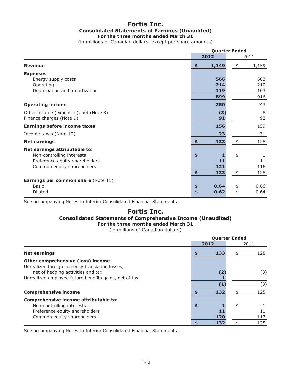# **Fortis Inc. Consolidated Statements of Earnings (Unaudited) For the three months ended March 31**

(in millions of Canadian dollars, except per share amounts)

|                                            |               |       | <b>Quarter Ended</b> |       |
|--------------------------------------------|---------------|-------|----------------------|-------|
|                                            |               | 2012  |                      | 2011  |
| <b>Revenue</b>                             | \$            | 1,149 | \$                   | 1,159 |
| <b>Expenses</b>                            |               |       |                      |       |
| Energy supply costs                        |               | 566   |                      | 603   |
| Operating                                  |               | 214   |                      | 210   |
| Depreciation and amortization              |               | 119   |                      | 103   |
|                                            |               | 899   |                      | 916   |
| <b>Operating income</b>                    |               | 250   |                      | 243   |
| Other income (expenses), net (Note 8)      |               | (3)   |                      | 8     |
| Finance charges (Note 9)                   |               | 91    |                      | 92    |
| Earnings before income taxes               |               | 156   |                      | 159   |
| Income taxes (Note 10)                     |               | 23    |                      | 31    |
| <b>Net earnings</b>                        | \$            | 133   | $\frac{1}{2}$        | 128   |
| Net earnings attributable to:              |               |       |                      |       |
| Non-controlling interests                  | $\frac{1}{2}$ | 1     | \$                   | 1     |
| Preference equity shareholders             |               | 11    |                      | 11    |
| Common equity shareholders                 |               | 121   |                      | 116   |
|                                            | $\frac{1}{2}$ | 133   | $\frac{1}{2}$        | 128   |
| <b>Earnings per common share (Note 11)</b> |               |       |                      |       |
| <b>Basic</b>                               | \$            | 0.64  | \$                   | 0.66  |
| <b>Diluted</b>                             | \$            | 0.62  | \$                   | 0.64  |

See accompanying Notes to Interim Consolidated Financial Statements

# **Fortis Inc.**

# **Consolidated Statements of Comprehensive Income (Unaudited)**

**For the three months ended March 31**

(in millions of Canadian dollars)

|                                                       | <b>Quarter Ended</b> |    |      |
|-------------------------------------------------------|----------------------|----|------|
|                                                       | 2012                 |    | 2011 |
| <b>Net earnings</b>                                   | 133                  | S  | 128  |
| Other comprehensive (loss) income                     |                      |    |      |
| Unrealized foreign currency translation losses,       |                      |    |      |
| net of hedging activities and tax                     | (2)                  |    | (3)  |
| Unrealized employee future benefits gains, net of tax |                      |    |      |
|                                                       | (1)                  |    | (3)  |
| <b>Comprehensive income</b>                           | 132                  |    | 125  |
| Comprehensive income attributable to:                 |                      |    |      |
| Non-controlling interests                             | \$                   | \$ |      |
| Preference equity shareholders                        |                      |    | 11   |
| Common equity shareholders                            | 120                  |    | 113  |
|                                                       | \$<br>132            | \$ | 125  |

See accompanying Notes to Interim Consolidated Financial Statements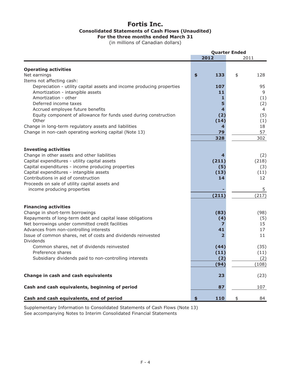## **Fortis Inc. Consolidated Statements of Cash Flows (Unaudited) For the three months ended March 31**

(in millions of Canadian dollars)

|                                                                       | <b>Quarter Ended</b> |           |
|-----------------------------------------------------------------------|----------------------|-----------|
|                                                                       | 2012                 | 2011      |
|                                                                       |                      |           |
| <b>Operating activities</b><br>Net earnings                           | \$<br>133            | \$<br>128 |
| Items not affecting cash:                                             |                      |           |
| Depreciation - utility capital assets and income producing properties | 107                  | 95        |
| Amortization - intangible assets                                      | 11                   | 9         |
| Amortization - other                                                  | 1                    | (1)       |
| Deferred income taxes                                                 | 5                    | (2)       |
| Accrued employee future benefits                                      | 4                    | 4         |
| Equity component of allowance for funds used during construction      | (2)                  | (5)       |
| Other                                                                 | (14)                 | (1)       |
| Change in long-term regulatory assets and liabilities                 | 4                    | 18        |
| Change in non-cash operating working capital (Note 13)                | 79                   | 57        |
|                                                                       | 328                  | 302       |
|                                                                       |                      |           |
| <b>Investing activities</b>                                           |                      |           |
| Change in other assets and other liabilities                          |                      | (2)       |
| Capital expenditures - utility capital assets                         | (211)                | (218)     |
| Capital expenditures - income producing properties                    | (5)                  | (3)       |
| Capital expenditures - intangible assets                              | (13)                 | (11)      |
| Contributions in aid of construction                                  | 14                   | 12        |
| Proceeds on sale of utility capital assets and                        |                      |           |
| income producing properties                                           |                      | 5         |
|                                                                       | (211)                | (217)     |
|                                                                       |                      |           |
| <b>Financing activities</b><br>Change in short-term borrowings        | (83)                 | (98)      |
| Repayments of long-term debt and capital lease obligations            | (4)                  | (5)       |
| Net borrowings under committed credit facilities                      | 7                    | 15        |
| Advances from non-controlling interests                               | 41                   | 17        |
| Issue of common shares, net of costs and dividends reinvested         | 2                    | 11        |
| Dividends                                                             |                      |           |
| Common shares, net of dividends reinvested                            | (44)                 | (35)      |
| Preference shares                                                     | (11)                 | (11)      |
| Subsidiary dividends paid to non-controlling interests                | (2)                  | (2)       |
|                                                                       | (94)                 | (108)     |
| Change in cash and cash equivalents                                   | 23                   | (23)      |
|                                                                       |                      |           |
| Cash and cash equivalents, beginning of period                        | 87                   | 107       |
| Cash and cash equivalents, end of period                              | \$<br>110            | \$<br>84  |

Supplementary Information to Consolidated Statements of Cash Flows (Note 13) See accompanying Notes to Interim Consolidated Financial Statements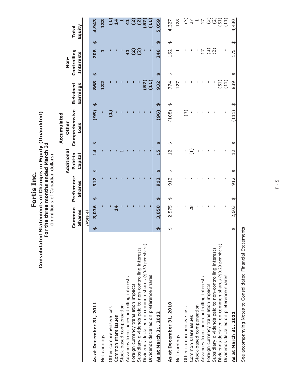**Consolidated Statements of Changes in Equity (Unaudited)**<br>For the three months ended March 31<br>(in millions of Canadian dollars) **Consolidated Statements of Changes in Equity (Unaudited) For the three months ended March 31** (in millions of Canadian dollars) Fortis Inc. **Fortis Inc.**

**Accumulated**

Accumulated

|                                                        |                   |               |              |            | Additional           |   | <b>Other</b>  |                 | Non-             |                         |              |                  |
|--------------------------------------------------------|-------------------|---------------|--------------|------------|----------------------|---|---------------|-----------------|------------------|-------------------------|--------------|------------------|
|                                                        |                   | Common        |              | Preference | Paid-in              |   | Comprehensive | Retained        | Controlling      |                         |              | <b>Total</b>     |
|                                                        |                   | Shares        |              | Shares     | Capital              |   | <b>Loss</b>   | Earnings        | <b>Interests</b> |                         |              | Equity           |
|                                                        |                   | (Note 4)      |              |            |                      |   |               |                 |                  |                         |              |                  |
| As at December 31, 2011                                | ₩                 | 3,036         | ₩            | 912        | $\mathbf{1}$<br>₩    | ₩ | (95)          | 868<br>₩        | ₩                | 208                     | ₩            | 4,943            |
| Net earnings                                           |                   |               |              |            |                      |   |               | 132             |                  |                         |              | 133              |
| Other comprehensive loss                               |                   |               |              |            |                      |   | $\Xi$         |                 |                  |                         |              | $\Xi$            |
| Common share issues                                    |                   | $\frac{1}{4}$ |              |            |                      |   |               |                 |                  |                         |              | $\overline{4}$   |
| Stock-based compensation                               |                   |               |              |            |                      |   |               |                 |                  |                         |              |                  |
| Advances from non-controlling interests                |                   |               |              |            |                      |   |               |                 |                  | $\bf{1}$                |              | 41               |
| Foreign currency translation impacts                   |                   |               |              |            |                      |   |               |                 |                  | $\overline{\mathbf{S}}$ |              | (2)              |
| Subsidiary dividends paid to non-controlling interests |                   |               |              |            |                      |   |               |                 |                  | $\overline{c}$          |              | (2)              |
| Dividends declared on common shares (\$0.30 per share) |                   |               |              |            |                      |   |               | (57)            |                  |                         |              | $(57)$<br>$(11)$ |
| Dividends declared on preference shares                |                   |               |              |            |                      | п |               | (11)            |                  |                         |              |                  |
| As at March 31, 2012                                   | $\mathbf{\Theta}$ | 3,050         | ₩            | 912        | 15<br>₩              | ₩ | (96)          | 932<br>₩        | ₩                | 246                     | ₩            | 5,059            |
| As at December 31, 2010                                | ↮                 | 2,575         | ↮            | 912        | $\overline{12}$<br>↮ | ↮ | (108)         | 774<br>$\Theta$ | ↮                | 162                     | $\downarrow$ | 4,327            |
| Net earnings                                           |                   |               |              |            |                      |   |               | 127             |                  |                         |              | 128              |
| Other comprehensive loss                               |                   |               |              |            |                      |   | ල             |                 |                  |                         |              |                  |
| Common share issues                                    |                   | 28            |              |            | Ξ                    |   |               |                 |                  |                         |              | $\frac{1}{2}$    |
| Stock-based compensation                               |                   |               |              |            |                      |   |               |                 |                  |                         |              | $1\over 17$      |
| Advances from non-controlling interests                |                   |               |              |            |                      |   |               |                 |                  | 17                      |              |                  |
| Foreign currency translation impacts                   |                   |               |              |            |                      |   |               |                 |                  | <u>ଟ</u>                |              | $\widehat{S}$    |
| Subsidiary dividends paid to non-controlling interests |                   |               |              |            |                      |   |               |                 |                  | $\widetilde{\Omega}$    |              | $\widetilde{C}$  |
| Dividends declared on common shares (\$0.29 per share) |                   |               |              |            |                      |   |               | (51)            |                  |                         |              | (51)             |
| Dividends declared on preference shares                |                   |               |              |            |                      |   |               | $(11)$          |                  |                         |              | (11)             |
| As at March 31, 2011                                   | $\downarrow$      | 2,603         | $\downarrow$ | 912        | $\overline{1}$<br>↮  | ↮ | (111)         | 839<br>↮        | ↮                | 175                     | ↮            | 4,430            |

See accompanying Notes to Consolidated Financial Statements See accompanying Notes to Consolidated Financial Statements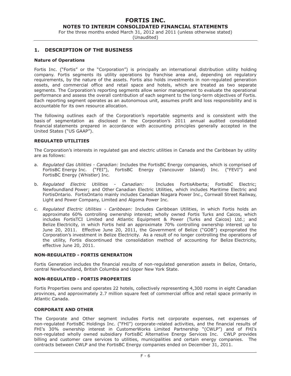For the three months ended March 31, 2012 and 2011 (unless otherwise stated)

(Unaudited)

#### **1. DESCRIPTION OF THE BUSINESS**

#### **Nature of Operations**

Fortis Inc. ("Fortis" or the "Corporation") is principally an international distribution utility holding company. Fortis segments its utility operations by franchise area and, depending on regulatory requirements, by the nature of the assets. Fortis also holds investments in non-regulated generation assets, and commercial office and retail space and hotels, which are treated as two separate segments. The Corporation's reporting segments allow senior management to evaluate the operational performance and assess the overall contribution of each segment to the long-term objectives of Fortis. Each reporting segment operates as an autonomous unit, assumes profit and loss responsibility and is accountable for its own resource allocation.

The following outlines each of the Corporation's reportable segments and is consistent with the basis of segmentation as disclosed in the Corporation's 2011 annual audited consolidated financial statements prepared in accordance with accounting principles generally accepted in the United States ("US GAAP").

#### **REGULATED UTILITIES**

The Corporation's interests in regulated gas and electric utilities in Canada and the Caribbean by utility are as follows:

- a. *Regulated Gas Utilities Canadian:* Includes the FortisBC Energy companies, which is comprised of FortisBC Energy Inc. ("FEI"), FortisBC Energy (Vancouver Island) Inc. ("FEVI") and FortisBC Energy (Whistler) Inc.
- b. *Regulated Electric Utilities Canadian:* Includes FortisAlberta; FortisBC Electric; Newfoundland Power; and Other Canadian Electric Utilities, which includes Maritime Electric and FortisOntario. FortisOntario mainly includes Canadian Niagara Power Inc., Cornwall Street Railway, Light and Power Company, Limited and Algoma Power Inc.
- c. *Regulated Electric Utilities Caribbean:* Includes Caribbean Utilities, in which Fortis holds an approximate 60% controlling ownership interest; wholly owned Fortis Turks and Caicos, which includes FortisTCI Limited and Atlantic Equipment & Power (Turks and Caicos) Ltd.; and Belize Electricity, in which Fortis held an approximate 70% controlling ownership interest up to June 20, 2011. Effective June 20, 2011, the Government of Belize ("GOB") expropriated the Corporation's investment in Belize Electricity. As a result of no longer controlling the operations of the utility, Fortis discontinued the consolidation method of accounting for Belize Electricity, effective June 20, 2011.

#### **NON-REGULATED - FORTIS GENERATION**

Fortis Generation includes the financial results of non-regulated generation assets in Belize, Ontario, central Newfoundland, British Columbia and Upper New York State.

#### **NON-REGULATED - FORTIS PROPERTIES**

Fortis Properties owns and operates 22 hotels, collectively representing 4,300 rooms in eight Canadian provinces, and approximately 2.7 million square feet of commercial office and retail space primarily in Atlantic Canada.

#### **CORPORATE AND OTHER**

The Corporate and Other segment includes Fortis net corporate expenses, net expenses of non-regulated FortisBC Holdings Inc. ("FHI") corporate-related activities, and the financial results of FHI's 30% ownership interest in CustomerWorks Limited Partnership "(CWLP") and of FHI's non-regulated wholly owned subsidiary FortisBC Alternative Energy Services Inc. CWLP provides billing and customer care services to utilities, municipalities and certain energy companies. The contracts between CWLP and the FortisBC Energy companies ended on December 31, 2011.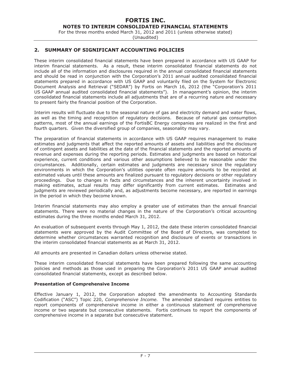For the three months ended March 31, 2012 and 2011 (unless otherwise stated)

(Unaudited)

## **2. SUMMARY OF SIGNIFICANT ACCOUNTING POLICIES**

These interim consolidated financial statements have been prepared in accordance with US GAAP for interim financial statements. As a result, these interim consolidated financial statements do not include all of the information and disclosures required in the annual consolidated financial statements and should be read in conjunction with the Corporation's 2011 annual audited consolidated financial statements prepared in accordance with US GAAP and voluntarily filed on the System for Electronic Document Analysis and Retrieval ("SEDAR") by Fortis on March 16, 2012 (the "Corporation's 2011 US GAAP annual audited consolidated financial statements"). In management's opinion, the interim consolidated financial statements include all adjustments that are of a recurring nature and necessary to present fairly the financial position of the Corporation.

Interim results will fluctuate due to the seasonal nature of gas and electricity demand and water flows, as well as the timing and recognition of regulatory decisions. Because of natural gas consumption patterns, most of the annual earnings of the FortisBC Energy companies are realized in the first and fourth quarters. Given the diversified group of companies, seasonality may vary.

The preparation of financial statements in accordance with US GAAP requires management to make estimates and judgments that affect the reported amounts of assets and liabilities and the disclosure of contingent assets and liabilities at the date of the financial statements and the reported amounts of revenue and expenses during the reporting periods. Estimates and judgments are based on historical experience, current conditions and various other assumptions believed to be reasonable under the circumstances. Additionally, certain estimates and judgments are necessary since the regulatory environments in which the Corporation's utilities operate often require amounts to be recorded at estimated values until these amounts are finalized pursuant to regulatory decisions or other regulatory proceedings. Due to changes in facts and circumstances and the inherent uncertainty involved in making estimates, actual results may differ significantly from current estimates. Estimates and judgments are reviewed periodically and, as adjustments become necessary, are reported in earnings in the period in which they become known.

Interim financial statements may also employ a greater use of estimates than the annual financial statements. There were no material changes in the nature of the Corporation's critical accounting estimates during the three months ended March 31, 2012.

An evaluation of subsequent events through May 1, 2012, the date these interim consolidated financial statements were approved by the Audit Committee of the Board of Directors, was completed to determine whether circumstances warranted recognition and disclosure of events or transactions in the interim consolidated financial statements as at March 31, 2012.

All amounts are presented in Canadian dollars unless otherwise stated.

These interim consolidated financial statements have been prepared following the same accounting policies and methods as those used in preparing the Corporation's 2011 US GAAP annual audited consolidated financial statements, except as described below.

#### **Presentation of Comprehensive Income**

Effective January 1, 2012, the Corporation adopted the amendments to Accounting Standards Codification ("ASC") Topic 220, *Comprehensive Income.* The amended standard requires entities to report components of comprehensive income in either a continuous statement of comprehensive income or two separate but consecutive statements. Fortis continues to report the components of comprehensive income in a separate but consecutive statement.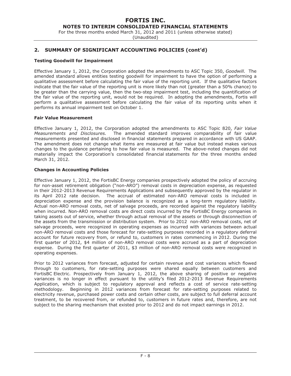For the three months ended March 31, 2012 and 2011 (unless otherwise stated)

(Unaudited)

## **2. SUMMARY OF SIGNIFICANT ACCOUNTING POLICIES (cont'd)**

#### **Testing Goodwill for Impairment**

Effective January 1, 2012, the Corporation adopted the amendments to ASC Topic 350, *Goodwill.* The amended standard allows entities testing goodwill for impairment to have the option of performing a qualitative assessment before calculating the fair value of the reporting unit. If the qualitative factors indicate that the fair value of the reporting unit is more likely than not (greater than a 50% chance) to be greater than the carrying value, then the two-step impairment test, including the quantification of the fair value of the reporting unit, would not be required. In adopting the amendments, Fortis will perform a qualitative assessment before calculating the fair value of its reporting units when it performs its annual impairment test on October 1.

#### **Fair Value Measurement**

Effective January 1, 2012, the Corporation adopted the amendments to ASC Topic 820, *Fair Value*  The amended standard improves comparability of fair value measurements presented and disclosed in financial statements prepared in accordance with US GAAP. The amendment does not change what items are measured at fair value but instead makes various changes to the guidance pertaining to how fair value is measured. The above-noted changes did not materially impact the Corporation's consolidated financial statements for the three months ended March 31, 2012.

## **Changes in Accounting Policies**

Effective January 1, 2012, the FortisBC Energy companies prospectively adopted the policy of accruing for non-asset retirement obligation ("non-ARO") removal costs in depreciation expense, as requested in their 2012-2013 Revenue Requirements Applications and subsequently approved by the regulator in its April 2012 rate decision. The accrual of estimated non-ARO removal costs is included in depreciation expense and the provision balance is recognized as a long-term regulatory liability. Actual non-ARO removal costs, net of salvage proceeds, are recorded against the regulatory liability when incurred. Non-ARO removal costs are direct costs incurred by the FortisBC Energy companies in taking assets out of service, whether through actual removal of the assets or through disconnection of the assets from the transmission or distribution system. Prior to 2012 non-ARO removal costs, net of salvage proceeds, were recognized in operating expenses as incurred with variances between actual non-ARO removal costs and those forecast for rate-setting purposes recorded in a regulatory deferral account for future recovery from, or refund to, customers in rates commencing in 2012. During the first quarter of 2012, \$4 million of non-ARO removal costs were accrued as a part of depreciation expense. During the first quarter of 2011, \$3 million of non-ARO removal costs were recognized in operating expenses.

Prior to 2012 variances from forecast, adjusted for certain revenue and cost variances which flowed through to customers, for rate-setting purposes were shared equally between customers and FortisBC Electric. Prospectively from January 1, 2012, the above sharing of positive or negative variances is no longer in effect pursuant to the utility's filed 2012-2013 Revenue Requirements Application, which is subject to regulatory approval and reflects a cost of service rate-setting methodology. Beginning in 2012 variances from forecast for rate-setting purposes related to electricity revenue, purchased power costs and certain other costs, are subject to full deferral account treatment, to be recovered from, or refunded to, customers in future rates and, therefore, are not subject to the sharing mechanism that existed prior to 2012 and do not impact earnings in 2012.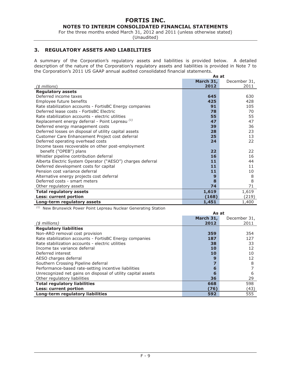For the three months ended March 31, 2012 and 2011 (unless otherwise stated)

(Unaudited)

## **3. REGULATORY ASSETS AND LIABILITIES**

A summary of the Corporation's regulatory assets and liabilities is provided below. A detailed description of the nature of the Corporation's regulatory assets and liabilities is provided in Note 7 to the Corporation's 2011 US GAAP annual audited consolidated financial statements.

|                                                            | As at     |              |
|------------------------------------------------------------|-----------|--------------|
|                                                            | March 31, | December 31, |
| $($$ millions)                                             | 2012      | 2011         |
| <b>Regulatory assets</b>                                   |           |              |
| Deferred income taxes                                      | 645       | 630          |
| Employee future benefits                                   | 425       | 428          |
| Rate stabilization accounts - FortisBC Energy companies    | 91        | 105          |
| Deferred lease costs - FortisBC Electric                   | 78        | 70           |
| Rate stabilization accounts - electric utilities           | 55        | 55           |
| Replacement energy deferral - Point Lepreau <sup>(1)</sup> | 47        | 47           |
| Deferred energy management costs                           | 39        | 36           |
| Deferred losses on disposal of utility capital assets      | 28        | 23           |
| Customer Care Enhancement Project cost deferral            | 25        | 13           |
| Deferred operating overhead costs                          | 24        | 22           |
| Income taxes recoverable on other post-employment          |           |              |
| benefit ("OPEB") plans                                     | 22        | 22           |
| Whistler pipeline contribution deferral                    | 16        | 16           |
| Alberta Electric System Operator ("AESO") charges deferral | 11        | 44           |
| Deferred development costs for capital                     | 11        | 11           |
| Pension cost variance deferral                             | 11        | 10           |
| Alternative energy projects cost deferral                  | 9         | 8            |
| Deferred costs - smart meters                              | 8         | 8            |
| Other regulatory assets                                    | 74        | 71           |
| <b>Total regulatory assets</b>                             | 1,619     | 1,619        |
| Less: current portion                                      | (168)     | (219)        |
| Long-term regulatory assets                                | 1,451     | 1,400        |

*(1)* New Brunswick Power Point Lepreau Nuclear Generating Station

|                                                              | As at     |              |
|--------------------------------------------------------------|-----------|--------------|
|                                                              | March 31, | December 31, |
| $($$ millions)                                               | 2012      | 2011         |
| <b>Regulatory liabilities</b>                                |           |              |
| Non-ARO removal cost provision                               | 359       | 354          |
| Rate stabilization accounts - FortisBC Energy companies      | 187       | 127          |
| Rate stabilization accounts - electric utilities             | 38        | 33           |
| Income tax variance deferral                                 | 10        | 12           |
| Deferred interest                                            | 10        | 10           |
| AESO charges deferral                                        | 9         | 12           |
| Southern Crossing Pipeline deferral                          |           | 8            |
| Performance-based rate-setting incentive liabilities         | 6         |              |
| Unrecognized net gains on disposal of utility capital assets | 6         | 6            |
| Other regulatory liabilities                                 | 36        | 29           |
| <b>Total regulatory liabilities</b>                          | 668       | 598          |
| Less: current portion                                        | (76)      | (43)         |
| Long-term regulatory liabilities                             | 592       | 555          |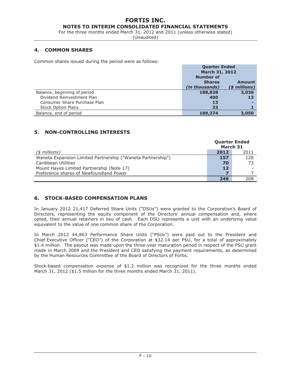For the three months ended March 31, 2012 and 2011 (unless otherwise stated)

(Unaudited)

**Quarter Ended** 

## **4. COMMON SHARES**

Common shares issued during the period were as follows:

|                              | <b>Quarter Engeg</b>  |               |
|------------------------------|-----------------------|---------------|
|                              | <b>March 31, 2012</b> |               |
|                              | <b>Number of</b>      |               |
|                              | <b>Shares</b>         | Amount        |
|                              | <i>(in thousands)</i> | (\$ millions) |
| Balance, beginning of period | 188,828               | 3,036         |
| Dividend Reinvestment Plan   | 400                   | 13            |
| Consumer Share Purchase Plan | 13                    |               |
| <b>Stock Option Plans</b>    | 33                    |               |
| Balance, end of period       | 189,274               | 3,050         |

## **5. NON-CONTROLLING INTERESTS**

|                                                             | March 31 | <b>Quarter Ended</b> |
|-------------------------------------------------------------|----------|----------------------|
| $($$ millions)                                              | 2012     | 2011                 |
| Waneta Expansion Limited Partnership ("Waneta Partnership") | 157      | 128                  |
| Caribbean Utilities                                         | 70       | 73                   |
| Mount Hayes Limited Partnership (Note 17)                   | 12       |                      |
| Preference shares of Newfoundland Power                     |          |                      |
|                                                             | 246      | 208                  |

## **6. STOCK-BASED COMPENSATION PLANS**

In January 2012 21,417 Deferred Share Units ("DSUs") were granted to the Corporation's Board of Directors, representing the equity component of the Directors' annual compensation and, where opted, their annual retainers in lieu of cash. Each DSU represents a unit with an underlying value equivalent to the value of one common share of the Corporation.

In March 2012 44,863 Performance Share Units ("PSUs") were paid out to the President and Chief Executive Officer ("CEO") of the Corporation at \$32.14 per PSU, for a total of approximately \$1.4 million. The payout was made upon the three-year maturation period in respect of the PSU grant made in March 2009 and the President and CEO satisfying the payment requirements, as determined by the Human Resources Committee of the Board of Directors of Fortis.

Stock-based compensation expense of \$1.2 million was recognized for the three months ended March 31, 2012 (\$1.5 million for the three months ended March 31, 2011).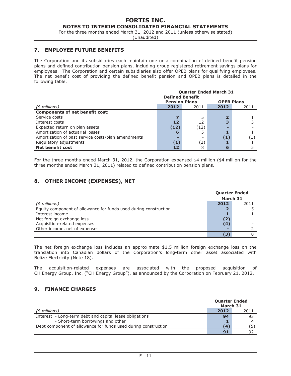For the three months ended March 31, 2012 and 2011 (unless otherwise stated)

(Unaudited)

#### **7. EMPLOYEE FUTURE BENEFITS**

The Corporation and its subsidiaries each maintain one or a combination of defined benefit pension plans and defined contribution pension plans, including group registered retirement savings plans for employees. The Corporation and certain subsidiaries also offer OPEB plans for qualifying employees. The net benefit cost of providing the defined benefit pension and OPEB plans is detailed in the following table.

|                                                    | <b>Quarter Ended March 31</b><br><b>Defined Benefit</b> |      |                   |      |
|----------------------------------------------------|---------------------------------------------------------|------|-------------------|------|
|                                                    | <b>Pension Plans</b>                                    |      | <b>OPEB Plans</b> |      |
| $(*)$ millions)                                    | 2012                                                    | 2011 | 2012              | 2011 |
| <b>Components of net benefit cost:</b>             |                                                         |      |                   |      |
| Service costs                                      |                                                         |      | 2                 |      |
| Interest costs                                     | 12                                                      | 12   | 3                 |      |
| Expected return on plan assets                     | (12)                                                    | (12) |                   |      |
| Amortization of actuarial losses                   |                                                         |      |                   |      |
| Amortization of past service costs/plan amendments |                                                         | -    | (1)               |      |
| Regulatory adjustments                             |                                                         | (2)  |                   |      |
| <b>Net benefit cost</b>                            | $\overline{ }$                                          | 8    | 6                 |      |

For the three months ended March 31, 2012, the Corporation expensed \$4 million (\$4 million for the three months ended March 31, 2011) related to defined contribution pension plans.

## **8. OTHER INCOME (EXPENSES), NET**

|                                                                  | <b>Quarter Ended</b><br>March 31 |      |
|------------------------------------------------------------------|----------------------------------|------|
| $($$ millions)                                                   | 2012                             | 2011 |
| Equity component of allowance for funds used during construction |                                  |      |
| Interest income                                                  |                                  |      |
| Net foreign exchange loss                                        | (2)                              |      |
| Acquisition-related expenses                                     | (4)                              |      |
| Other income, net of expenses                                    |                                  |      |
|                                                                  | 3                                |      |

The net foreign exchange loss includes an approximate \$1.5 million foreign exchange loss on the translation into Canadian dollars of the Corporation's long-term other asset associated with Belize Electricity (Note 18).

The acquisition-related expenses are associated with the proposed acquisition of CH Energy Group, Inc. ("CH Energy Group"), as announced by the Corporation on February 21, 2012.

## **9. FINANCE CHARGES**

|                                                                | <b>Quarter Ended</b><br>March 31 |      |
|----------------------------------------------------------------|----------------------------------|------|
| (\$ millions)                                                  | 2012                             | 2011 |
| Interest - Long-term debt and capital lease obligations        | 94                               | 93   |
| - Short-term borrowings and other                              |                                  |      |
| Debt component of allowance for funds used during construction | 29                               | ΄5΄  |
|                                                                | 91                               | 92   |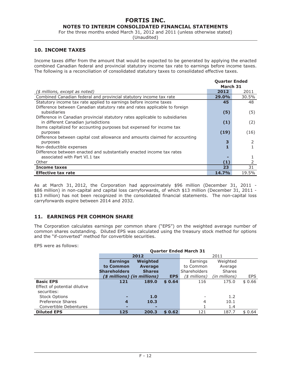For the three months ended March 31, 2012 and 2011 (unless otherwise stated)

(Unaudited)

## **10. INCOME TAXES**

Income taxes differ from the amount that would be expected to be generated by applying the enacted combined Canadian federal and provincial statutory income tax rate to earnings before income taxes. The following is a reconciliation of consolidated statutory taxes to consolidated effective taxes.

|                                                                              | <b>Quarter Ended</b> |       |
|------------------------------------------------------------------------------|----------------------|-------|
|                                                                              | March 31             |       |
| $(*)$ millions, except as noted)                                             | 2012                 | 2011  |
| Combined Canadian federal and provincial statutory income tax rate           | 29.0%                | 30.5% |
| Statutory income tax rate applied to earnings before income taxes            | 45                   | 48    |
| Difference between Canadian statutory rate and rates applicable to foreign   |                      |       |
| subsidiaries                                                                 | (5)                  | (5)   |
| Difference in Canadian provincial statutory rates applicable to subsidiaries |                      |       |
| in different Canadian jurisdictions                                          | (1)                  | (2)   |
| Items capitalized for accounting purposes but expensed for income tax        |                      |       |
| purposes                                                                     | (19)                 | (16)  |
| Difference between capital cost allowance and amounts claimed for accounting |                      |       |
| purposes                                                                     | з                    |       |
| Non-deductible expenses                                                      | Г                    |       |
| Difference between enacted and substantially enacted income tax rates        |                      |       |
| associated with Part VI.1 tax                                                |                      |       |
| Other                                                                        | A                    |       |
| <b>Income taxes</b>                                                          | 23                   | 31    |
| <b>Effective tax rate</b>                                                    | 14.7%                | 19.5% |

As at March 31, 2012, the Corporation had approximately \$96 million (December 31, 2011 - \$86 million) in non-capital and capital loss carryforwards, of which \$13 million (December 31, 2011 - \$13 million) has not been recognized in the consolidated financial statements. The non-capital loss carryforwards expire between 2014 and 2032.

## **11. EARNINGS PER COMMON SHARE**

The Corporation calculates earnings per common share ("EPS") on the weighted average number of common shares outstanding. Diluted EPS was calculated using the treasury stock method for options and the "if-converted" method for convertible securities.

EPS were as follows:

|                              |                     |                             |            | <b>Quarter Ended March 31</b> |               |            |
|------------------------------|---------------------|-----------------------------|------------|-------------------------------|---------------|------------|
|                              |                     | 2012                        |            |                               | 2011          |            |
|                              | <b>Earnings</b>     | Weighted                    |            | Earnings                      | Weighted      |            |
|                              | to Common           | <b>Average</b>              |            | to Common                     | Average       |            |
|                              | <b>Shareholders</b> | <b>Shares</b>               |            | <b>Shareholders</b>           | <b>Shares</b> |            |
|                              |                     | (\$ millions) (in millions) | <b>EPS</b> | (\$ millions)                 | (in millions) | <b>EPS</b> |
| <b>Basic EPS</b>             | 121                 | 189.0                       | \$0.64     | 116                           | 175.0         | \$0.66     |
| Effect of potential dilutive |                     |                             |            |                               |               |            |
| securities:                  |                     |                             |            |                               |               |            |
| <b>Stock Options</b>         |                     | 1.0                         |            |                               | 1.2           |            |
| Preference Shares            | $\overline{4}$      | 10.3                        |            | $\overline{4}$                | 10.1          |            |
| Convertible Debentures       | ▬                   | -                           |            |                               | 1.4           |            |
| <b>Diluted EPS</b>           | 125                 | 200.3                       | \$0.62     | 121                           | 187.7         | \$0.64     |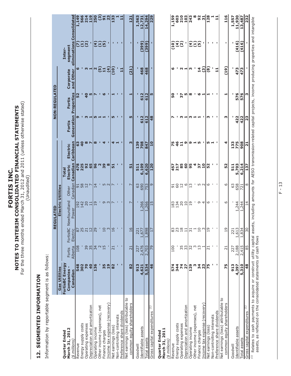**FORTIS INC.** 

For the three months ended March 31, 2012 and 2011 (unless otherwise stated) **FORTIS INC.**<br>NOTES TO INTERIM CONSOLIDATED FINANCIAL STATEMENTS<br>For the three months ended March 31, 2012 and 2011 (unless otherwise stated) **NOTES TO INTERIM CONSOLIDATED FINANCIAL STATEMENTS** 

(Unaudited)

# **12. SEGMENTED INFORMATION**  12. SEGMENTED INFORMATION

Information by reportable segment is as follows: Information by reportable segment is as follows:

|                                                                                 |                                         |                          | Œ                    | <b>EGULATED</b>                |                   |                      |                         |                                        | <b>NON-REGULATED</b> |                        |                                                                                                                   |                 |
|---------------------------------------------------------------------------------|-----------------------------------------|--------------------------|----------------------|--------------------------------|-------------------|----------------------|-------------------------|----------------------------------------|----------------------|------------------------|-------------------------------------------------------------------------------------------------------------------|-----------------|
| Quarter<br>Ended                                                                | FortisBC Energy<br><b>Gas Utilities</b> |                          |                      | Electric Utilities             |                   | <b>Total</b>         |                         |                                        |                      |                        | Inter-                                                                                                            |                 |
| March 31, 2012<br>$(\frac{2}{3}$ millions)                                      | Companies<br>Canadian                   | Alberta<br><b>Fortis</b> | FortisBC<br>Electric | Newfoundland<br>Power          | Canadian<br>Other | Canadian<br>Electric | Caribbean<br>Electric   | <b>Generation Properties</b><br>Fortis | Fortis               | Corporate<br>and Other | eliminations Consolidated<br>segment                                                                              |                 |
| Revenue                                                                         | 548                                     | 108                      | 87                   | 192                            |                   | 478                  | ဒ္ဓ                     |                                        | 52                   |                        |                                                                                                                   | 1,149           |
| Energy supply costs                                                             | 302                                     |                          |                      | 142                            | <b>9827</b>       | 225                  | $\overline{\mathbf{a}}$ |                                        |                      |                        | <u> CH S</u>                                                                                                      | 566             |
| Operating expenses                                                              | 70                                      | 39                       | $\frac{25}{21}$      | 20                             |                   | 92                   |                         | ო                                      | $\overline{a}$       |                        |                                                                                                                   | 214             |
| Depreciation and amortization                                                   | $\overline{\mathbf{a}}$                 | 35                       |                      | $\overline{11}$                |                   | 65                   | $\infty$ $\sim$         | ᆋ                                      | E                    | m H                    |                                                                                                                   | 119             |
| Operating income                                                                | 136                                     | 34                       | $\frac{12}{29}$      | $\overline{19}$                | $\overline{4}$    | 96                   | $\boldsymbol{\omega}$   | m                                      |                      | $\mathbf{\mathsf{N}}$  | $\mathbf{f}$                                                                                                      | 250             |
| Other income (expenses), net                                                    |                                         | $\mathbf{\Omega}$        | J.                   |                                |                   | $\mathbf{N}$         |                         |                                        |                      |                        |                                                                                                                   | $\overline{3}$  |
| Finance charges                                                                 | 35                                      | 15                       | $\overline{a}$       |                                |                   | 39                   | 4                       |                                        | ဖ                    | $\frac{5}{11}$         | <u> ၁၈</u>                                                                                                        | 5 <sup>1</sup>  |
| Income tax expense (recovery)                                                   | 19                                      |                          | $\omega$             | თო                             | 52                | $\infty$             | $\mathbf{I}$            |                                        | п                    | $\mathbf{f}$           | п                                                                                                                 | 23              |
| Net earnings (loss)                                                             | 82                                      | 21                       | 16                   |                                |                   | 51                   | 4                       | m                                      |                      | (10)                   | п                                                                                                                 | 133             |
| Non-controlling interests                                                       |                                         |                          |                      |                                |                   |                      |                         | п                                      |                      |                        | п                                                                                                                 |                 |
| Preference share dividends                                                      |                                         | Ţ                        |                      |                                | п                 | ٠                    |                         | п                                      | п                    | $\mathbf{H}$           | п                                                                                                                 | 11              |
| Net earnings (loss) attributable to<br>common equity shareholders               | 82                                      | 21                       | 16                   | r                              | L                 | 51                   | m                       | m                                      | 로                    | (21)                   |                                                                                                                   | 121             |
| Goodwill                                                                        |                                         | 227                      | 221                  |                                | 63                | 511                  | 139                     |                                        |                      |                        |                                                                                                                   |                 |
| Identifiable assets                                                             | 913<br>4,621                            | 2,476                    | 1,677                | ,266                           | 690               | 6,109                | 708                     | 612                                    | 612                  | 468                    | (399)                                                                                                             | 1,563<br>12,731 |
| Total assets                                                                    | 5,534                                   | 2,703                    | 1,898                | ,266<br>$\mathbf{\overline{}}$ | 753               | 6,620                | 847                     | 612                                    | 612                  | 468                    | (399)                                                                                                             | 14,294          |
| Ξ<br>Gross capital expenditures                                                 | 46                                      | 20                       | 17                   | 15                             | Q                 | 120                  | $\overline{10}$         | 48                                     | m                    |                        |                                                                                                                   | 229             |
|                                                                                 |                                         |                          |                      |                                |                   |                      |                         |                                        |                      |                        |                                                                                                                   |                 |
| Quarter Ended                                                                   |                                         |                          |                      |                                |                   |                      |                         |                                        |                      |                        |                                                                                                                   |                 |
| March 31, 2011                                                                  |                                         |                          |                      |                                |                   |                      |                         |                                        |                      |                        |                                                                                                                   |                 |
| (\$ millions)                                                                   |                                         |                          |                      |                                |                   |                      |                         |                                        |                      |                        |                                                                                                                   |                 |
| Revenue                                                                         | 574                                     | 100                      | 83                   | 183                            | 51                | 457                  | 75                      |                                        | 50                   | ဖ                      | $\left(10\right)$                                                                                                 | 1,159           |
| Energy supply costs                                                             | 344                                     |                          |                      | 134                            | 60                | 217                  | 46                      |                                        | п                    | ٠                      | $\widehat{\mathcal{L}}$                                                                                           | 603             |
| Operating expenses                                                              | $\overline{7}$                          | 55<br>33                 | 7341                 | 20                             | 12                | 85                   |                         |                                        | 57                   | $N +$                  |                                                                                                                   | 210             |
| Depreciation and amortization                                                   | 27                                      |                          |                      | 10                             | $\circ$           | $\bf{60}$            | ຸດ                      |                                        | rU                   |                        |                                                                                                                   | 103             |
| Operating income                                                                | 129                                     | 32                       | $\overline{31}$      | $\overline{1}$                 | $\mathfrak{u}$    | 95                   | თ                       |                                        | ထ                    | ω                      | £                                                                                                                 | 243             |
| Other income (expenses), net                                                    | ო                                       | W                        | $\overline{ }$       | ٠                              | т.                | 4                    |                         |                                        | л.                   |                        | ဥြစ                                                                                                               | $\infty$        |
| Finance charges                                                                 | 34                                      | $\frac{2}{1}$            | $\overline{a}$       | o,                             | m <sub>N</sub>    | 57                   | m                       |                                        | ဖ                    | $\overline{1}$         |                                                                                                                   | 92              |
| Income tax expense (recovery)                                                   | 23                                      | $\mathbf{r}$             | $\omega$             | 4                              |                   | $\overline{10}$      | ı                       | ı                                      | ᆋ                    | <u>ි</u>               | ı                                                                                                                 | 31              |
| Net earnings (loss)                                                             | 75                                      | $\overline{21}$          | $\overline{c}$       | ဖ                              | ဖ                 | 52                   | m                       | m                                      |                      | <u>ම</u>               | ٠                                                                                                                 | 128             |
| Non-controlling interests                                                       |                                         |                          | 1                    | $\mathbf{I}$                   | - 1               | J.                   | ⊣                       | л.                                     |                      |                        | л.                                                                                                                | ᆏ               |
| Preference share dividends                                                      |                                         |                          |                      |                                |                   | ٠                    |                         |                                        |                      | $\mathbf{1}$           | $\blacksquare$                                                                                                    | 11              |
| Net earnings (loss) attributable to<br>common equity shareholders               | 75                                      | $\overline{c}$           | $\overline{1}9$      | ဖ                              | ဖ                 | 52                   | 4                       | m                                      | ⊣                    | (19)                   | J.                                                                                                                | 116             |
| Goodwill                                                                        | 913                                     | 227                      | 221                  |                                | 63                | 511                  | 133                     |                                        |                      |                        |                                                                                                                   | 1,557           |
| Identifiable assets                                                             | 4,397                                   | 2,188                    | 1,613                | ,244<br>1                      | 658               | ,703<br>ທັ           | 775                     | 422                                    | 576                  | 473                    | (416)                                                                                                             | 11,930          |
| Total assets                                                                    | 5,310                                   | 2,415                    | 1,834                | ,244                           | 721               | 6,214                | 908                     | 422                                    | 576                  | 473                    | (416)                                                                                                             | 13,487          |
| Gross capital expenditures                                                      | 48                                      | 85                       | 30                   | $\vec{4}$                      | $\infty$          | 137                  | $\overline{21}$         | 23                                     | m                    |                        |                                                                                                                   | 232             |
| $^{(1)}$ Relates to cash payments to acquire or construct utility capital assi- |                                         |                          |                      |                                |                   |                      |                         |                                        |                      |                        | ets, including amounts for AFSO transmission-related capital projects, income producing properties and intangible |                 |

*(1)* Relates to cash payments to acquire or construct utility capital assets, including amounts for AESO transmission-related capital projects, income producing properties and intangible יַ<br>פּ phone Finn i<br>2<br>2 וכי אור המוני המוני המוני המוני המוני המוני המוני המוני המוני המוני המוני המוני המוני המוני המוני המוני המוני י<br>פ ן<br>נוער Relates to casin payments to acquire or construct utility capital<br>assets, as reflected on the consolidated statements of cash flows assets, as reflected on the consolidated statements of cash flows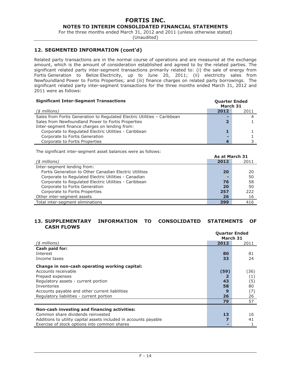For the three months ended March 31, 2012 and 2011 (unless otherwise stated)

(Unaudited)

## **12. SEGMENTED INFORMATION (cont'd)**

Related party transactions are in the normal course of operations and are measured at the exchange amount, which is the amount of consideration established and agreed to by the related parties. The significant related party inter-segment transactions primarily related to: (i) the sale of energy from Fortis Generation to Belize Electricity, up to June 20, 2011; (ii) electricity sales from Newfoundland Power to Fortis Properties; and (iii) finance charges on related party borrowings. The significant related party inter-segment transactions for the three months ended March 31, 2012 and 2011 were as follows:

| <b>Significant Inter-Segment Transactions</b>                            | <b>Quarter Ended</b><br>March 31 |      |
|--------------------------------------------------------------------------|----------------------------------|------|
| $(*)$ millions)                                                          | 2012                             | 2011 |
| Sales from Fortis Generation to Regulated Electric Utilities - Caribbean | -                                |      |
| Sales from Newfoundland Power to Fortis Properties                       | $\overline{2}$                   |      |
| Inter-segment finance charges on lending from:                           |                                  |      |
| Corporate to Regulated Electric Utilities - Caribbean                    |                                  |      |
| Corporate to Fortis Generation                                           |                                  |      |
| Corporate to Fortis Properties                                           | ◢                                |      |

The significant inter-segment asset balances were as follows:

|                                                        | As at March 31 |      |
|--------------------------------------------------------|----------------|------|
| $(\$$ millions)                                        | 2012           | 2011 |
| Inter-segment lending from:                            |                |      |
| Fortis Generation to Other Canadian Electric Utilities | 20             | 20   |
| Corporate to Regulated Electric Utilities - Canadian   |                | 50   |
| Corporate to Regulated Electric Utilities - Caribbean  | 76             | 58   |
| Corporate to Fortis Generation                         | 20             | 50   |
| Corporate to Fortis Properties                         | 257            | 222  |
| Other inter-segment assets                             | 26             | 16   |
| Total inter-segment eliminations                       | 399            | 416  |

#### **13. SUPPLEMENTARY INFORMATION TO CONSOLIDATED STATEMENTS OF CASH FLOWS**

|                                                                  | <b>Quarter Ended</b><br>March 31 |      |
|------------------------------------------------------------------|----------------------------------|------|
| $($$ millions)                                                   | 2012                             | 2011 |
| Cash paid for:                                                   |                                  |      |
| Interest                                                         | 80                               | 81   |
| Income taxes                                                     | 33                               | 24   |
| Change in non-cash operating working capital:                    |                                  |      |
| Accounts receivable                                              | (59)                             | (36) |
| Prepaid expenses                                                 |                                  | (1)  |
| Regulatory assets - current portion                              | 43                               | (5)  |
| Inventories                                                      | 58                               | 80   |
| Accounts payable and other current liabilities                   | 9                                | (7)  |
| Regulatory liabilities - current portion                         | 26                               | 26   |
|                                                                  | 79                               | 57   |
| Non-cash investing and financing activities:                     |                                  |      |
| Common share dividends reinvested                                | 13                               | 16   |
| Additions to utility capital assets included in accounts payable |                                  | 41   |
| Exercise of stock options into common shares                     |                                  |      |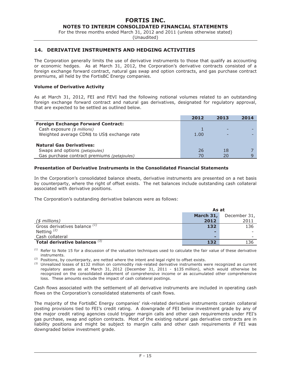For the three months ended March 31, 2012 and 2011 (unless otherwise stated)

(Unaudited)

## **14. DERIVATIVE INSTRUMENTS AND HEDGING ACTIVITIES**

The Corporation generally limits the use of derivative instruments to those that qualify as accounting or economic hedges. As at March 31, 2012, the Corporation's derivative contracts consisted of a foreign exchange forward contract, natural gas swap and option contracts, and gas purchase contract premiums, all held by the FortisBC Energy companies.

#### **Volume of Derivative Activity**

As at March 31, 2012, FEI and FEVI had the following notional volumes related to an outstanding foreign exchange forward contract and natural gas derivatives, designated for regulatory approval, that are expected to be settled as outlined below.

|                                              | 2012 | 2013 | 2014 |
|----------------------------------------------|------|------|------|
| <b>Foreign Exchange Forward Contract:</b>    |      |      |      |
| Cash exposure (\$ millions)                  |      |      |      |
| Weighted average CDN\$ to US\$ exchange rate | 1.00 |      |      |
| <b>Natural Gas Derivatives:</b>              |      |      |      |
| Swaps and options (petajoules)               | 26   | 18   |      |
| Gas purchase contract premiums (petajoules)  | 70   | 20   |      |

### **Presentation of Derivative Instruments in the Consolidated Financial Statements**

In the Corporation's consolidated balance sheets, derivative instruments are presented on a net basis by counterparty, where the right of offset exists. The net balances include outstanding cash collateral associated with derivative positions.

The Corporation's outstanding derivative balances were as follows:

|                                    | As at     |              |
|------------------------------------|-----------|--------------|
|                                    | March 31, | December 31, |
| $($$ millions)                     | 2012      | 2011         |
| Gross derivatives balance (1)      | 132       | 136          |
| Netting $(2)$                      |           |              |
| Cash collateral                    | -         |              |
| Total derivative balances $^{(3)}$ | 132       | 136          |

*(1)* Refer to Note 15 for a discussion of the valuation techniques used to calculate the fair value of these derivative instruments.

*(2)* Positions, by counterparty, are netted where the intent and legal right to offset exists.

*(3)* Unrealized losses of \$132 million on commodity risk-related derivative instruments were recognized as current regulatory assets as at March 31, 2012 (December 31, 2011 - \$135 million), which would otherwise be recognized on the consolidated statement of comprehensive income or as accumulated other comprehensive loss. These amounts exclude the impact of cash collateral postings.

Cash flows associated with the settlement of all derivative instruments are included in operating cash flows on the Corporation's consolidated statements of cash flows.

The majority of the FortisBC Energy companies' risk-related derivative instruments contain collateral posting provisions tied to FEI's credit rating. A downgrade of FEI below investment grade by any of the major credit rating agencies could trigger margin calls and other cash requirements under FEI's gas purchase, swap and option contracts. Most of the existing natural gas derivative contracts are in liability positions and might be subject to margin calls and other cash requirements if FEI was downgraded below investment grade.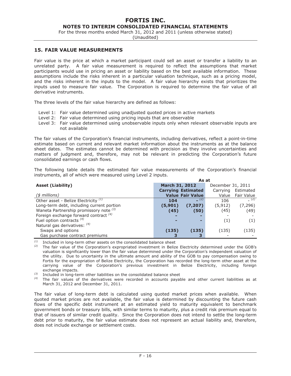For the three months ended March 31, 2012 and 2011 (unless otherwise stated)

(Unaudited)

#### **15. FAIR VALUE MEASUREMENTS**

Fair value is the price at which a market participant could sell an asset or transfer a liability to an unrelated party. A fair value measurement is required to reflect the assumptions that market participants would use in pricing an asset or liability based on the best available information. These assumptions include the risks inherent in a particular valuation technique, such as a pricing model, and the risks inherent in the inputs to the model. A fair value hierarchy exists that prioritizes the inputs used to measure fair value. The Corporation is required to determine the fair value of all derivative instruments.

The three levels of the fair value hierarchy are defined as follows:

- Level 1: Fair value determined using unadjusted quoted prices in active markets
- Level 2: Fair value determined using pricing inputs that are observable
- Level 3: Fair value determined using unobservable inputs only when relevant observable inputs are not available

The fair values of the Corporation's financial instruments, including derivatives, reflect a point-in-time estimate based on current and relevant market information about the instruments as at the balance sheet dates. The estimates cannot be determined with precision as they involve uncertainties and matters of judgment and, therefore, may not be relevant in predicting the Corporation's future consolidated earnings or cash flows.

The following table details the estimated fair value measurements of the Corporation's financial instruments, all of which were measured using Level 2 inputs.

|                                                  | As at                                      |                         |          |            |
|--------------------------------------------------|--------------------------------------------|-------------------------|----------|------------|
| <b>Asset (Liability)</b>                         | <b>March 31, 2012</b><br>December 31, 2011 |                         |          |            |
|                                                  | <b>Carrying Estimated</b>                  |                         | Carrying | Estimated  |
| $($ \$ millions)                                 |                                            | <b>Value Fair Value</b> | Value    | Fair Value |
| Other asset - Belize Electricity <sup>(1)</sup>  | 104                                        | (2)                     | 106      | (2)        |
| Long-term debt, including current portion        | (5,901)                                    | (7, 207)                | (5,912)  | (7, 296)   |
| Waneta Partnership promissory note (3)           | (45)                                       | (50)                    | (45)     | (49)       |
| Foreign exchange forward contract <sup>(4)</sup> |                                            |                         |          |            |
| Fuel option contracts <sup>(4)</sup>             |                                            |                         | (1)      | (1)        |
| Natural gas derivatives: (4)                     |                                            |                         |          |            |
| Swaps and options                                | (135)                                      | (135)                   | (135)    | (135)      |
| Gas purchase contract premiums                   |                                            |                         |          |            |

*(1)* Included in long-term other assets on the consolidated balance sheet

*(2)* The fair value of the Corporation's expropriated investment in Belize Electricity determined under the GOB's valuation is significantly lower than the fair value determined under the Corporation's independent valuation of the utility. Due to uncertainty in the ultimate amount and ability of the GOB to pay compensation owing to Fortis for the expropriation of Belize Electricity, the Corporation has recorded the long-term other asset at the carrying value of the Corporation's previous investment in Belize Electricity, including foreign exchange impacts.

*(3)* Included in long-term other liabilities on the consolidated balance sheet

*(4)* The fair values of the derivatives were recorded in accounts payable and other current liabilities as at March 31, 2012 and December 31, 2011.

The fair value of long-term debt is calculated using quoted market prices when available. When quoted market prices are not available, the fair value is determined by discounting the future cash flows of the specific debt instrument at an estimated yield to maturity equivalent to benchmark government bonds or treasury bills, with similar terms to maturity, plus a credit risk premium equal to that of issuers of similar credit quality. Since the Corporation does not intend to settle the long-term debt prior to maturity, the fair value estimate does not represent an actual liability and, therefore, does not include exchange or settlement costs.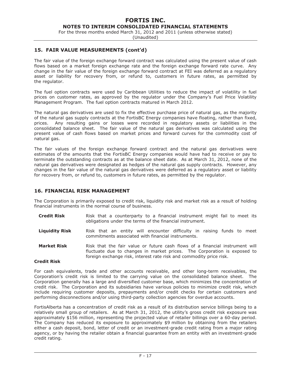For the three months ended March 31, 2012 and 2011 (unless otherwise stated)

(Unaudited)

## **15. FAIR VALUE MEASUREMENTS (cont'd)**

The fair value of the foreign exchange forward contract was calculated using the present value of cash flows based on a market foreign exchange rate and the foreign exchange forward rate curve. Any change in the fair value of the foreign exchange forward contract at FEI was deferred as a regulatory asset or liability for recovery from, or refund to, customers in future rates, as permitted by the regulator.

The fuel option contracts were used by Caribbean Utilities to reduce the impact of volatility in fuel prices on customer rates, as approved by the regulator under the Company's Fuel Price Volatility Management Program. The fuel option contracts matured in March 2012.

The natural gas derivatives are used to fix the effective purchase price of natural gas, as the majority of the natural gas supply contracts at the FortisBC Energy companies have floating, rather than fixed, prices. Any resulting gains or losses were recorded in regulatory assets or liabilities in the consolidated balance sheet. The fair value of the natural gas derivatives was calculated using the present value of cash flows based on market prices and forward curves for the commodity cost of natural gas.

The fair values of the foreign exchange forward contract and the natural gas derivatives were estimates of the amounts that the FortisBC Energy companies would have had to receive or pay to terminate the outstanding contracts as at the balance sheet date. As at March 31, 2012, none of the natural gas derivatives were designated as hedges of the natural gas supply contracts. However, any changes in the fair value of the natural gas derivatives were deferred as a regulatory asset or liability for recovery from, or refund to, customers in future rates, as permitted by the regulator.

### **16. FINANCIAL RISK MANAGEMENT**

The Corporation is primarily exposed to credit risk, liquidity risk and market risk as a result of holding financial instruments in the normal course of business.

- **Credit Risk** Risk that a counterparty to a financial instrument might fail to meet its obligations under the terms of the financial instrument.
- **Liquidity Risk** Risk that an entity will encounter difficulty in raising funds to meet commitments associated with financial instruments.
- **Market Risk** Risk that the fair value or future cash flows of a financial instrument will fluctuate due to changes in market prices. The Corporation is exposed to foreign exchange risk, interest rate risk and commodity price risk.

## **Credit Risk**

For cash equivalents, trade and other accounts receivable, and other long-term receivables, the Corporation's credit risk is limited to the carrying value on the consolidated balance sheet. The Corporation generally has a large and diversified customer base, which minimizes the concentration of credit risk. The Corporation and its subsidiaries have various policies to minimize credit risk, which include requiring customer deposits, prepayments and/or credit checks for certain customers and performing disconnections and/or using third-party collection agencies for overdue accounts.

FortisAlberta has a concentration of credit risk as a result of its distribution service billings being to a relatively small group of retailers. As at March 31, 2012, the utility's gross credit risk exposure was approximately \$156 million, representing the projected value of retailer billings over a 60-day period. The Company has reduced its exposure to approximately \$9 million by obtaining from the retailers either a cash deposit, bond, letter of credit or an investment-grade credit rating from a major rating agency, or by having the retailer obtain a financial guarantee from an entity with an investment-grade credit rating.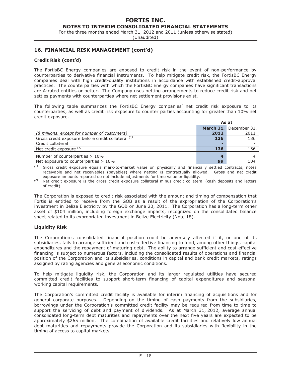For the three months ended March 31, 2012 and 2011 (unless otherwise stated)

(Unaudited)

## **16. FINANCIAL RISK MANAGEMENT (cont'd)**

#### **Credit Risk (cont'd)**

The FortisBC Energy companies are exposed to credit risk in the event of non-performance by counterparties to derivative financial instruments. To help mitigate credit risk, the FortisBC Energy companies deal with high credit-quality institutions in accordance with established credit-approval practices. The counterparties with which the FortisBC Energy companies have significant transactions are A-rated entities or better. The Company uses netting arrangements to reduce credit risk and net settles payments with counterparties where net settlement provisions exist.

The following table summarizes the FortisBC Energy companies' net credit risk exposure to its counterparties, as well as credit risk exposure to counter parties accounting for greater than 10% net credit exposure.

|                                                    | As at |                        |
|----------------------------------------------------|-------|------------------------|
|                                                    |       | March 31, December 31, |
| (\$ millions, except for number of customers)      | 2012  | 2011                   |
| Gross credit exposure before credit collateral (1) | 136   | 136                    |
| Credit collateral                                  |       |                        |
| Net credit exposure $(2)$                          | 136   | 136                    |
| Number of counterparties $> 10\%$                  | 4     |                        |
| Net exposure to counterparties > 10%               | 99    | 104                    |

*(1)* Gross credit exposure equals mark-to-market value on physically and financially settled contracts, notes receivable and net receivables (payables) where netting is contractually allowed. Gross and net credit exposure amounts reported do not include adjustments for time value or liquidity.

*(2)* Net credit exposure is the gross credit exposure collateral minus credit collateral (cash deposits and letters of credit).

The Corporation is exposed to credit risk associated with the amount and timing of compensation that Fortis is entitled to receive from the GOB as a result of the expropriation of the Corporation's investment in Belize Electricity by the GOB on June 20, 2011. The Corporation has a long-term other asset of \$104 million, including foreign exchange impacts, recognized on the consolidated balance sheet related to its expropriated investment in Belize Electricity (Note 18).

#### **Liquidity Risk**

The Corporation's consolidated financial position could be adversely affected if it, or one of its subsidiaries, fails to arrange sufficient and cost-effective financing to fund, among other things, capital expenditures and the repayment of maturing debt. The ability to arrange sufficient and cost-effective financing is subject to numerous factors, including the consolidated results of operations and financial position of the Corporation and its subsidiaries, conditions in capital and bank credit markets, ratings assigned by rating agencies and general economic conditions.

To help mitigate liquidity risk, the Corporation and its larger regulated utilities have secured committed credit facilities to support short-term financing of capital expenditures and seasonal working capital requirements.

The Corporation's committed credit facility is available for interim financing of acquisitions and for general corporate purposes. Depending on the timing of cash payments from the subsidiaries, borrowings under the Corporation's committed credit facility may be required from time to time to support the servicing of debt and payment of dividends. As at March 31, 2012, average annual consolidated long-term debt maturities and repayments over the next five years are expected to be approximately \$265 million. The combination of available credit facilities and relatively low annual debt maturities and repayments provide the Corporation and its subsidiaries with flexibility in the timing of access to capital markets.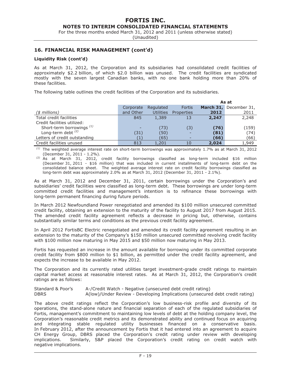For the three months ended March 31, 2012 and 2011 (unless otherwise stated)

(Unaudited)

## **16. FINANCIAL RISK MANAGEMENT (cont'd)**

#### **Liquidity Risk (cont'd)**

As at March 31, 2012, the Corporation and its subsidiaries had consolidated credit facilities of approximately \$2.2 billion, of which \$2.0 billion was unused. The credit facilities are syndicated mostly with the seven largest Canadian banks, with no one bank holding more than 20% of these facilities.

The following table outlines the credit facilities of the Corporation and its subsidiaries.

|                                |           |                  |               |       | As at                  |
|--------------------------------|-----------|------------------|---------------|-------|------------------------|
|                                | Corporate | Regulated        | <b>Fortis</b> |       | March 31, December 31, |
| (\$ millions)                  | and Other | <b>Utilities</b> | Properties    | 2012  | 2011                   |
| Total credit facilities        | 845       | 1,389            | 13            | 2,247 | 2,248                  |
| Credit facilities utilized:    |           |                  |               |       |                        |
| Short-term borrowings $^{(1)}$ |           | (73)             | (3)           | (76)  | (159)                  |
| Long-term debt $(2)$           | (31)      | (50)             |               | (81)  | (74)                   |
| Letters of credit outstanding  |           | (65)             |               | (66)  | (66)                   |
| Credit facilities unused       | 813       | 1,201            | 10            | 2,024 | 1,949                  |

*(1)* The weighted average interest rate on short-term borrowings was approximately 1.7% as at March 31, 2012 (December 31, 2011 - 1.2%).

*(2)* As at March 31, 2012, credit facility borrowings classified as long-term included \$16 million (December 31, 2011 - \$16 million) that was included in current installments of long-term debt on the consolidated balance sheet. The weighted average interest rate on credit facility borrowings classified as long-term debt was approximately 2.0% as at March 31, 2012 (December 31, 2011 - 2.1%).

As at March 31, 2012 and December 31, 2011, certain borrowings under the Corporation's and subsidiaries' credit facilities were classified as long-term debt. These borrowings are under long-term committed credit facilities and management's intention is to refinance these borrowings with long-term permanent financing during future periods.

In March 2012 Newfoundland Power renegotiated and amended its \$100 million unsecured committed credit facility, obtaining an extension to the maturity of the facility to August 2017 from August 2015. The amended credit facility agreement reflects a decrease in pricing but, otherwise, contains substantially similar terms and conditions as the previous credit facility agreement.

In April 2012 FortisBC Electric renegotiated and amended its credit facility agreement resulting in an extension to the maturity of the Company's \$150 million unsecured committed revolving credit facility with \$100 million now maturing in May 2015 and \$50 million now maturing in May 2013.

Fortis has requested an increase in the amount available for borrowing under its committed corporate credit facility from \$800 million to \$1 billion, as permitted under the credit facility agreement, and expects the increase to be available in May 2012.

The Corporation and its currently rated utilities target investment-grade credit ratings to maintain capital market access at reasonable interest rates. As at March 31, 2012, the Corporation's credit ratings are as follows:

Standard & Poor's A-/Credit Watch - Negative (unsecured debt credit rating) A(low)/Under Review - Developing Implications (unsecured debt credit rating)

The above credit ratings reflect the Corporation's low business-risk profile and diversity of its operations, the stand-alone nature and financial separation of each of the regulated subsidiaries of Fortis, management's commitment to maintaining low levels of debt at the holding company level, the Corporation's reasonable credit metrics and its demonstrated ability and continued focus on acquiring and integrating stable regulated utility businesses financed on a conservative basis. In February 2012, after the announcement by Fortis that it had entered into an agreement to acquire CH Energy Group, DBRS placed the Corporation's credit rating under review with developing implications. Similarly, S&P placed the Corporation's credit rating on credit watch with negative implications.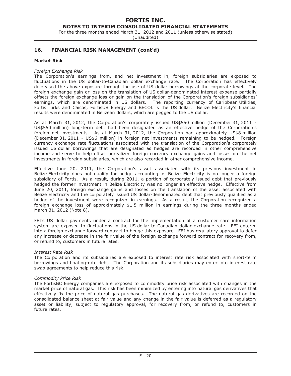For the three months ended March 31, 2012 and 2011 (unless otherwise stated)

(Unaudited)

## **16. FINANCIAL RISK MANAGEMENT (cont'd)**

#### **Market Risk**

#### *Foreign Exchange Risk*

The Corporation's earnings from, and net investment in, foreign subsidiaries are exposed to fluctuations in the US dollar-to-Canadian dollar exchange rate. The Corporation has effectively decreased the above exposure through the use of US dollar borrowings at the corporate level. The foreign exchange gain or loss on the translation of US dollar-denominated interest expense partially offsets the foreign exchange loss or gain on the translation of the Corporation's foreign subsidiaries' earnings, which are denominated in US dollars. The reporting currency of Caribbean Utilities, Fortis Turks and Caicos, FortisUS Energy and BECOL is the US dollar. Belize Electricity's financial results were denominated in Belizean dollars, which are pegged to the US dollar.

As at March 31, 2012, the Corporation's corporately issued US\$550 million (December 31, 2011 - US\$550 million) long-term debt had been designated as an effective hedge of the Corporation's foreign net investments. As at March 31, 2012, the Corporation had approximately US\$8 million (December 31, 2011 - US\$6 million) in foreign net investments remaining to be hedged. Foreign currency exchange rate fluctuations associated with the translation of the Corporation's corporately issued US dollar borrowings that are designated as hedges are recorded in other comprehensive income and serve to help offset unrealized foreign currency exchange gains and losses on the net investments in foreign subsidiaries, which are also recorded in other comprehensive income.

Effective June 20, 2011, the Corporation's asset associated with its previous investment in Belize Electricity does not qualify for hedge accounting as Belize Electricity is no longer a foreign subsidiary of Fortis. As a result, during 2011, a portion of corporately issued debt that previously hedged the former investment in Belize Electricity was no longer an effective hedge. Effective from June 20, 2011, foreign exchange gains and losses on the translation of the asset associated with Belize Electricity and the corporately issued US dollar-denominated debt that previously qualified as a hedge of the investment were recognized in earnings. As a result, the Corporation recognized a foreign exchange loss of approximately \$1.5 million in earnings during the three months ended March 31, 2012 (Note 8).

FEI's US dollar payments under a contract for the implementation of a customer care information system are exposed to fluctuations in the US dollar-to-Canadian dollar exchange rate. FEI entered into a foreign exchange forward contract to hedge this exposure. FEI has regulatory approval to defer any increase or decrease in the fair value of the foreign exchange forward contract for recovery from, or refund to, customers in future rates.

#### *Interest Rate Risk*

The Corporation and its subsidiaries are exposed to interest rate risk associated with short-term borrowings and floating-rate debt. The Corporation and its subsidiaries may enter into interest rate swap agreements to help reduce this risk.

#### *Commodity Price Risk*

The FortisBC Energy companies are exposed to commodity price risk associated with changes in the market price of natural gas. This risk has been minimized by entering into natural gas derivatives that effectively fix the price of natural gas purchases. The natural gas derivatives are recorded on the consolidated balance sheet at fair value and any change in the fair value is deferred as a regulatory asset or liability, subject to regulatory approval, for recovery from, or refund to, customers in future rates.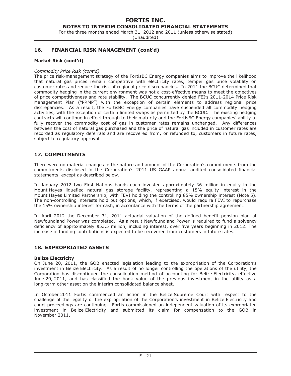For the three months ended March 31, 2012 and 2011 (unless otherwise stated)

(Unaudited)

## **16. FINANCIAL RISK MANAGEMENT (cont'd)**

#### **Market Risk (cont'd)**

#### *Commodity Price Risk (cont'd)*

The price risk-management strategy of the FortisBC Energy companies aims to improve the likelihood that natural gas prices remain competitive with electricity rates, temper gas price volatility on customer rates and reduce the risk of regional price discrepancies. In 2011 the BCUC determined that commodity hedging in the current environment was not a cost-effective means to meet the objectives of price competitiveness and rate stability. The BCUC concurrently denied FEI's 2011-2014 Price Risk Management Plan ("PRMP") with the exception of certain elements to address regional price discrepancies. As a result, the FortisBC Energy companies have suspended all commodity hedging activities, with the exception of certain limited swaps as permitted by the BCUC. The existing hedging contracts will continue in effect through to their maturity and the FortisBC Energy companies' ability to fully recover the commodity cost of gas in customer rates remains unchanged. Any differences between the cost of natural gas purchased and the price of natural gas included in customer rates are recorded as regulatory deferrals and are recovered from, or refunded to, customers in future rates, subject to regulatory approval.

### **17. COMMITMENTS**

There were no material changes in the nature and amount of the Corporation's commitments from the commitments disclosed in the Corporation's 2011 US GAAP annual audited consolidated financial statements, except as described below.

In January 2012 two First Nations bands each invested approximately \$6 million in equity in the Mount Hayes liquefied natural gas storage facility, representing a 15% equity interest in the Mount Hayes Limited Partnership, with FEVI holding the controlling 85% ownership interest (Note 5). The non-controlling interests hold put options, which, if exercised, would require FEVI to repurchase the 15% ownership interest for cash, in accordance with the terms of the partnership agreement.

In April 2012 the December 31, 2011 actuarial valuation of the defined benefit pension plan at Newfoundland Power was completed. As a result Newfoundland Power is required to fund a solvency deficiency of approximately \$53.5 million, including interest, over five years beginning in 2012. The increase in funding contributions is expected to be recovered from customers in future rates.

#### **18. EXPROPRIATED ASSETS**

#### **Belize Electricity**

On June 20, 2011, the GOB enacted legislation leading to the expropriation of the Corporation's investment in Belize Electricity. As a result of no longer controlling the operations of the utility, the Corporation has discontinued the consolidation method of accounting for Belize Electricity, effective June 20, 2011, and has classified the book value of the previous investment in the utility as a long-term other asset on the interim consolidated balance sheet.

In October 2011 Fortis commenced an action in the Belize Supreme Court with respect to the challenge of the legality of the expropriation of the Corporation's investment in Belize Electricity and court proceedings are continuing. Fortis commissioned an independent valuation of its expropriated investment in Belize Electricity and submitted its claim for compensation to the GOB in November 2011.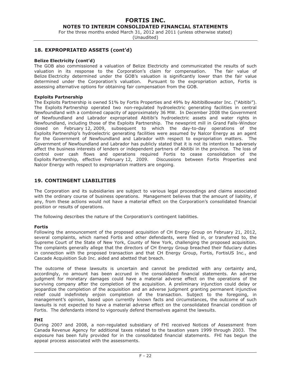For the three months ended March 31, 2012 and 2011 (unless otherwise stated)

(Unaudited)

### **18. EXPROPRIATED ASSETS (cont'd)**

#### **Belize Electricity (cont'd)**

The GOB also commissioned a valuation of Belize Electricity and communicated the results of such valuation in its response to the Corporation's claim for compensation. The fair value of Belize Electricity determined under the GOB's valuation is significantly lower than the fair value determined under the Corporation's valuation. Pursuant to the expropriation action, Fortis is assessing alternative options for obtaining fair compensation from the GOB.

#### **Exploits Partnership**

The Exploits Partnership is owned 51% by Fortis Properties and 49% by AbitibiBowater Inc. ("Abitibi"). The Exploits Partnership operated two non-regulated hydroelectric generating facilities in central Newfoundland with a combined capacity of approximately 36 MW. In December 2008 the Government of Newfoundland and Labrador expropriated Abitibi's hydroelectric assets and water rights in Newfoundland, including those of the Exploits Partnership. The newsprint mill in Grand Falls-Windsor closed on February 12, 2009, subsequent to which the day-to-day operations of the Exploits Partnership's hydroelectric generating facilities were assumed by Nalcor Energy as an agent for the Government of Newfoundland and Labrador with respect to expropriation matters. The Government of Newfoundland and Labrador has publicly stated that it is not its intention to adversely affect the business interests of lenders or independent partners of Abitibi in the province. The loss of control over cash flows and operations required Fortis to cease consolidation of the Exploits Partnership, effective February 12, 2009. Discussions between Fortis Properties and Nalcor Energy with respect to expropriation matters are ongoing.

## **19. CONTINGENT LIABILITIES**

The Corporation and its subsidiaries are subject to various legal proceedings and claims associated with the ordinary course of business operations. Management believes that the amount of liability, if any, from these actions would not have a material effect on the Corporation's consolidated financial position or results of operations.

The following describes the nature of the Corporation's contingent liabilities.

#### **Fortis**

Following the announcement of the proposed acquisition of CH Energy Group on February 21, 2012, several complaints, which named Fortis and other defendants, were filed in, or transferred to, the Supreme Court of the State of New York, County of New York, challenging the proposed acquisition. The complaints generally allege that the directors of CH Energy Group breached their fiduciary duties in connection with the proposed transaction and that CH Energy Group, Fortis, FortisUS Inc., and Cascade Acquisition Sub Inc. aided and abetted that breach.

The outcome of these lawsuits is uncertain and cannot be predicted with any certainty and, accordingly, no amount has been accrued in the consolidated financial statements. An adverse judgment for monetary damages could have a material adverse effect on the operations of the surviving company after the completion of the acquisition. A preliminary injunction could delay or jeopardize the completion of the acquisition and an adverse judgment granting permanent injunctive relief could indefinitely enjoin completion of the transaction. Subject to the foregoing, in management's opinion, based upon currently known facts and circumstances, the outcome of such lawsuits is not expected to have a material adverse effect on the consolidated financial condition of Fortis. The defendants intend to vigorously defend themselves against the lawsuits.

#### **FHI**

During 2007 and 2008, a non-regulated subsidiary of FHI received Notices of Assessment from Canada Revenue Agency for additional taxes related to the taxation years 1999 through 2003. The exposure has been fully provided for in the consolidated financial statements. FHI has begun the appeal process associated with the assessments.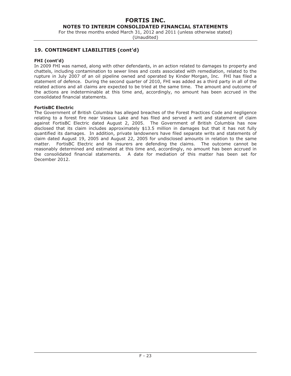For the three months ended March 31, 2012 and 2011 (unless otherwise stated)

(Unaudited)

## **19. CONTINGENT LIABILITIES (cont'd)**

#### **FHI (cont'd)**

In 2009 FHI was named, along with other defendants, in an action related to damages to property and chattels, including contamination to sewer lines and costs associated with remediation, related to the rupture in July 2007 of an oil pipeline owned and operated by Kinder Morgan, Inc. FHI has filed a statement of defence. During the second quarter of 2010, FHI was added as a third party in all of the related actions and all claims are expected to be tried at the same time. The amount and outcome of the actions are indeterminable at this time and, accordingly, no amount has been accrued in the consolidated financial statements.

#### **FortisBC Electric**

The Government of British Columbia has alleged breaches of the Forest Practices Code and negligence relating to a forest fire near Vaseux Lake and has filed and served a writ and statement of claim against FortisBC Electric dated August 2, 2005. The Government of British Columbia has now disclosed that its claim includes approximately \$13.5 million in damages but that it has not fully quantified its damages. In addition, private landowners have filed separate writs and statements of claim dated August 19, 2005 and August 22, 2005 for undisclosed amounts in relation to the same matter. FortisBC Electric and its insurers are defending the claims. The outcome cannot be reasonably determined and estimated at this time and, accordingly, no amount has been accrued in the consolidated financial statements. A date for mediation of this matter has been set for December 2012.